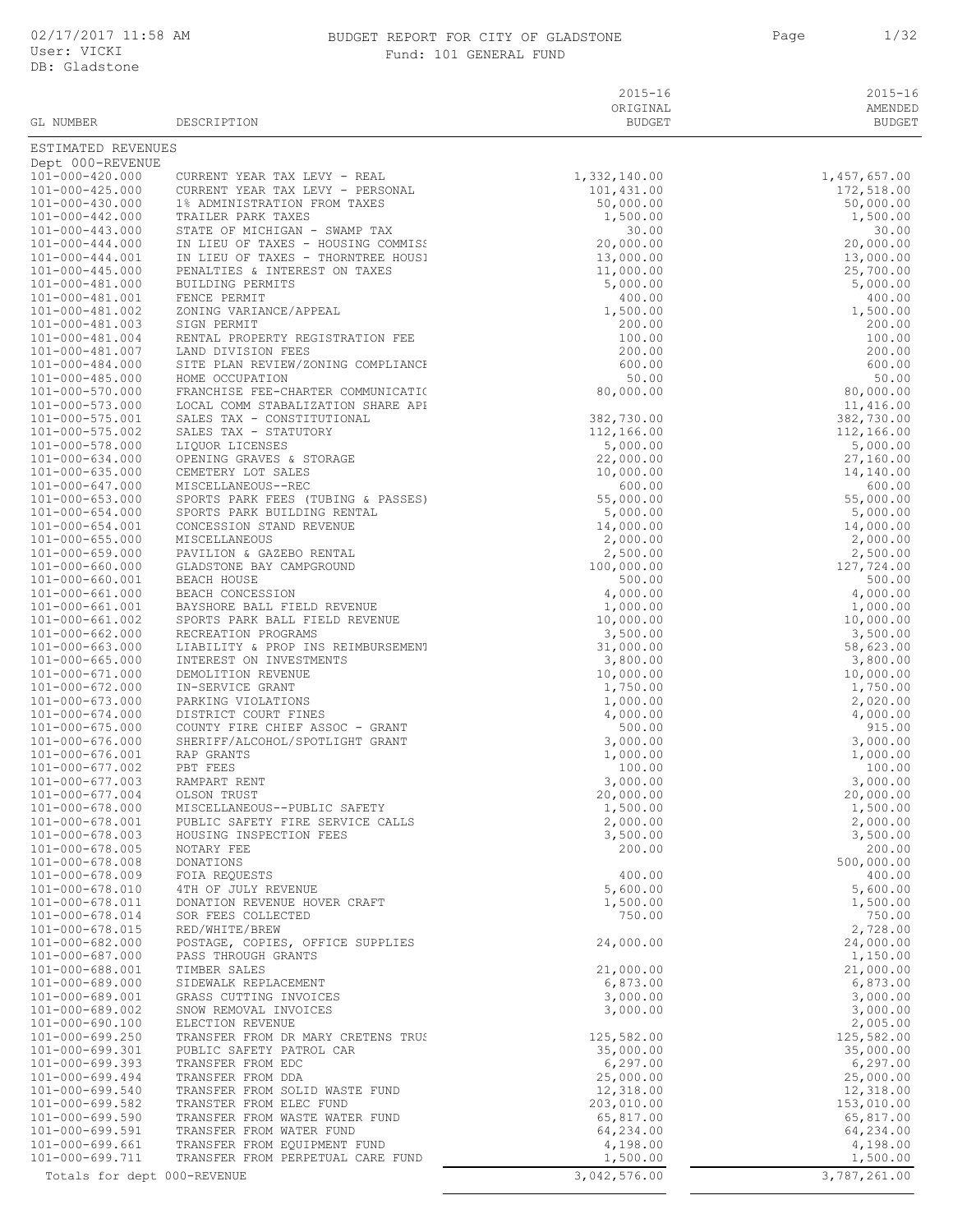# BUDGET REPORT FOR CITY OF GLADSTONE 1 Page 1/32

| User: VICKI<br>DB: Gladstone             | Fund: 101 GENERAL FUND                             |                           |                                                                                                                                                                                                                                                              |  |
|------------------------------------------|----------------------------------------------------|---------------------------|--------------------------------------------------------------------------------------------------------------------------------------------------------------------------------------------------------------------------------------------------------------|--|
|                                          |                                                    |                           |                                                                                                                                                                                                                                                              |  |
|                                          |                                                    | $2015 - 16$               | $2015 - 16$                                                                                                                                                                                                                                                  |  |
| GL NUMBER                                | DESCRIPTION                                        | ORIGINAL<br><b>BUDGET</b> | AMENDED<br>BUDGET                                                                                                                                                                                                                                            |  |
|                                          |                                                    |                           |                                                                                                                                                                                                                                                              |  |
| ESTIMATED REVENUES<br>Dept 000-REVENUE   |                                                    |                           | $\begin{array}{r} 1,457,657.00\\ 172,518.00\\ 50,000.00\\ 1,500.00\\ 1,500.00\\ 20,000.00\\ 25,000.00\\ 5,000.00\\ 400.00\\ 1,5000.00\\ 400.00\\ 1,5000.00\\ 200.00\\ 100.00\\ 50.00\\ 50.00\\ 50.00\\ 50.00\\ 11,416.00\\ 382,730.00\\ 14,416.00\\ 382,730$ |  |
| 101-000-420.000                          |                                                    |                           | 1,457,657.00                                                                                                                                                                                                                                                 |  |
| 101-000-425.000                          |                                                    |                           |                                                                                                                                                                                                                                                              |  |
| 101-000-430.000                          |                                                    |                           |                                                                                                                                                                                                                                                              |  |
| 101-000-442.000                          |                                                    |                           |                                                                                                                                                                                                                                                              |  |
| 101-000-443.000                          |                                                    |                           |                                                                                                                                                                                                                                                              |  |
| 101-000-444.000                          |                                                    |                           |                                                                                                                                                                                                                                                              |  |
| 101-000-444.001                          |                                                    |                           |                                                                                                                                                                                                                                                              |  |
| 101-000-445.000<br>101-000-481.000       |                                                    |                           |                                                                                                                                                                                                                                                              |  |
| 101-000-481.001                          |                                                    |                           |                                                                                                                                                                                                                                                              |  |
| 101-000-481.002                          |                                                    |                           |                                                                                                                                                                                                                                                              |  |
| 101-000-481.003                          |                                                    |                           |                                                                                                                                                                                                                                                              |  |
| 101-000-481.004                          |                                                    |                           |                                                                                                                                                                                                                                                              |  |
| 101-000-481.007                          |                                                    |                           |                                                                                                                                                                                                                                                              |  |
| 101-000-484.000                          |                                                    |                           |                                                                                                                                                                                                                                                              |  |
| 101-000-485.000                          |                                                    |                           |                                                                                                                                                                                                                                                              |  |
| 101-000-570.000                          |                                                    |                           |                                                                                                                                                                                                                                                              |  |
| 101-000-573.000<br>101-000-575.001       | LOCAL COMM STABALIZATION SHARE API                 |                           |                                                                                                                                                                                                                                                              |  |
| 101-000-575.002                          |                                                    |                           |                                                                                                                                                                                                                                                              |  |
| 101-000-578.000                          |                                                    |                           |                                                                                                                                                                                                                                                              |  |
| 101-000-634.000                          |                                                    |                           |                                                                                                                                                                                                                                                              |  |
| 101-000-635.000                          |                                                    |                           |                                                                                                                                                                                                                                                              |  |
| 101-000-647.000                          |                                                    |                           |                                                                                                                                                                                                                                                              |  |
| $101 - 000 - 653.000$                    |                                                    |                           |                                                                                                                                                                                                                                                              |  |
| $101 - 000 - 654.000$                    |                                                    |                           |                                                                                                                                                                                                                                                              |  |
| $101 - 000 - 654.001$                    |                                                    |                           |                                                                                                                                                                                                                                                              |  |
| $101 - 000 - 655.000$                    |                                                    |                           |                                                                                                                                                                                                                                                              |  |
| $101 - 000 - 659.000$                    |                                                    |                           |                                                                                                                                                                                                                                                              |  |
| 101-000-660.000<br>101-000-660.001       |                                                    |                           |                                                                                                                                                                                                                                                              |  |
| 101-000-661.000                          |                                                    |                           |                                                                                                                                                                                                                                                              |  |
| 101-000-661.001                          |                                                    |                           |                                                                                                                                                                                                                                                              |  |
| 101-000-661.002                          |                                                    |                           |                                                                                                                                                                                                                                                              |  |
| 101-000-662.000                          |                                                    |                           |                                                                                                                                                                                                                                                              |  |
| 101-000-663.000                          |                                                    |                           |                                                                                                                                                                                                                                                              |  |
| 101-000-665.000                          |                                                    |                           |                                                                                                                                                                                                                                                              |  |
| 101-000-671.000                          |                                                    |                           |                                                                                                                                                                                                                                                              |  |
| 101-000-672.000                          |                                                    |                           | 1,750.00                                                                                                                                                                                                                                                     |  |
| 101-000-673.000                          |                                                    |                           | 2,020.00                                                                                                                                                                                                                                                     |  |
| 101-000-674.000                          |                                                    |                           | 4,000.00                                                                                                                                                                                                                                                     |  |
| $101 - 000 - 675.000$                    |                                                    |                           | 915.00                                                                                                                                                                                                                                                       |  |
| $101 - 000 - 676.000$<br>101-000-676.001 | SHERIFF/ALCOHOL/SPOTLIGHT GRANT                    | 3,000.00<br>1,000.00      | 3,000.00<br>1,000.00                                                                                                                                                                                                                                         |  |
| 101-000-677.002                          | RAP GRANTS<br>PBT FEES                             | 100.00                    | 100.00                                                                                                                                                                                                                                                       |  |
| $101 - 000 - 677.003$                    | RAMPART RENT                                       | 3,000.00                  | 3,000.00                                                                                                                                                                                                                                                     |  |
| 101-000-677.004                          | OLSON TRUST                                        | 20,000.00                 | 20,000.00                                                                                                                                                                                                                                                    |  |
| 101-000-678.000                          | MISCELLANEOUS--PUBLIC SAFETY                       | 1,500.00                  | 1,500.00                                                                                                                                                                                                                                                     |  |
| 101-000-678.001                          | PUBLIC SAFETY FIRE SERVICE CALLS                   | 2,000.00                  | 2,000.00                                                                                                                                                                                                                                                     |  |
| $101 - 000 - 678.003$                    | HOUSING INSPECTION FEES                            | 3,500.00                  | 3,500.00                                                                                                                                                                                                                                                     |  |
| $101 - 000 - 678.005$                    | NOTARY FEE                                         | 200.00                    | 200.00                                                                                                                                                                                                                                                       |  |
| 101-000-678.008                          | DONATIONS                                          |                           | 500,000.00                                                                                                                                                                                                                                                   |  |
| 101-000-678.009                          | FOIA REQUESTS                                      | 400.00                    | 400.00                                                                                                                                                                                                                                                       |  |
| 101-000-678.010                          | 4TH OF JULY REVENUE                                | 5,600.00                  | 5,600.00                                                                                                                                                                                                                                                     |  |
| 101-000-678.011                          | DONATION REVENUE HOVER CRAFT                       | 1,500.00                  | 1,500.00                                                                                                                                                                                                                                                     |  |
| 101-000-678.014<br>101-000-678.015       | SOR FEES COLLECTED                                 | 750.00                    | 750.00                                                                                                                                                                                                                                                       |  |
| 101-000-682.000                          | RED/WHITE/BREW<br>POSTAGE, COPIES, OFFICE SUPPLIES | 24,000.00                 | 2,728.00<br>24,000.00                                                                                                                                                                                                                                        |  |
| 101-000-687.000                          | PASS THROUGH GRANTS                                |                           | 1,150.00                                                                                                                                                                                                                                                     |  |
| 101-000-688.001                          | TIMBER SALES                                       | 21,000.00                 | 21,000.00                                                                                                                                                                                                                                                    |  |
| 101-000-689.000                          | SIDEWALK REPLACEMENT                               | 6,873.00                  | 6,873.00                                                                                                                                                                                                                                                     |  |
| 101-000-689.001                          | GRASS CUTTING INVOICES                             | 3,000.00                  | 3,000.00                                                                                                                                                                                                                                                     |  |
| 101-000-689.002                          | SNOW REMOVAL INVOICES                              | 3,000.00                  | 3,000.00                                                                                                                                                                                                                                                     |  |
| 101-000-690.100                          | ELECTION REVENUE                                   |                           | 2,005.00                                                                                                                                                                                                                                                     |  |
| 101-000-699.250                          | TRANSFER FROM DR MARY CRETENS TRUS                 | 125,582.00                | 125,582.00                                                                                                                                                                                                                                                   |  |
| 101-000-699.301                          | PUBLIC SAFETY PATROL CAR                           | 35,000.00                 | 35,000.00                                                                                                                                                                                                                                                    |  |

101-000-573.000 LOCAL<br>101-000-575.001 SALES  $101-000-575.001$ <br> $101-000-575.002$ 101-000-634.000 OPENI<br>101-000-635.000 CEMET 101-000-635.000 CEMET<br>101-000-647.000 MISCE 101-000-654.000 SPORT<br>101-000-654.001 CONCE  $101-000-654.001$ <br> $101-000-655.000$ 101-000-660.000 GLADS<br>101-000-660.001 BEACH 101-000-661.000 BEACH<br>101-000-661.001 BAYSH 101-000-661.001 BAYSH<br>101-000-661.002 SPORT 101-000-661.002 SPORT<br>101-000-662.000 RECRE 101-000-663.000 LIABI 101-000-665.000 INTER<br>101-000-671.000 DEMOL  $101-000-671.000$ 101-000-673.000 PARKI 101-000-674.000 DISTR<br>101-000-675.000 COUNT  $101-000-675.000$ 101-000-676.001 RAP G<br>101-000-677.002 PBT F 101-000-677.002 PBT F<br>101-000-677.003 RAMPA 101-000-677.003 RAMPA<br>101-000-677.004 OLSON 101-000-677.004 OLSON<br>101-000-678.000 MISCE 101-000-678.000 MISCE<br>101-000-678.001 PUBLI 101-000-678.001 PUBLI<br>101-000-678.003 HOUST 101-000-678.005 NOTAR<br>101-000-678.008 DONAT 101-000-678.008 DONAT<br>101-000-678.009 FOIA  $101-000-678.009$ <br> $101-000-678.010$ 101-000-678.011 DONAT<br>101-000-678.014 SORF 101-000-678.014 SOR F<br>101-000-678.015 RED/W 101-000-687.000 PASS<br>101-000-688.001 TIMBE  $101-000-688.001$ <br> $101-000-689.000$ 101-000-689.001 GRASS<br>101-000-689.002 SNOW  $101-000-689.002$ 101-000-690.100 ELECT 101-000-699.301 PUBLIC SAFETY PATROL CAR 35,000.00 35,000.00 35,000.00 35,000.00 35,000.00 35,000.00 35,000.00<br>101-000-699.393 TRANSFER FROM EDC 36,297.00 35,000.00 35,000.00 35,000.00 101-000-699.393 TRANSFER FROM EDC 6,297.00 6,297.00 6,297.00 6,297.00 6,297.00 6,297.00 6,297.00 6,297.00 6,297.00 6,297.00 6,297.00 6,297.00 6,297.00 6,297.00 6,297.00 6,297.00 6,297.00 6,297.00 6,297.00 6,297.00 6,297.00 TRANSFER FROM DDA 101-000-699.540 TRANSFER FROM SOLID WASTE FUND 12,318.00 12,318.00 101-000-699.582 TRANSTER FROM ELEC FUND<br>101-000-699.590 TRANSFER FROM WASTE WATER FUND 101-000-699.590 10.00 105,817.00 65,817.00 101-000-699.590 TRANSFER FROM WASTE WATER FUND 65,817.00 65,817.00 101-000-699.591 TRANSFER FROM WATER FUND<br>101-000-699.661 TRANSFER FROM EQUIPMENT FUND 64,234.00 4,198.00 4,198.00 4,198.00 101-000-699.661 TRANSFER FROM EQUIPMENT FUND 4,198.00 4,198.00 4,198.00 4,198.00 4,198.00 4,198.00 4,198.00 4,<br>1,500.00 101-000-699.711 TRANSFER FROM PERPETUAL CARE FUND 1,500 1,500.00 1,500.00 1,500.00 TRANSFER FROM PERPETUAL CARE FUND Totals for dept 000-REVENUE 2000 2000 3,042,576.00 3,042,576.00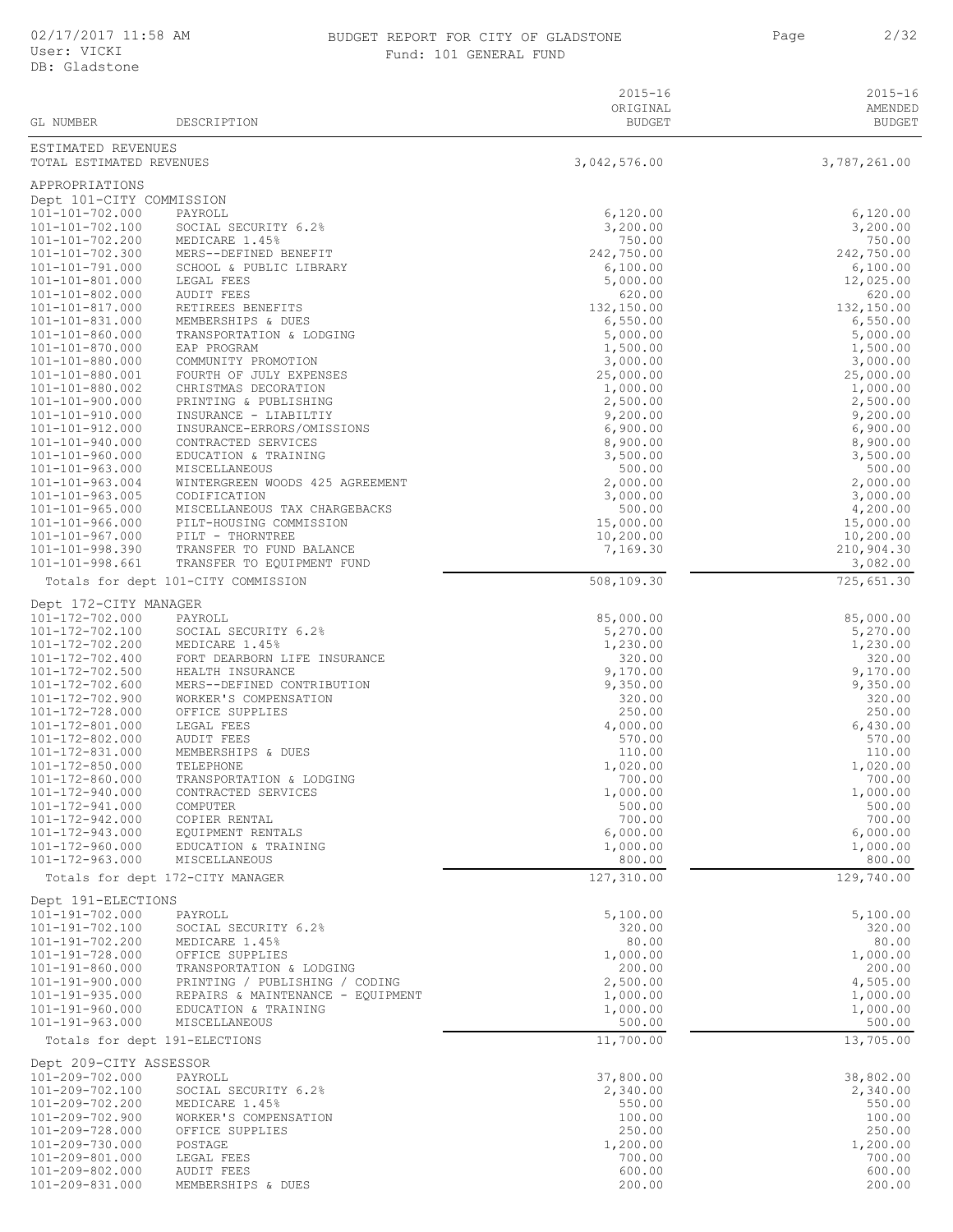### BUDGET REPORT FOR CITY OF GLADSTONE Fund: 101 GENERAL FUND

Page 2/32

|                                                        |                                                        | $2015 - 16$<br>ORIGINAL | $2015 - 16$<br>AMENDED |
|--------------------------------------------------------|--------------------------------------------------------|-------------------------|------------------------|
| GL NUMBER                                              | DESCRIPTION                                            | <b>BUDGET</b>           | <b>BUDGET</b>          |
| ESTIMATED REVENUES<br>TOTAL ESTIMATED REVENUES         |                                                        |                         |                        |
|                                                        |                                                        | 3,042,576.00            | 3,787,261.00           |
| APPROPRIATIONS                                         |                                                        |                         |                        |
| Dept 101-CITY COMMISSION<br>101-101-702.000            | PAYROLL                                                | 6,120.00                | 6,120.00               |
| 101-101-702.100                                        | SOCIAL SECURITY 6.2%                                   | 3,200.00                | 3,200.00               |
| 101-101-702.200                                        | MEDICARE 1.45%                                         | 750.00                  | 750.00                 |
| 101-101-702.300<br>$101 - 101 - 791.000$               | MERS--DEFINED BENEFIT<br>SCHOOL & PUBLIC LIBRARY       | 242,750.00<br>6,100.00  | 242,750.00<br>6,100.00 |
| 101-101-801.000                                        | LEGAL FEES                                             | 5,000.00                | 12,025.00              |
| 101-101-802.000                                        | <b>AUDIT FEES</b>                                      | 620.00                  | 620.00                 |
| 101-101-817.000<br>101-101-831.000                     | RETIREES BENEFITS<br>MEMBERSHIPS & DUES                | 132,150.00<br>6,550.00  | 132,150.00<br>6,550.00 |
| 101-101-860.000                                        | TRANSPORTATION & LODGING                               | 5,000.00                | 5,000.00               |
| 101-101-870.000                                        | EAP PROGRAM                                            | 1,500.00                | 1,500.00               |
| 101-101-880.000<br>101-101-880.001                     | COMMUNITY PROMOTION<br>FOURTH OF JULY EXPENSES         | 3,000.00<br>25,000.00   | 3,000.00<br>25,000.00  |
| 101-101-880.002                                        | CHRISTMAS DECORATION                                   | 1,000.00                | 1,000.00               |
| 101-101-900.000                                        | PRINTING & PUBLISHING                                  | 2,500.00                | 2,500.00               |
| 101-101-910.000                                        | INSURANCE - LIABILTIY                                  | 9,200.00                | 9,200.00               |
| 101-101-912.000<br>101-101-940.000                     | INSURANCE-ERRORS/OMISSIONS<br>CONTRACTED SERVICES      | 6,900.00<br>8,900.00    | 6,900.00<br>8,900.00   |
| 101-101-960.000                                        | EDUCATION & TRAINING                                   | 3,500.00                | 3,500.00               |
| $101 - 101 - 963.000$                                  | MISCELLANEOUS                                          | 500.00                  | 500.00                 |
| $101 - 101 - 963.004$<br>$101 - 101 - 963.005$         | WINTERGREEN WOODS 425 AGREEMENT<br>CODIFICATION        | 2,000.00<br>3,000.00    | 2,000.00<br>3,000.00   |
| $101 - 101 - 965.000$                                  | MISCELLANEOUS TAX CHARGEBACKS                          | 500.00                  | 4,200.00               |
| $101 - 101 - 966.000$                                  | PILT-HOUSING COMMISSION                                | 15,000.00               | 15,000.00              |
| $101 - 101 - 967.000$<br>$101 - 101 - 998.390$         | PILT - THORNTREE                                       | 10, 200.00<br>7,169.30  | 10, 200.00             |
| $101 - 101 - 998.661$                                  | TRANSFER TO FUND BALANCE<br>TRANSFER TO EQUIPMENT FUND |                         | 210,904.30<br>3,082.00 |
|                                                        | Totals for dept 101-CITY COMMISSION                    | 508,109.30              | 725,651.30             |
| Dept 172-CITY MANAGER                                  |                                                        |                         |                        |
| 101-172-702.000<br>101-172-702.100                     | PAYROLL<br>SOCIAL SECURITY 6.2%                        | 85,000.00<br>5,270.00   | 85,000.00<br>5,270.00  |
| 101-172-702.200                                        | MEDICARE 1.45%                                         | 1,230.00                | 1,230.00               |
| 101-172-702.400                                        | FORT DEARBORN LIFE INSURANCE                           | 320.00                  | 320.00                 |
| 101-172-702.500                                        | HEALTH INSURANCE                                       | 9,170.00                | 9,170.00               |
| 101-172-702.600<br>101-172-702.900                     | MERS--DEFINED CONTRIBUTION<br>WORKER'S COMPENSATION    | 9,350.00<br>320.00      | 9,350.00<br>320.00     |
| 101-172-728.000                                        | OFFICE SUPPLIES                                        | 250.00                  | 250.00                 |
| 101-172-801.000                                        | LEGAL FEES                                             | 4,000.00                | 6,430.00               |
| 101-172-802.000<br>101-172-831.000                     | <b>AUDIT FEES</b><br>MEMBERSHIPS & DUES                | 570.00<br>110.00        | 570.00<br>110.00       |
| 101-172-850.000                                        | TELEPHONE                                              | 1,020.00                | 1,020.00               |
| 101-172-860.000                                        | TRANSPORTATION & LODGING                               | 700.00                  | 700.00                 |
| 101-172-940.000<br>101-172-941.000                     | CONTRACTED SERVICES<br>COMPUTER                        | 1,000.00<br>500.00      | 1,000.00<br>500.00     |
| 101-172-942.000                                        | COPIER RENTAL                                          | 700.00                  | 700.00                 |
| 101-172-943.000                                        | EQUIPMENT RENTALS                                      | 6,000.00                | 6,000.00               |
| 101-172-960.000                                        | EDUCATION & TRAINING                                   | 1,000.00<br>800.00      | 1,000.00               |
| $101 - 172 - 963.000$                                  | MISCELLANEOUS<br>Totals for dept 172-CITY MANAGER      | 127,310.00              | 800.00<br>129,740.00   |
|                                                        |                                                        |                         |                        |
| Dept 191-ELECTIONS<br>101-191-702.000                  | PAYROLL                                                | 5,100.00                | 5,100.00               |
| 101-191-702.100                                        | SOCIAL SECURITY 6.2%                                   | 320.00                  | 320.00                 |
| 101-191-702.200                                        | MEDICARE 1.45%                                         | 80.00                   | 80.00                  |
| 101-191-728.000<br>$101 - 191 - 860.000$               | OFFICE SUPPLIES<br>TRANSPORTATION & LODGING            | 1,000.00<br>200.00      | 1,000.00<br>200.00     |
| $101 - 191 - 900.000$                                  | PRINTING / PUBLISHING / CODING                         | 2,500.00                | 4,505.00               |
| $101 - 191 - 935.000$                                  | REPAIRS & MAINTENANCE - EQUIPMENT                      | 1,000.00                | 1,000.00               |
| $101 - 191 - 960.000$                                  | EDUCATION & TRAINING                                   | 1,000.00                | 1,000.00               |
| $101 - 191 - 963.000$<br>Totals for dept 191-ELECTIONS | MISCELLANEOUS                                          | 500.00<br>11,700.00     | 500.00<br>13,705.00    |
| Dept 209-CITY ASSESSOR                                 |                                                        |                         |                        |
| 101-209-702.000                                        | PAYROLL                                                | 37,800.00               | 38,802.00              |
| 101-209-702.100                                        | SOCIAL SECURITY 6.2%                                   | 2,340.00                | 2,340.00               |
| 101-209-702.200<br>101-209-702.900                     | MEDICARE 1.45%<br>WORKER'S COMPENSATION                | 550.00<br>100.00        | 550.00<br>100.00       |
| 101-209-728.000                                        | OFFICE SUPPLIES                                        | 250.00                  | 250.00                 |
| 101-209-730.000                                        | POSTAGE                                                | 1,200.00                | 1,200.00               |
| 101-209-801.000<br>101-209-802.000                     | LEGAL FEES<br>AUDIT FEES                               | 700.00<br>600.00        | 700.00<br>600.00       |
| 101-209-831.000                                        | MEMBERSHIPS & DUES                                     | 200.00                  | 200.00                 |
|                                                        |                                                        |                         |                        |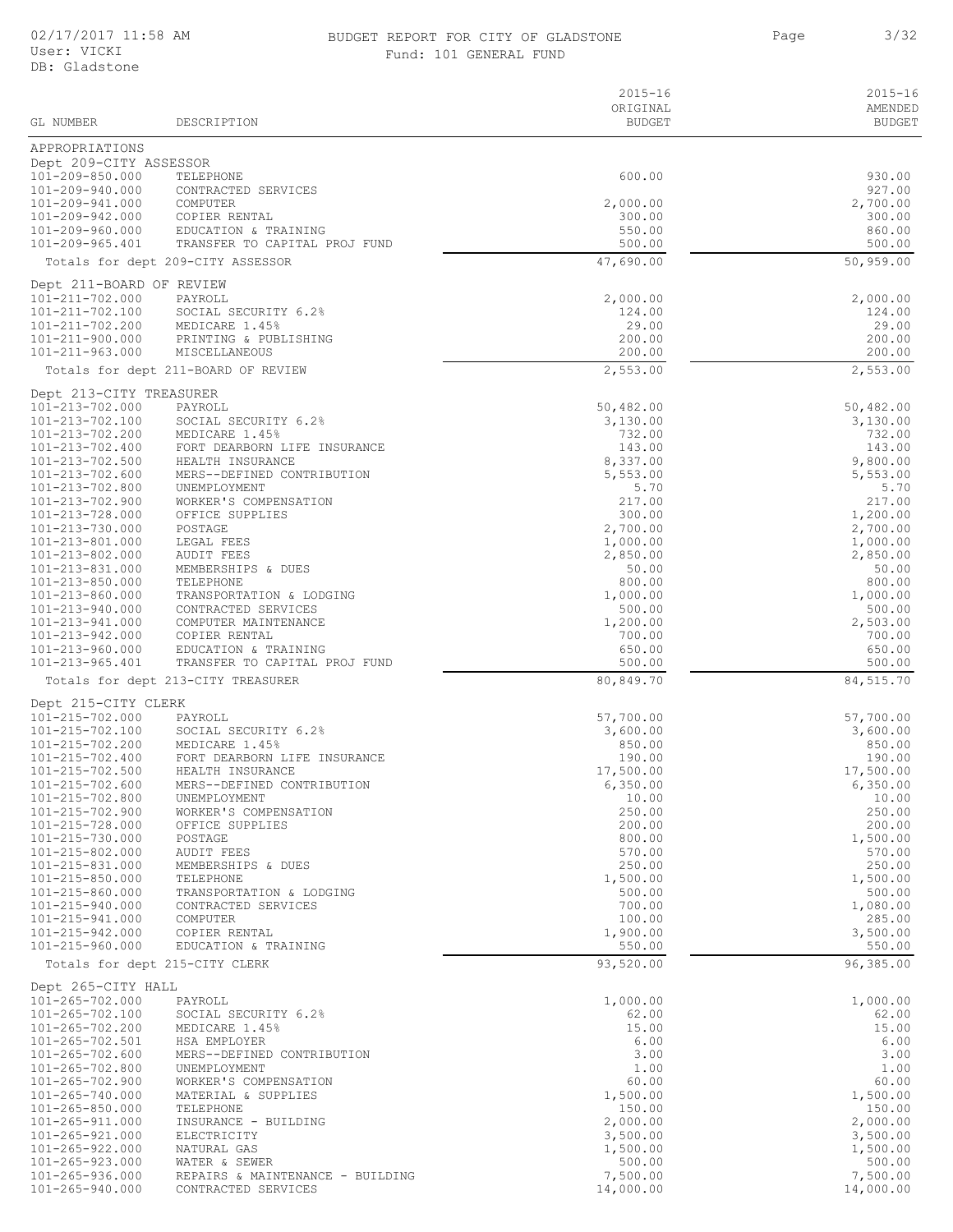## BUDGET REPORT FOR CITY OF GLADSTONE **3/32**

Page 3/32

Fund: 101 GENERAL FUND

| GL NUMBER                                 | DESCRIPTION                                 | $2015 - 16$<br>ORIGINAL<br><b>BUDGET</b> | $2015 - 16$<br>AMENDED<br><b>BUDGET</b> |
|-------------------------------------------|---------------------------------------------|------------------------------------------|-----------------------------------------|
|                                           |                                             |                                          |                                         |
| APPROPRIATIONS                            |                                             |                                          |                                         |
| Dept 209-CITY ASSESSOR<br>101-209-850.000 | TELEPHONE                                   | 600.00                                   | 930.00                                  |
| 101-209-940.000                           | CONTRACTED SERVICES                         |                                          | 927.00                                  |
| 101-209-941.000                           | COMPUTER                                    | 2,000.00                                 | 2,700.00                                |
| 101-209-942.000<br>101-209-960.000        | COPIER RENTAL<br>EDUCATION & TRAINING       | 300.00<br>550.00                         | 300.00<br>860.00                        |
| 101-209-965.401                           | TRANSFER TO CAPITAL PROJ FUND               | 500.00                                   | 500.00                                  |
|                                           | Totals for dept 209-CITY ASSESSOR           | 47,690.00                                | 50,959.00                               |
| Dept 211-BOARD OF REVIEW                  |                                             |                                          |                                         |
| 101-211-702.000                           | PAYROLL                                     | 2,000.00                                 | 2,000.00                                |
| 101-211-702.100                           | SOCIAL SECURITY 6.2%                        | 124.00                                   | 124.00                                  |
| 101-211-702.200<br>101-211-900.000        | MEDICARE 1.45%<br>PRINTING & PUBLISHING     | 29.00<br>200.00                          | 29.00<br>200.00                         |
| $101 - 211 - 963.000$                     | MISCELLANEOUS                               | 200.00                                   | 200.00                                  |
|                                           | Totals for dept 211-BOARD OF REVIEW         | 2,553.00                                 | 2,553.00                                |
| Dept 213-CITY TREASURER                   |                                             |                                          |                                         |
| 101-213-702.000                           | PAYROLL                                     | 50,482.00                                | 50,482.00                               |
| 101-213-702.100<br>101-213-702.200        | SOCIAL SECURITY 6.2%<br>MEDICARE 1.45%      | 3,130.00<br>732.00                       | 3,130.00<br>732.00                      |
| 101-213-702.400                           | FORT DEARBORN LIFE INSURANCE                | 143.00                                   | 143.00                                  |
| 101-213-702.500                           | HEALTH INSURANCE                            | 8,337.00                                 | 9,800.00                                |
| 101-213-702.600                           | MERS--DEFINED CONTRIBUTION                  | 5,553.00                                 | 5,553.00                                |
| 101-213-702.800<br>101-213-702.900        | UNEMPLOYMENT<br>WORKER'S COMPENSATION       | 5.70<br>217.00                           | 5.70<br>217.00                          |
| 101-213-728.000                           | OFFICE SUPPLIES                             | 300.00                                   | 1,200.00                                |
| 101-213-730.000                           | POSTAGE                                     | 2,700.00                                 | 2,700.00                                |
| 101-213-801.000<br>101-213-802.000        | LEGAL FEES                                  | 1,000.00                                 | 1,000.00<br>2,850.00                    |
| 101-213-831.000                           | <b>AUDIT FEES</b><br>MEMBERSHIPS & DUES     | 2,850.00<br>50.00                        | 50.00                                   |
| 101-213-850.000                           | TELEPHONE                                   | 800.00                                   | 800.00                                  |
| 101-213-860.000                           | TRANSPORTATION & LODGING                    | 1,000.00                                 | 1,000.00                                |
| 101-213-940.000<br>101-213-941.000        | CONTRACTED SERVICES<br>COMPUTER MAINTENANCE | 500.00<br>1,200.00                       | 500.00<br>2,503.00                      |
| 101-213-942.000                           | COPIER RENTAL                               | 700.00                                   | 700.00                                  |
| 101-213-960.000                           | EDUCATION & TRAINING                        | 650.00                                   | 650.00                                  |
| $101 - 213 - 965.401$                     | TRANSFER TO CAPITAL PROJ FUND               | 500.00                                   | 500.00                                  |
|                                           | Totals for dept 213-CITY TREASURER          | 80,849.70                                | 84,515.70                               |
| Dept 215-CITY CLERK                       |                                             |                                          |                                         |
| 101-215-702.000                           | PAYROLL                                     | 57,700.00                                | 57,700.00                               |
| 101-215-702.100<br>101-215-702.200        | SOCIAL SECURITY 6.2%<br>MEDICARE 1.45%      | 3,600.00<br>850.00                       | 3,600.00<br>850.00                      |
| 101-215-702.400                           | FORT DEARBORN LIFE INSURANCE                | 190.00                                   | 190.00                                  |
| 101-215-702.500                           | HEALTH INSURANCE                            | 17,500.00                                | 17,500.00                               |
| 101-215-702.600<br>101-215-702.800        | MERS--DEFINED CONTRIBUTION<br>UNEMPLOYMENT  | 6,350.00<br>10.00                        | 6,350.00<br>10.00                       |
| 101-215-702.900                           | WORKER'S COMPENSATION                       | 250.00                                   | 250.00                                  |
| 101-215-728.000                           | OFFICE SUPPLIES                             | 200.00                                   | 200.00                                  |
| 101-215-730.000                           | POSTAGE                                     | 800.00<br>570.00                         | 1,500.00                                |
| 101-215-802.000<br>101-215-831.000        | <b>AUDIT FEES</b><br>MEMBERSHIPS & DUES     | 250.00                                   | 570.00<br>250.00                        |
| 101-215-850.000                           | TELEPHONE                                   | 1,500.00                                 | 1,500.00                                |
| 101-215-860.000                           | TRANSPORTATION & LODGING                    | 500.00                                   | 500.00                                  |
| 101-215-940.000<br>101-215-941.000        | CONTRACTED SERVICES<br>COMPUTER             | 700.00<br>100.00                         | 1,080.00<br>285.00                      |
| 101-215-942.000                           | COPIER RENTAL                               | 1,900.00                                 | 3,500.00                                |
| 101-215-960.000                           | EDUCATION & TRAINING                        | 550.00                                   | 550.00                                  |
|                                           | Totals for dept 215-CITY CLERK              | 93,520.00                                | 96,385.00                               |
| Dept 265-CITY HALL                        |                                             |                                          |                                         |
| 101-265-702.000                           | PAYROLL                                     | 1,000.00                                 | 1,000.00                                |
| 101-265-702.100                           | SOCIAL SECURITY 6.2%                        | 62.00                                    | 62.00                                   |
| 101-265-702.200<br>101-265-702.501        | MEDICARE 1.45%<br>HSA EMPLOYER              | 15.00<br>6.00                            | 15.00<br>6.00                           |
| 101-265-702.600                           | MERS--DEFINED CONTRIBUTION                  | 3.00                                     | 3.00                                    |
| 101-265-702.800                           | UNEMPLOYMENT                                | 1.00                                     | 1.00                                    |
| 101-265-702.900                           | WORKER'S COMPENSATION                       | 60.00                                    | 60.00                                   |
| 101-265-740.000<br>$101 - 265 - 850.000$  | MATERIAL & SUPPLIES<br>TELEPHONE            | 1,500.00<br>150.00                       | 1,500.00<br>150.00                      |
| 101-265-911.000                           | INSURANCE - BUILDING                        | 2,000.00                                 | 2,000.00                                |
| 101-265-921.000                           | ELECTRICITY                                 | 3,500.00                                 | 3,500.00                                |
| $101 - 265 - 922.000$<br>101-265-923.000  | NATURAL GAS<br>WATER & SEWER                | 1,500.00<br>500.00                       | 1,500.00<br>500.00                      |
| 101-265-936.000                           | REPAIRS & MAINTENANCE - BUILDING            | 7,500.00                                 | 7,500.00                                |
| 101-265-940.000                           | CONTRACTED SERVICES                         | 14,000.00                                | 14,000.00                               |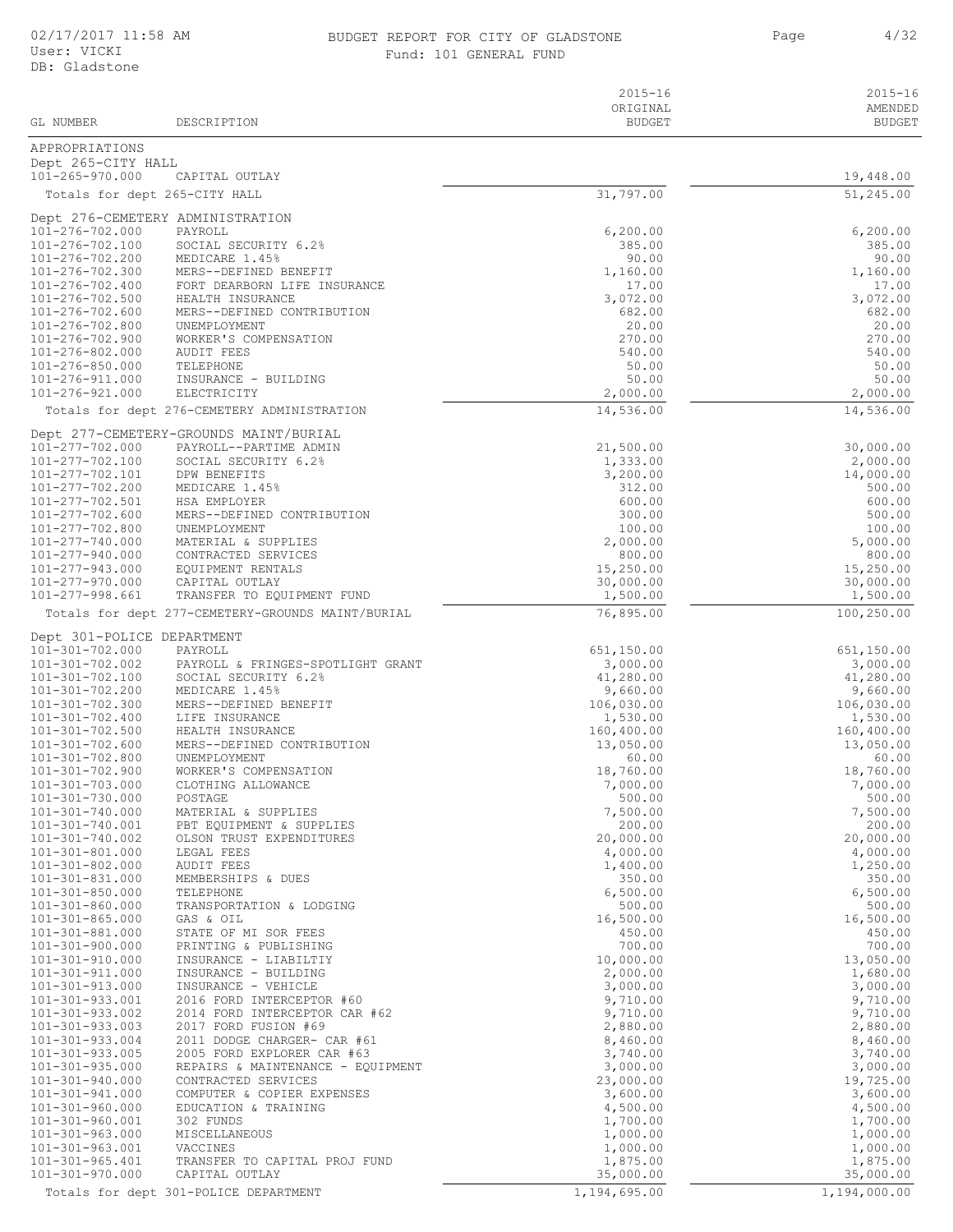### BUDGET REPORT FOR CITY OF GLADSTONE **1/32** Page 4/32 Fund: 101 GENERAL FUND

| GL NUMBER                                | DESCRIPTION                                                      | $2015 - 16$<br>ORIGINAL<br><b>BUDGET</b> | $2015 - 16$<br>AMENDED<br><b>BUDGET</b> |
|------------------------------------------|------------------------------------------------------------------|------------------------------------------|-----------------------------------------|
|                                          |                                                                  |                                          |                                         |
| APPROPRIATIONS<br>Dept 265-CITY HALL     |                                                                  |                                          |                                         |
| 101-265-970.000                          | CAPITAL OUTLAY                                                   |                                          | 19,448.00                               |
|                                          | Totals for dept 265-CITY HALL                                    | 31,797.00                                | 51,245.00                               |
|                                          | Dept 276-CEMETERY ADMINISTRATION                                 |                                          |                                         |
| 101-276-702.000                          | PAYROLL                                                          | 6, 200.00                                | 6,200.00                                |
| 101-276-702.100                          | SOCIAL SECURITY 6.2%                                             | 385.00                                   | 385.00                                  |
| 101-276-702.200<br>101-276-702.300       | MEDICARE 1.45%                                                   | 90.00                                    | 90.00                                   |
| 101-276-702.400                          | MERS--DEFINED BENEFIT<br>FORT DEARBORN LIFE INSURANCE            | 1,160.00<br>17.00                        | 1,160.00<br>17.00                       |
| 101-276-702.500                          | HEALTH INSURANCE                                                 | 3,072.00                                 | 3,072.00                                |
| 101-276-702.600                          | MERS--DEFINED CONTRIBUTION                                       | 682.00                                   | 682.00                                  |
| 101-276-702.800<br>101-276-702.900       | UNEMPLOYMENT<br>WORKER'S COMPENSATION                            | 20.00<br>270.00                          | 20.00<br>270.00                         |
| 101-276-802.000                          | AUDIT FEES                                                       | 540.00                                   | 540.00                                  |
| 101-276-850.000                          | TELEPHONE                                                        | 50.00                                    | 50.00                                   |
| 101-276-911.000<br>101-276-921.000       | INSURANCE - BUILDING<br>ELECTRICITY                              | 50.00<br>2,000.00                        | 50.00<br>2,000.00                       |
|                                          | Totals for dept 276-CEMETERY ADMINISTRATION                      | 14,536.00                                | 14,536.00                               |
|                                          |                                                                  |                                          |                                         |
| 101-277-702.000                          | Dept 277-CEMETERY-GROUNDS MAINT/BURIAL<br>PAYROLL--PARTIME ADMIN | 21,500.00                                | 30,000.00                               |
| 101-277-702.100                          | SOCIAL SECURITY 6.2%                                             | 1,333.00                                 | 2,000.00                                |
| 101-277-702.101                          | DPW BENEFITS                                                     | 3,200.00                                 | 14,000.00                               |
| 101-277-702.200<br>101-277-702.501       | MEDICARE 1.45%<br>HSA EMPLOYER                                   | 312.00<br>600.00                         | 500.00<br>600.00                        |
| 101-277-702.600                          | MERS--DEFINED CONTRIBUTION                                       | 300.00                                   | 500.00                                  |
| 101-277-702.800                          | UNEMPLOYMENT                                                     | 100.00                                   | 100.00                                  |
| 101-277-740.000                          | MATERIAL & SUPPLIES                                              | 2,000.00                                 | 5,000.00                                |
| 101-277-940.000<br>101-277-943.000       | CONTRACTED SERVICES<br>EQUIPMENT RENTALS                         | 800.00<br>15,250.00                      | 800.00<br>15,250.00                     |
| 101-277-970.000                          | CAPITAL OUTLAY                                                   | 30,000.00                                | 30,000.00                               |
| 101-277-998.661                          | TRANSFER TO EQUIPMENT FUND                                       | 1,500.00                                 | 1,500.00                                |
|                                          | Totals for dept 277-CEMETERY-GROUNDS MAINT/BURIAL                | 76,895.00                                | 100,250.00                              |
| Dept 301-POLICE DEPARTMENT               |                                                                  |                                          |                                         |
| 101-301-702.000                          | PAYROLL                                                          | 651,150.00                               | 651,150.00                              |
| 101-301-702.002<br>101-301-702.100       | PAYROLL & FRINGES-SPOTLIGHT GRANT<br>SOCIAL SECURITY 6.2%        | 3,000.00<br>41,280.00                    | 3,000.00<br>41,280.00                   |
| 101-301-702.200                          | MEDICARE 1.45%                                                   | 9,660.00                                 | 9,660.00                                |
| 101-301-702.300                          | MERS--DEFINED BENEFIT                                            | 106,030.00                               | 106,030.00                              |
| 101-301-702.400<br>101-301-702.500       | LIFE INSURANCE<br>HEALTH INSURANCE                               | 1,530.00<br>160,400.00                   | 1,530.00                                |
| $101 - 301 - 702.600$                    | MERS--DEFINED CONTRIBUTION                                       | 13,050.00                                | 160,400.00<br>13,050.00                 |
| 101-301-702.800                          | UNEMPLOYMENT                                                     | 60.00                                    | 60.00                                   |
| 101-301-702.900                          | WORKER'S COMPENSATION                                            | 18,760.00                                | 18,760.00                               |
| $101 - 301 - 703.000$<br>101-301-730.000 | CLOTHING ALLOWANCE<br>POSTAGE                                    | 7,000.00<br>500.00                       | 7,000.00<br>500.00                      |
| 101-301-740.000                          | MATERIAL & SUPPLIES                                              | 7,500.00                                 | 7,500.00                                |
| 101-301-740.001                          | PBT EQUIPMENT & SUPPLIES                                         | 200.00                                   | 200.00                                  |
| 101-301-740.002<br>$101 - 301 - 801.000$ | OLSON TRUST EXPENDITURES<br>LEGAL FEES                           | 20,000.00<br>4,000.00                    | 20,000.00<br>4,000.00                   |
| 101-301-802.000                          | <b>AUDIT FEES</b>                                                | 1,400.00                                 | 1,250.00                                |
| 101-301-831.000                          | MEMBERSHIPS & DUES                                               | 350.00                                   | 350.00                                  |
| $101 - 301 - 850.000$<br>101-301-860.000 | TELEPHONE<br>TRANSPORTATION & LODGING                            | 6,500.00<br>500.00                       | 6,500.00<br>500.00                      |
| $101 - 301 - 865.000$                    | GAS & OIL                                                        | 16,500.00                                | 16,500.00                               |
| 101-301-881.000                          | STATE OF MI SOR FEES                                             | 450.00                                   | 450.00                                  |
| 101-301-900.000                          | PRINTING & PUBLISHING                                            | 700.00                                   | 700.00                                  |
| 101-301-910.000<br>101-301-911.000       | INSURANCE - LIABILTIY<br>INSURANCE - BUILDING                    | 10,000.00<br>2,000.00                    | 13,050.00<br>1,680.00                   |
| 101-301-913.000                          | INSURANCE - VEHICLE                                              | 3,000.00                                 | 3,000.00                                |
| 101-301-933.001                          | 2016 FORD INTERCEPTOR #60                                        | 9,710.00                                 | 9,710.00                                |
| 101-301-933.002<br>101-301-933.003       | 2014 FORD INTERCEPTOR CAR #62<br>2017 FORD FUSION #69            | 9,710.00<br>2,880.00                     | 9,710.00<br>2,880.00                    |
| 101-301-933.004                          | 2011 DODGE CHARGER- CAR #61                                      | 8,460.00                                 | 8,460.00                                |
| $101 - 301 - 933.005$                    | 2005 FORD EXPLORER CAR #63                                       | 3,740.00                                 | 3,740.00                                |
| $101 - 301 - 935.000$<br>101-301-940.000 | REPAIRS & MAINTENANCE - EQUIPMENT<br>CONTRACTED SERVICES         | 3,000.00                                 | 3,000.00<br>19,725.00                   |
| 101-301-941.000                          | COMPUTER & COPIER EXPENSES                                       | 23,000.00<br>3,600.00                    | 3,600.00                                |
| 101-301-960.000                          | EDUCATION & TRAINING                                             | 4,500.00                                 | 4,500.00                                |
| 101-301-960.001                          | 302 FUNDS                                                        | 1,700.00                                 | 1,700.00                                |
| $101 - 301 - 963.000$<br>101-301-963.001 | MISCELLANEOUS<br>VACCINES                                        | 1,000.00<br>1,000.00                     | 1,000.00<br>1,000.00                    |
| 101-301-965.401                          | TRANSFER TO CAPITAL PROJ FUND                                    | 1,875.00                                 | 1,875.00                                |
| 101-301-970.000                          | CAPITAL OUTLAY                                                   | 35,000.00                                | 35,000.00                               |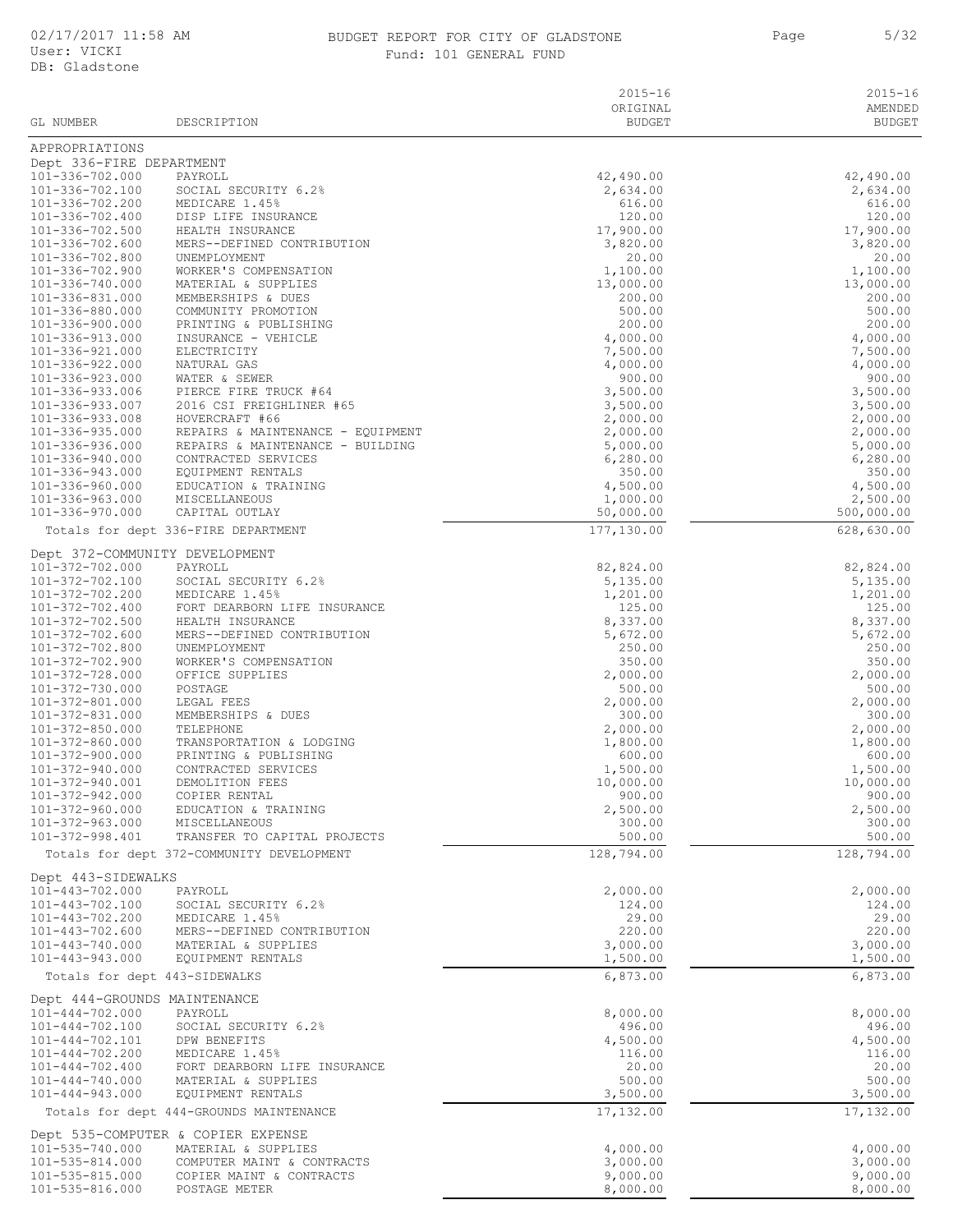#### BUDGET REPORT FOR CITY OF GLADSTONE THE SAME Rage S/32 Fund: 101 GENERAL FUND

| GL NUMBER                                      | DESCRIPTION                                                           | $2015 - 16$<br>ORIGINAL<br><b>BUDGET</b> | $2015 - 16$<br>AMENDED<br><b>BUDGET</b> |
|------------------------------------------------|-----------------------------------------------------------------------|------------------------------------------|-----------------------------------------|
| APPROPRIATIONS                                 |                                                                       |                                          |                                         |
| Dept 336-FIRE DEPARTMENT                       |                                                                       |                                          |                                         |
| 101-336-702.000                                | PAYROLL                                                               | 42,490.00                                | 42,490.00                               |
| 101-336-702.100                                | SOCIAL SECURITY 6.2%                                                  | 2,634.00                                 | 2,634.00                                |
| 101-336-702.200<br>101-336-702.400             | MEDICARE 1.45%<br>DISP LIFE INSURANCE                                 | 616.00<br>120.00                         | 616.00<br>120.00                        |
| 101-336-702.500                                | HEALTH INSURANCE                                                      | 17,900.00                                | 17,900.00                               |
| 101-336-702.600                                | MERS--DEFINED CONTRIBUTION                                            | 3,820.00                                 | 3,820.00                                |
| 101-336-702.800                                | UNEMPLOYMENT                                                          | 20.00                                    | 20.00                                   |
| $101 - 336 - 702.900$                          | WORKER'S COMPENSATION                                                 | 1,100.00                                 | 1,100.00                                |
| 101-336-740.000<br>101-336-831.000             | MATERIAL & SUPPLIES<br>MEMBERSHIPS & DUES                             | 13,000.00<br>200.00                      | 13,000.00<br>200.00                     |
| 101-336-880.000                                | COMMUNITY PROMOTION                                                   | 500.00                                   | 500.00                                  |
| 101-336-900.000                                | PRINTING & PUBLISHING                                                 | 200.00                                   | 200.00                                  |
| 101-336-913.000                                | INSURANCE - VEHICLE                                                   | 4,000.00                                 | 4,000.00                                |
| 101-336-921.000                                | ELECTRICITY                                                           | 7,500.00                                 | 7,500.00                                |
| 101-336-922.000<br>101-336-923.000             | NATURAL GAS<br>WATER & SEWER                                          | 4,000.00<br>900.00                       | 4,000.00<br>900.00                      |
| 101-336-933.006                                | PIERCE FIRE TRUCK #64                                                 | 3,500.00                                 | 3,500.00                                |
| 101-336-933.007                                | 2016 CSI FREIGHLINER #65                                              | 3,500.00                                 | 3,500.00                                |
| 101-336-933.008                                | HOVERCRAFT #66                                                        | 2,000.00                                 | 2,000.00                                |
| 101-336-935.000                                | REPAIRS & MAINTENANCE - EQUIPMENT<br>REPAIRS & MAINTENANCE - BUILDING | 2,000.00                                 | 2,000.00                                |
| 101-336-936.000<br>101-336-940.000             | CONTRACTED SERVICES                                                   | 5,000.00<br>6, 280.00                    | 5,000.00<br>6,280.00                    |
| 101-336-943.000                                | EQUIPMENT RENTALS                                                     | 350.00                                   | 350.00                                  |
| 101-336-960.000                                | EDUCATION & TRAINING                                                  | 4,500.00                                 | 4,500.00                                |
| 101-336-963.000                                | MISCELLANEOUS                                                         | 1,000.00                                 | 2,500.00                                |
| 101-336-970.000                                | CAPITAL OUTLAY                                                        | 50,000.00                                | 500,000.00                              |
|                                                | Totals for dept 336-FIRE DEPARTMENT                                   | 177,130.00                               | 628,630.00                              |
| Dept 372-COMMUNITY DEVELOPMENT                 |                                                                       |                                          |                                         |
| 101-372-702.000                                | PAYROLL                                                               | 82,824.00                                | 82,824.00                               |
| 101-372-702.100<br>101-372-702.200             | SOCIAL SECURITY 6.2%<br>MEDICARE 1.45%                                | 5,135.00<br>1,201.00                     | 5,135.00<br>1,201.00                    |
| 101-372-702.400                                | FORT DEARBORN LIFE INSURANCE                                          | 125.00                                   | 125.00                                  |
| 101-372-702.500                                | HEALTH INSURANCE                                                      | 8,337.00                                 | 8,337.00                                |
| 101-372-702.600                                | MERS--DEFINED CONTRIBUTION                                            | 5,672.00                                 | 5,672.00                                |
| 101-372-702.800                                | UNEMPLOYMENT                                                          | 250.00                                   | 250.00                                  |
| 101-372-702.900<br>101-372-728.000             | WORKER'S COMPENSATION<br>OFFICE SUPPLIES                              | 350.00<br>2,000.00                       | 350.00<br>2,000.00                      |
| 101-372-730.000                                | POSTAGE                                                               | 500.00                                   | 500.00                                  |
| 101-372-801.000                                | LEGAL FEES                                                            | 2,000.00                                 | 2,000.00                                |
| 101-372-831.000                                | MEMBERSHIPS & DUES                                                    | 300.00                                   | 300.00                                  |
| 101-372-850.000<br>101-372-860.000             | TELEPHONE                                                             | 2,000.00                                 | 2,000.00                                |
| $101 - 372 - 900.000$                          | TRANSPORTATION & LODGING<br>PRINTING & PUBLISHING                     | 1,800.00<br>600.00                       | 1,800.00<br>600.00                      |
| 101-372-940.000                                | CONTRACTED SERVICES                                                   | 1,500.00                                 | 1,500.00                                |
| 101-372-940.001                                | DEMOLITION FEES                                                       | 10,000.00                                | 10,000.00                               |
| 101-372-942.000                                | COPIER RENTAL                                                         | 900.00                                   | 900.00                                  |
| 101-372-960.000                                | EDUCATION & TRAINING                                                  | 2,500.00                                 | 2,500.00<br>300.00                      |
| 101-372-963.000<br>101-372-998.401             | MISCELLANEOUS<br>TRANSFER TO CAPITAL PROJECTS                         | 300.00<br>500.00                         | 500.00                                  |
|                                                | Totals for dept 372-COMMUNITY DEVELOPMENT                             | 128,794.00                               | 128,794.00                              |
| Dept 443-SIDEWALKS                             |                                                                       |                                          |                                         |
| $101 - 443 - 702.000$                          | PAYROLL                                                               | 2,000.00                                 | 2,000.00                                |
| 101-443-702.100                                | SOCIAL SECURITY 6.2%                                                  | 124.00                                   | 124.00                                  |
| 101-443-702.200                                | MEDICARE 1.45%                                                        | 29.00                                    | 29.00                                   |
| 101-443-702.600                                | MERS--DEFINED CONTRIBUTION<br>MATERIAL & SUPPLIES                     | 220.00<br>3,000.00                       | 220.00<br>3,000.00                      |
| 101-443-740.000<br>$101 - 443 - 943.000$       | EQUIPMENT RENTALS                                                     | 1,500.00                                 | 1,500.00                                |
| Totals for dept 443-SIDEWALKS                  |                                                                       | 6,873.00                                 | 6,873.00                                |
| Dept 444-GROUNDS MAINTENANCE                   |                                                                       |                                          |                                         |
| $101 - 444 - 702.000$                          | PAYROLL                                                               | 8,000.00                                 | 8,000.00                                |
| $101 - 444 - 702.100$                          | SOCIAL SECURITY 6.2%                                                  | 496.00                                   | 496.00                                  |
| 101-444-702.101                                | DPW BENEFITS                                                          | 4,500.00                                 | 4,500.00                                |
| $101 - 444 - 702.200$<br>$101 - 444 - 702.400$ | MEDICARE 1.45%<br>FORT DEARBORN LIFE INSURANCE                        | 116.00<br>20.00                          | 116.00<br>20.00                         |
| $101 - 444 - 740.000$                          | MATERIAL & SUPPLIES                                                   | 500.00                                   | 500.00                                  |
| $101 - 444 - 943.000$                          | EQUIPMENT RENTALS                                                     | 3,500.00                                 | 3,500.00                                |
|                                                | Totals for dept 444-GROUNDS MAINTENANCE                               | 17,132.00                                | 17,132.00                               |
|                                                | Dept 535-COMPUTER & COPIER EXPENSE                                    |                                          |                                         |
| 101-535-740.000                                | MATERIAL & SUPPLIES                                                   | 4,000.00                                 | 4,000.00                                |
| 101-535-814.000                                | COMPUTER MAINT & CONTRACTS                                            | 3,000.00                                 | 3,000.00                                |
| 101-535-815.000<br>101-535-816.000             | COPIER MAINT & CONTRACTS<br>POSTAGE METER                             | 9,000.00<br>8,000.00                     | 9,000.00<br>8,000.00                    |
|                                                |                                                                       |                                          |                                         |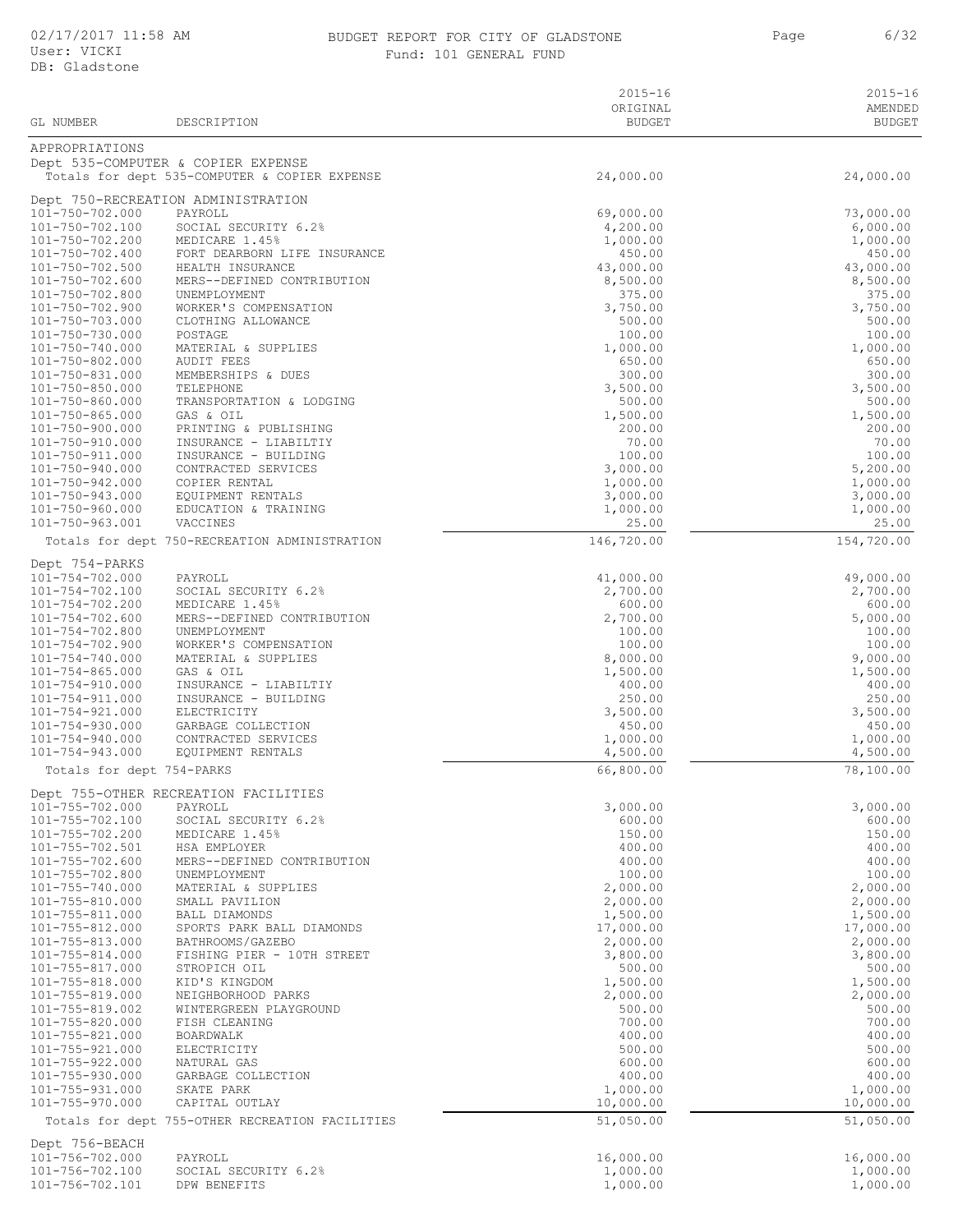#### 02/17/2017 11:58 AM BUDGET REPORT FOR CITY OF GLADSTONE Page BUDGET REPORT FOR CITY OF GLADSTONE **6/32** Page 6/32 Fund: 101 GENERAL FUND

| GL NUMBER                                      | DESCRIPTION                                                                         | $2015 - 16$<br>ORIGINAL<br><b>BUDGET</b> | $2015 - 16$<br>AMENDED<br><b>BUDGET</b> |
|------------------------------------------------|-------------------------------------------------------------------------------------|------------------------------------------|-----------------------------------------|
|                                                |                                                                                     |                                          |                                         |
| APPROPRIATIONS                                 |                                                                                     |                                          |                                         |
|                                                | Dept 535-COMPUTER & COPIER EXPENSE<br>Totals for dept 535-COMPUTER & COPIER EXPENSE | 24,000.00                                | 24,000.00                               |
|                                                |                                                                                     |                                          |                                         |
| 101-750-702.000                                | Dept 750-RECREATION ADMINISTRATION<br>PAYROLL                                       | 69,000.00                                | 73,000.00                               |
| 101-750-702.100                                | SOCIAL SECURITY 6.2%                                                                | 4,200.00                                 | 6,000.00                                |
| 101-750-702.200                                | MEDICARE 1.45%                                                                      | 1,000.00                                 | 1,000.00                                |
| 101-750-702.400<br>101-750-702.500             | FORT DEARBORN LIFE INSURANCE<br>HEALTH INSURANCE                                    | 450.00<br>43,000.00                      | 450.00<br>43,000.00                     |
| 101-750-702.600                                | MERS--DEFINED CONTRIBUTION                                                          | 8,500.00                                 | 8,500.00                                |
| 101-750-702.800                                | UNEMPLOYMENT                                                                        | 375.00                                   | 375.00                                  |
| 101-750-702.900<br>101-750-703.000             | WORKER'S COMPENSATION<br>CLOTHING ALLOWANCE                                         | 3,750.00<br>500.00                       | 3,750.00<br>500.00                      |
| 101-750-730.000                                | POSTAGE                                                                             | 100.00                                   | 100.00                                  |
| 101-750-740.000                                | MATERIAL & SUPPLIES                                                                 | 1,000.00                                 | 1,000.00                                |
| 101-750-802.000<br>101-750-831.000             | <b>AUDIT FEES</b><br>MEMBERSHIPS & DUES                                             | 650.00<br>300.00                         | 650.00<br>300.00                        |
| 101-750-850.000                                | TELEPHONE                                                                           | 3,500.00                                 | 3,500.00                                |
| 101-750-860.000                                | TRANSPORTATION & LODGING                                                            | 500.00                                   | 500.00                                  |
| $101 - 750 - 865.000$<br>101-750-900.000       | GAS & OIL<br>PRINTING & PUBLISHING                                                  | 1,500.00<br>200.00                       | 1,500.00<br>200.00                      |
| 101-750-910.000                                | INSURANCE - LIABILTIY                                                               | 70.00                                    | 70.00                                   |
| 101-750-911.000                                | INSURANCE - BUILDING                                                                | 100.00                                   | 100.00                                  |
| 101-750-940.000<br>101-750-942.000             | CONTRACTED SERVICES<br>COPIER RENTAL                                                | 3,000.00<br>1,000.00                     | 5,200.00<br>1,000.00                    |
| 101-750-943.000                                | EQUIPMENT RENTALS                                                                   | 3,000.00                                 | 3,000.00                                |
| 101-750-960.000                                | EDUCATION & TRAINING                                                                | 1,000.00                                 | 1,000.00                                |
| 101-750-963.001                                | VACCINES                                                                            | 25.00                                    | 25.00                                   |
|                                                | Totals for dept 750-RECREATION ADMINISTRATION                                       | 146,720.00                               | 154,720.00                              |
| Dept 754-PARKS<br>101-754-702.000              | PAYROLL                                                                             | 41,000.00                                | 49,000.00                               |
| 101-754-702.100                                | SOCIAL SECURITY 6.2%                                                                | 2,700.00                                 | 2,700.00                                |
| 101-754-702.200                                | MEDICARE 1.45%                                                                      | 600.00                                   | 600.00                                  |
| $101 - 754 - 702.600$<br>101-754-702.800       | MERS--DEFINED CONTRIBUTION<br>UNEMPLOYMENT                                          | 2,700.00<br>100.00                       | 5,000.00<br>100.00                      |
| 101-754-702.900                                | WORKER'S COMPENSATION                                                               | 100.00                                   | 100.00                                  |
| 101-754-740.000                                | MATERIAL & SUPPLIES                                                                 | 8,000.00                                 | 9,000.00                                |
| $101 - 754 - 865.000$<br>101-754-910.000       | GAS & OIL<br>INSURANCE - LIABILTIY                                                  | 1,500.00<br>400.00                       | 1,500.00<br>400.00                      |
| 101-754-911.000                                | INSURANCE - BUILDING                                                                | 250.00                                   | 250.00                                  |
| $101 - 754 - 921.000$                          | ELECTRICITY                                                                         | 3,500.00                                 | 3,500.00                                |
| $101 - 754 - 930.000$<br>$101 - 754 - 940.000$ | GARBAGE COLLECTION<br>CONTRACTED SERVICES                                           | 450.00<br>1,000.00                       | 450.00<br>1,000.00                      |
| $101 - 754 - 943.000$                          | EQUIPMENT RENTALS                                                                   | 4,500.00                                 | 4,500.00                                |
| Totals for dept 754-PARKS                      |                                                                                     | 66,800.00                                | 78, 100.00                              |
|                                                | Dept 755-OTHER RECREATION FACILITIES                                                |                                          |                                         |
| 101-755-702.000                                | PAYROLL                                                                             | 3,000.00                                 | 3,000.00                                |
| 101-755-702.100<br>101-755-702.200             | SOCIAL SECURITY 6.2%<br>MEDICARE 1.45%                                              | 600.00<br>150.00                         | 600.00<br>150.00                        |
| 101-755-702.501                                | HSA EMPLOYER                                                                        | 400.00                                   | 400.00                                  |
| 101-755-702.600                                | MERS--DEFINED CONTRIBUTION                                                          | 400.00                                   | 400.00                                  |
| 101-755-702.800<br>101-755-740.000             | UNEMPLOYMENT<br>MATERIAL & SUPPLIES                                                 | 100.00<br>2,000.00                       | 100.00<br>2,000.00                      |
| 101-755-810.000                                | SMALL PAVILION                                                                      | 2,000.00                                 | 2,000.00                                |
| 101-755-811.000                                | BALL DIAMONDS                                                                       | 1,500.00                                 | 1,500.00                                |
| 101-755-812.000<br>101-755-813.000             | SPORTS PARK BALL DIAMONDS<br>BATHROOMS/GAZEBO                                       | 17,000.00<br>2,000.00                    | 17,000.00<br>2,000.00                   |
| 101-755-814.000                                | FISHING PIER - 10TH STREET                                                          | 3,800.00                                 | 3,800.00                                |
| 101-755-817.000                                | STROPICH OIL                                                                        | 500.00                                   | 500.00                                  |
| 101-755-818.000                                | KID'S KINGDOM                                                                       | 1,500.00                                 | 1,500.00                                |
| 101-755-819.000<br>101-755-819.002             | NEIGHBORHOOD PARKS<br>WINTERGREEN PLAYGROUND                                        | 2,000.00<br>500.00                       | 2,000.00<br>500.00                      |
| 101-755-820.000                                | FISH CLEANING                                                                       | 700.00                                   | 700.00                                  |
| 101-755-821.000                                | BOARDWALK                                                                           | 400.00                                   | 400.00                                  |
| 101-755-921.000<br>101-755-922.000             | ELECTRICITY<br>NATURAL GAS                                                          | 500.00<br>600.00                         | 500.00<br>600.00                        |
| 101-755-930.000                                | GARBAGE COLLECTION                                                                  | 400.00                                   | 400.00                                  |
| 101-755-931.000                                | SKATE PARK                                                                          | 1,000.00                                 | 1,000.00                                |
| 101-755-970.000                                | CAPITAL OUTLAY<br>Totals for dept 755-OTHER RECREATION FACILITIES                   | 10,000.00<br>51,050.00                   | 10,000.00<br>51,050.00                  |
| Dept 756-BEACH                                 |                                                                                     |                                          |                                         |
| 101-756-702.000                                | PAYROLL                                                                             | 16,000.00                                | 16,000.00                               |
| 101-756-702.100                                | SOCIAL SECURITY 6.2%                                                                | 1,000.00                                 | 1,000.00                                |
| 101-756-702.101                                | DPW BENEFITS                                                                        | 1,000.00                                 | 1,000.00                                |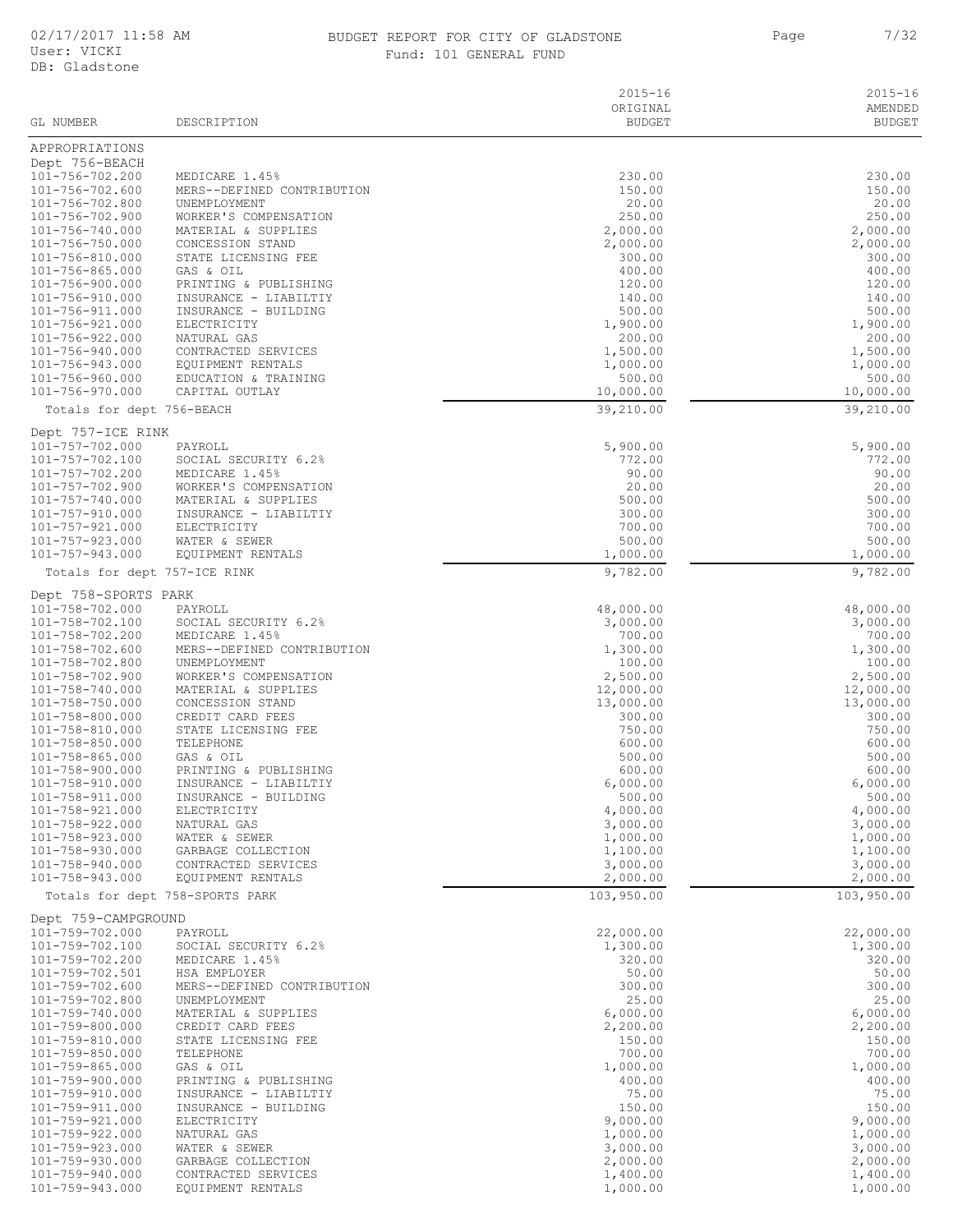#### 02/17/2017 11:58 AM BUDGET REPORT FOR CITY OF GLADSTONE 7/32 Fund: 101 GENERAL FUND

|                                    |                                               | $2015 - 16$<br>ORIGINAL<br><b>BUDGET</b> | $2015 - 16$<br>AMENDED<br><b>BUDGET</b> |
|------------------------------------|-----------------------------------------------|------------------------------------------|-----------------------------------------|
| GL NUMBER                          | DESCRIPTION                                   |                                          |                                         |
| APPROPRIATIONS                     |                                               |                                          |                                         |
| Dept 756-BEACH<br>101-756-702.200  | MEDICARE 1.45%                                | 230.00                                   | 230.00                                  |
| 101-756-702.600                    | MERS--DEFINED CONTRIBUTION                    | 150.00                                   | 150.00                                  |
| 101-756-702.800                    | UNEMPLOYMENT                                  | 20.00                                    | 20.00                                   |
| 101-756-702.900<br>101-756-740.000 | WORKER'S COMPENSATION<br>MATERIAL & SUPPLIES  | 250.00<br>2,000.00                       | 250.00<br>2,000.00                      |
| 101-756-750.000                    | CONCESSION STAND                              | 2,000.00                                 | 2,000.00                                |
| 101-756-810.000                    | STATE LICENSING FEE                           | 300.00                                   | 300.00                                  |
| 101-756-865.000<br>101-756-900.000 | GAS & OIL<br>PRINTING & PUBLISHING            | 400.00<br>120.00                         | 400.00<br>120.00                        |
| 101-756-910.000                    | INSURANCE - LIABILTIY                         | 140.00                                   | 140.00                                  |
| 101-756-911.000                    | INSURANCE - BUILDING                          | 500.00                                   | 500.00                                  |
| 101-756-921.000<br>101-756-922.000 | ELECTRICITY<br>NATURAL GAS                    | 1,900.00<br>200.00                       | 1,900.00<br>200.00                      |
| 101-756-940.000                    | CONTRACTED SERVICES                           | 1,500.00                                 | 1,500.00                                |
| 101-756-943.000                    | EQUIPMENT RENTALS                             | 1,000.00                                 | 1,000.00                                |
| 101-756-960.000                    | EDUCATION & TRAINING<br>CAPITAL OUTLAY        | 500.00                                   | 500.00                                  |
| 101-756-970.000                    |                                               | 10,000.00<br>39,210.00                   | 10,000.00<br>39,210.00                  |
| Totals for dept 756-BEACH          |                                               |                                          |                                         |
| Dept 757-ICE RINK                  |                                               |                                          |                                         |
| 101-757-702.000<br>101-757-702.100 | PAYROLL<br>SOCIAL SECURITY 6.2%               | 5,900.00<br>772.00                       | 5,900.00<br>772.00                      |
| 101-757-702.200                    | MEDICARE 1.45%                                | 90.00                                    | 90.00                                   |
| 101-757-702.900                    | WORKER'S COMPENSATION                         | 20.00                                    | 20.00                                   |
| 101-757-740.000<br>101-757-910.000 | MATERIAL & SUPPLIES<br>INSURANCE - LIABILTIY  | 500.00<br>300.00                         | 500.00<br>300.00                        |
| 101-757-921.000                    | ELECTRICITY                                   | 700.00                                   | 700.00                                  |
| $101 - 757 - 923.000$              | WATER & SEWER                                 | 500.00                                   | 500.00                                  |
| $101 - 757 - 943.000$              | EQUIPMENT RENTALS                             | 1,000.00                                 | 1,000.00                                |
|                                    | Totals for dept 757-ICE RINK                  | 9,782.00                                 | 9,782.00                                |
| Dept 758-SPORTS PARK               |                                               |                                          |                                         |
| 101-758-702.000<br>101-758-702.100 | PAYROLL<br>SOCIAL SECURITY 6.2%               | 48,000.00<br>3,000.00                    | 48,000.00<br>3,000.00                   |
| 101-758-702.200                    | MEDICARE 1.45%                                | 700.00                                   | 700.00                                  |
| 101-758-702.600                    | MERS--DEFINED CONTRIBUTION                    | 1,300.00                                 | 1,300.00                                |
| 101-758-702.800<br>101-758-702.900 | UNEMPLOYMENT<br>WORKER'S COMPENSATION         | 100.00<br>2,500.00                       | 100.00<br>2,500.00                      |
| 101-758-740.000                    | MATERIAL & SUPPLIES                           | 12,000.00                                | 12,000.00                               |
| 101-758-750.000                    | CONCESSION STAND                              | 13,000.00                                | 13,000.00                               |
| 101-758-800.000<br>101-758-810.000 | CREDIT CARD FEES<br>STATE LICENSING FEE       | 300.00<br>750.00                         | 300.00<br>750.00                        |
| 101-758-850.000                    | TELEPHONE                                     | 600.00                                   | 600.00                                  |
| $101 - 758 - 865.000$              | GAS & OIL                                     | 500.00                                   | 500.00                                  |
| 101-758-900.000                    | PRINTING & PUBLISHING                         | 600.00<br>6,000.00                       | 600.00<br>6,000.00                      |
| 101-758-910.000<br>101-758-911.000 | INSURANCE - LIABILTIY<br>INSURANCE - BUILDING | 500.00                                   | 500.00                                  |
| 101-758-921.000                    | ELECTRICITY                                   | 4,000.00                                 | 4,000.00                                |
| 101-758-922.000<br>101-758-923.000 | NATURAL GAS<br>WATER & SEWER                  | 3,000.00                                 | 3,000.00                                |
| 101-758-930.000                    | GARBAGE COLLECTION                            | 1,000.00<br>1,100.00                     | 1,000.00<br>1,100.00                    |
| 101-758-940.000                    | CONTRACTED SERVICES                           | 3,000.00                                 | 3,000.00                                |
| 101-758-943.000                    | EQUIPMENT RENTALS                             | 2,000.00                                 | 2,000.00                                |
|                                    | Totals for dept 758-SPORTS PARK               | 103,950.00                               | 103,950.00                              |
| Dept 759-CAMPGROUND                |                                               |                                          |                                         |
| $101 - 759 - 702.000$              | PAYROLL                                       | 22,000.00                                | 22,000.00                               |
| 101-759-702.100<br>101-759-702.200 | SOCIAL SECURITY 6.2%<br>MEDICARE 1.45%        | 1,300.00<br>320.00                       | 1,300.00<br>320.00                      |
| 101-759-702.501                    | HSA EMPLOYER                                  | 50.00                                    | 50.00                                   |
| 101-759-702.600                    | MERS--DEFINED CONTRIBUTION                    | 300.00                                   | 300.00                                  |
| 101-759-702.800<br>101-759-740.000 | UNEMPLOYMENT<br>MATERIAL & SUPPLIES           | 25.00<br>6,000.00                        | 25.00<br>6,000.00                       |
| 101-759-800.000                    | CREDIT CARD FEES                              | 2,200.00                                 | 2,200.00                                |
| 101-759-810.000                    | STATE LICENSING FEE                           | 150.00                                   | 150.00                                  |
| 101-759-850.000<br>101-759-865.000 | TELEPHONE<br>GAS & OIL                        | 700.00<br>1,000.00                       | 700.00<br>1,000.00                      |
| 101-759-900.000                    | PRINTING & PUBLISHING                         | 400.00                                   | 400.00                                  |
| 101-759-910.000                    | INSURANCE - LIABILTIY                         | 75.00                                    | 75.00                                   |
| 101-759-911.000<br>101-759-921.000 | INSURANCE - BUILDING<br>ELECTRICITY           | 150.00<br>9,000.00                       | 150.00<br>9,000.00                      |
| 101-759-922.000                    | NATURAL GAS                                   | 1,000.00                                 | 1,000.00                                |
| 101-759-923.000                    | WATER & SEWER                                 | 3,000.00                                 | 3,000.00                                |
| 101-759-930.000<br>101-759-940.000 | GARBAGE COLLECTION<br>CONTRACTED SERVICES     | 2,000.00<br>1,400.00                     | 2,000.00<br>1,400.00                    |
| 101-759-943.000                    | EQUIPMENT RENTALS                             | 1,000.00                                 | 1,000.00                                |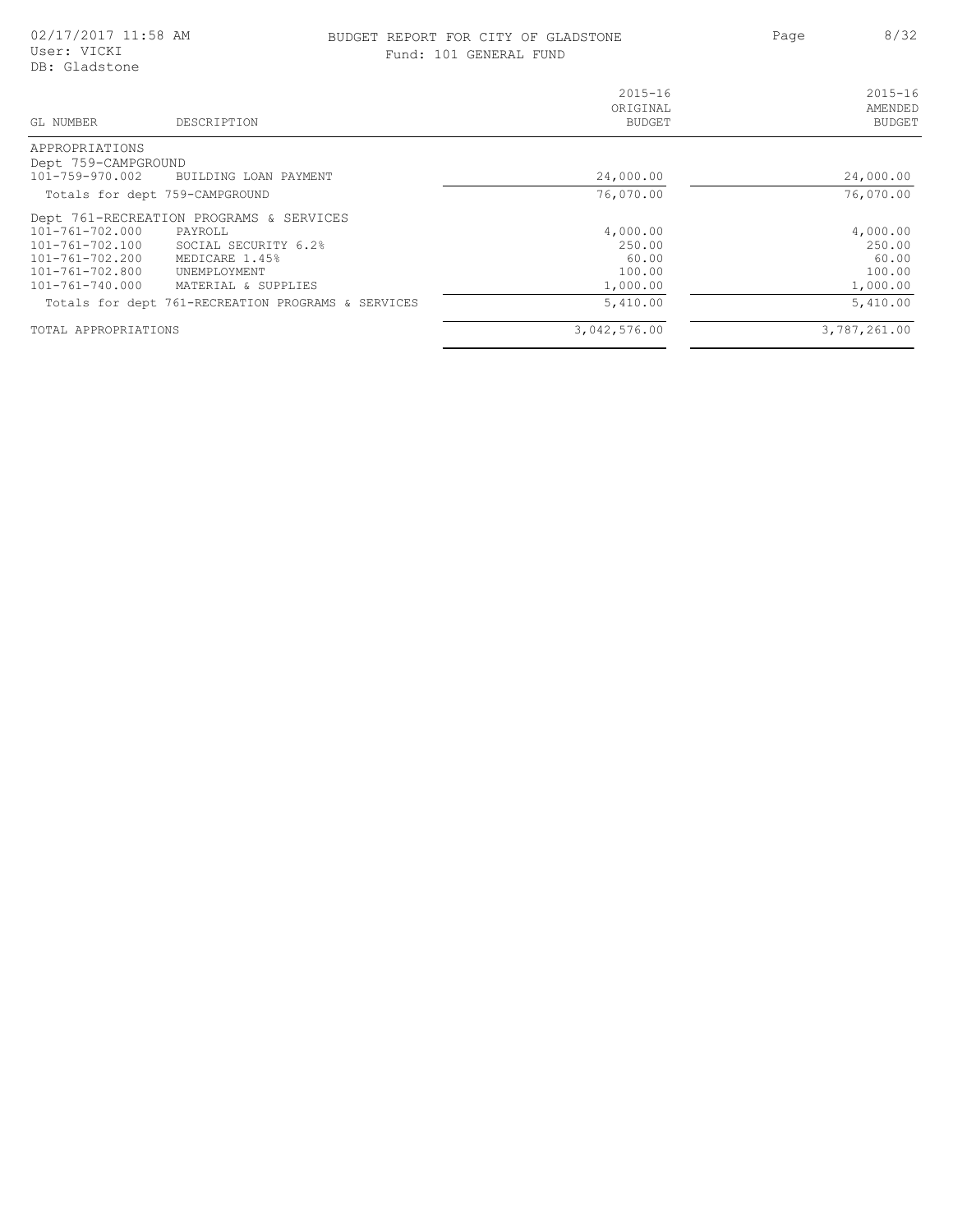#### BUDGET REPORT FOR CITY OF GLADSTONE **8/32** Page 8/32 Fund: 101 GENERAL FUND

| GL NUMBER<br>DESCRIPTION                           | $2015 - 16$<br>ORIGINAL<br><b>BUDGET</b> | $2015 - 16$<br>AMENDED<br><b>BUDGET</b> |
|----------------------------------------------------|------------------------------------------|-----------------------------------------|
| APPROPRIATIONS                                     |                                          |                                         |
| Dept 759-CAMPGROUND                                |                                          |                                         |
| 101-759-970.002<br>BUILDING LOAN PAYMENT           | 24,000.00                                | 24,000.00                               |
| Totals for dept 759-CAMPGROUND                     | 76,070.00                                | 76,070.00                               |
| Dept 761-RECREATION PROGRAMS & SERVICES            |                                          |                                         |
| 101-761-702.000<br>PAYROLL                         | 4,000.00                                 | 4,000.00                                |
| 101-761-702.100<br>SOCIAL SECURITY 6.2%            | 250.00                                   | 250.00                                  |
| 101-761-702.200<br>MEDICARE 1.45%                  | 60.00                                    | 60.00                                   |
| $101 - 761 - 702.800$<br>UNEMPLOYMENT              | 100.00                                   | 100.00                                  |
| $101 - 761 - 740.000$<br>MATERIAL & SUPPLIES       | 1,000.00                                 | 1,000.00                                |
| Totals for dept 761-RECREATION PROGRAMS & SERVICES | 5,410.00                                 | 5,410.00                                |
| TOTAL APPROPRIATIONS                               | 3,042,576.00                             | 3,787,261.00                            |
|                                                    |                                          |                                         |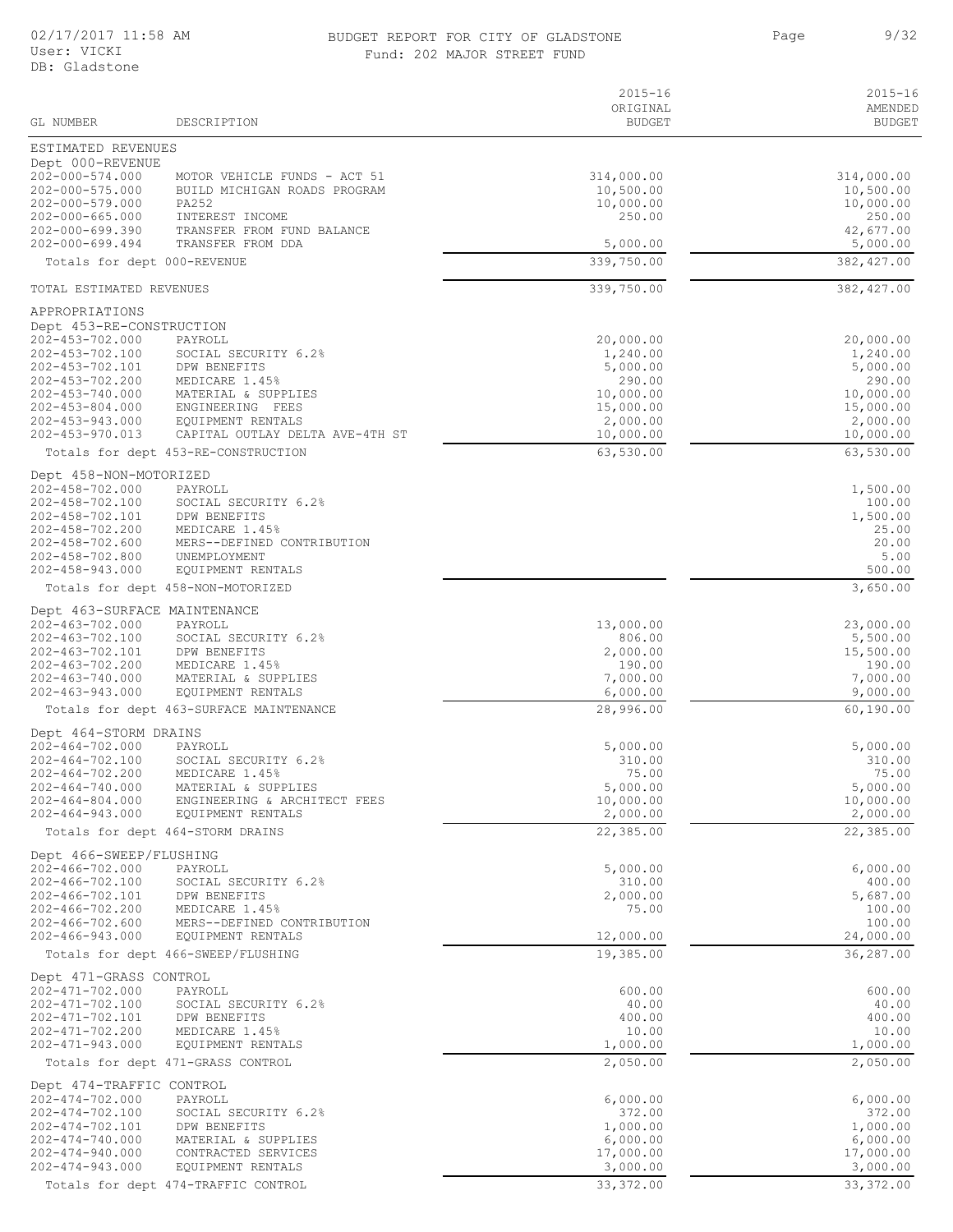#### 02/17/2017 11:58 AM BUDGET REPORT FOR CITY OF GLADSTONE 9/32 Fund: 202 MAJOR STREET FUND

Page 9/32

| GL NUMBER                                                                                                                                                                                    | DESCRIPTION                                                                                                                                                                                                 | $2015 - 16$<br>ORIGINAL<br><b>BUDGET</b>                                                                    | $2015 - 16$<br>AMENDED<br><b>BUDGET</b>                                                                     |
|----------------------------------------------------------------------------------------------------------------------------------------------------------------------------------------------|-------------------------------------------------------------------------------------------------------------------------------------------------------------------------------------------------------------|-------------------------------------------------------------------------------------------------------------|-------------------------------------------------------------------------------------------------------------|
| ESTIMATED REVENUES                                                                                                                                                                           |                                                                                                                                                                                                             |                                                                                                             |                                                                                                             |
| Dept 000-REVENUE<br>202-000-574.000<br>202-000-575.000<br>202-000-579.000<br>202-000-665.000<br>$202 - 000 - 699.390$<br>$202 - 000 - 699.494$                                               | MOTOR VEHICLE FUNDS - ACT 51<br>BUILD MICHIGAN ROADS PROGRAM<br>PA252<br>INTEREST INCOME<br>TRANSFER FROM FUND BALANCE<br>TRANSFER FROM DDA                                                                 | 314,000.00<br>10,500.00<br>10,000.00<br>250.00<br>5,000.00                                                  | 314,000.00<br>10,500.00<br>10,000.00<br>250.00<br>42,677.00<br>5,000.00                                     |
| Totals for dept 000-REVENUE                                                                                                                                                                  |                                                                                                                                                                                                             | 339,750.00                                                                                                  | 382,427.00                                                                                                  |
| TOTAL ESTIMATED REVENUES                                                                                                                                                                     |                                                                                                                                                                                                             | 339,750.00                                                                                                  | 382, 427.00                                                                                                 |
| APPROPRIATIONS                                                                                                                                                                               |                                                                                                                                                                                                             |                                                                                                             |                                                                                                             |
| Dept 453-RE-CONSTRUCTION<br>202-453-702.000<br>202-453-702.100<br>202-453-702.101<br>202-453-702.200<br>202-453-740.000<br>$202 - 453 - 804.000$<br>202-453-943.000<br>$202 - 453 - 970.013$ | PAYROLL<br>SOCIAL SECURITY 6.2%<br>DPW BENEFITS<br>MEDICARE 1.45%<br>MATERIAL & SUPPLIES<br>ENGINEERING FEES<br>EQUIPMENT RENTALS<br>CAPITAL OUTLAY DELTA AVE-4TH ST<br>Totals for dept 453-RE-CONSTRUCTION | 20,000.00<br>1,240.00<br>5,000.00<br>290.00<br>10,000.00<br>15,000.00<br>2,000.00<br>10,000.00<br>63,530.00 | 20,000.00<br>1,240.00<br>5,000.00<br>290.00<br>10,000.00<br>15,000.00<br>2,000.00<br>10,000.00<br>63,530.00 |
| Dept 458-NON-MOTORIZED                                                                                                                                                                       |                                                                                                                                                                                                             |                                                                                                             |                                                                                                             |
| 202-458-702.000<br>202-458-702.100<br>202-458-702.101<br>202-458-702.200<br>$202 - 458 - 702.600$<br>$202 - 458 - 702.800$<br>202-458-943.000                                                | PAYROLL<br>SOCIAL SECURITY 6.2%<br>DPW BENEFITS<br>MEDICARE 1.45%<br>MERS--DEFINED CONTRIBUTION<br>UNEMPLOYMENT<br>EQUIPMENT RENTALS                                                                        |                                                                                                             | 1,500.00<br>100.00<br>1,500.00<br>25.00<br>20.00<br>5.00<br>500.00                                          |
|                                                                                                                                                                                              | Totals for dept 458-NON-MOTORIZED                                                                                                                                                                           |                                                                                                             | 3,650.00                                                                                                    |
| Dept 463-SURFACE MAINTENANCE<br>$202 - 463 - 702.000$<br>202-463-702.100<br>202-463-702.101<br>202-463-702.200<br>$202 - 463 - 740.000$<br>$202 - 463 - 943.000$                             | PAYROLL<br>SOCIAL SECURITY 6.2%<br>DPW BENEFITS<br>MEDICARE 1.45%<br>MATERIAL & SUPPLIES<br>EQUIPMENT RENTALS                                                                                               | 13,000.00<br>806.00<br>2,000.00<br>190.00<br>7,000.00<br>6,000.00                                           | 23,000.00<br>5,500.00<br>15,500.00<br>190.00<br>7,000.00<br>9,000.00                                        |
|                                                                                                                                                                                              | Totals for dept 463-SURFACE MAINTENANCE                                                                                                                                                                     | 28,996.00                                                                                                   | 60,190.00                                                                                                   |
| Dept 464-STORM DRAINS<br>$202 - 464 - 702.000$<br>$202 - 464 - 702.100$<br>$202 - 464 - 702.200$<br>$202 - 464 - 740.000$<br>$202 - 464 - 804.000$<br>$202 - 464 - 943.000$                  | PAYROLL<br>SOCIAL SECURITY 6.2%<br>MEDICARE 1.45%<br>MATERIAL & SUPPLIES<br>ENGINEERING & ARCHITECT FEES<br>EQUIPMENT RENTALS<br>Totals for dept 464-STORM DRAINS                                           | 5,000.00<br>310.00<br>75.00<br>5,000.00<br>10,000.00<br>2,000.00<br>22,385.00                               | 5,000.00<br>310.00<br>75.00<br>5,000.00<br>10,000.00<br>2,000.00<br>22,385.00                               |
| Dept 466-SWEEP/FLUSHING                                                                                                                                                                      |                                                                                                                                                                                                             |                                                                                                             |                                                                                                             |
| $202 - 466 - 702.000$<br>202-466-702.100<br>202-466-702.101<br>$202 - 466 - 702.200$<br>$202 - 466 - 702.600$<br>$202 - 466 - 943.000$                                                       | PAYROLL<br>SOCIAL SECURITY 6.2%<br>DPW BENEFITS<br>MEDICARE 1.45%<br>MERS--DEFINED CONTRIBUTION<br>EQUIPMENT RENTALS                                                                                        | 5,000.00<br>310.00<br>2,000.00<br>75.00<br>12,000.00                                                        | 6,000.00<br>400.00<br>5,687.00<br>100.00<br>100.00<br>24,000.00                                             |
|                                                                                                                                                                                              | Totals for dept 466-SWEEP/FLUSHING                                                                                                                                                                          | 19,385.00                                                                                                   | 36,287.00                                                                                                   |
| Dept 471-GRASS CONTROL<br>$202 - 471 - 702.000$<br>$202 - 471 - 702.100$<br>202-471-702.101<br>202-471-702.200<br>$202 - 471 - 943.000$                                                      | PAYROLL<br>SOCIAL SECURITY 6.2%<br>DPW BENEFITS<br>MEDICARE 1.45%<br>EQUIPMENT RENTALS<br>Totals for dept 471-GRASS CONTROL                                                                                 | 600.00<br>40.00<br>400.00<br>10.00<br>1,000.00<br>2,050.00                                                  | 600.00<br>40.00<br>400.00<br>10.00<br>1,000.00<br>2,050.00                                                  |
| Dept 474-TRAFFIC CONTROL<br>$202 - 474 - 702.000$<br>202-474-702.100<br>202-474-702.101<br>$202 - 474 - 740.000$<br>$202 - 474 - 940.000$<br>$202 - 474 - 943.000$                           | PAYROLL<br>SOCIAL SECURITY 6.2%<br>DPW BENEFITS<br>MATERIAL & SUPPLIES<br>CONTRACTED SERVICES<br>EQUIPMENT RENTALS<br>Totals for dept 474-TRAFFIC CONTROL                                                   | 6,000.00<br>372.00<br>1,000.00<br>6,000.00<br>17,000.00<br>3,000.00<br>33, 372.00                           | 6,000.00<br>372.00<br>1,000.00<br>6,000.00<br>17,000.00<br>3,000.00<br>33, 372.00                           |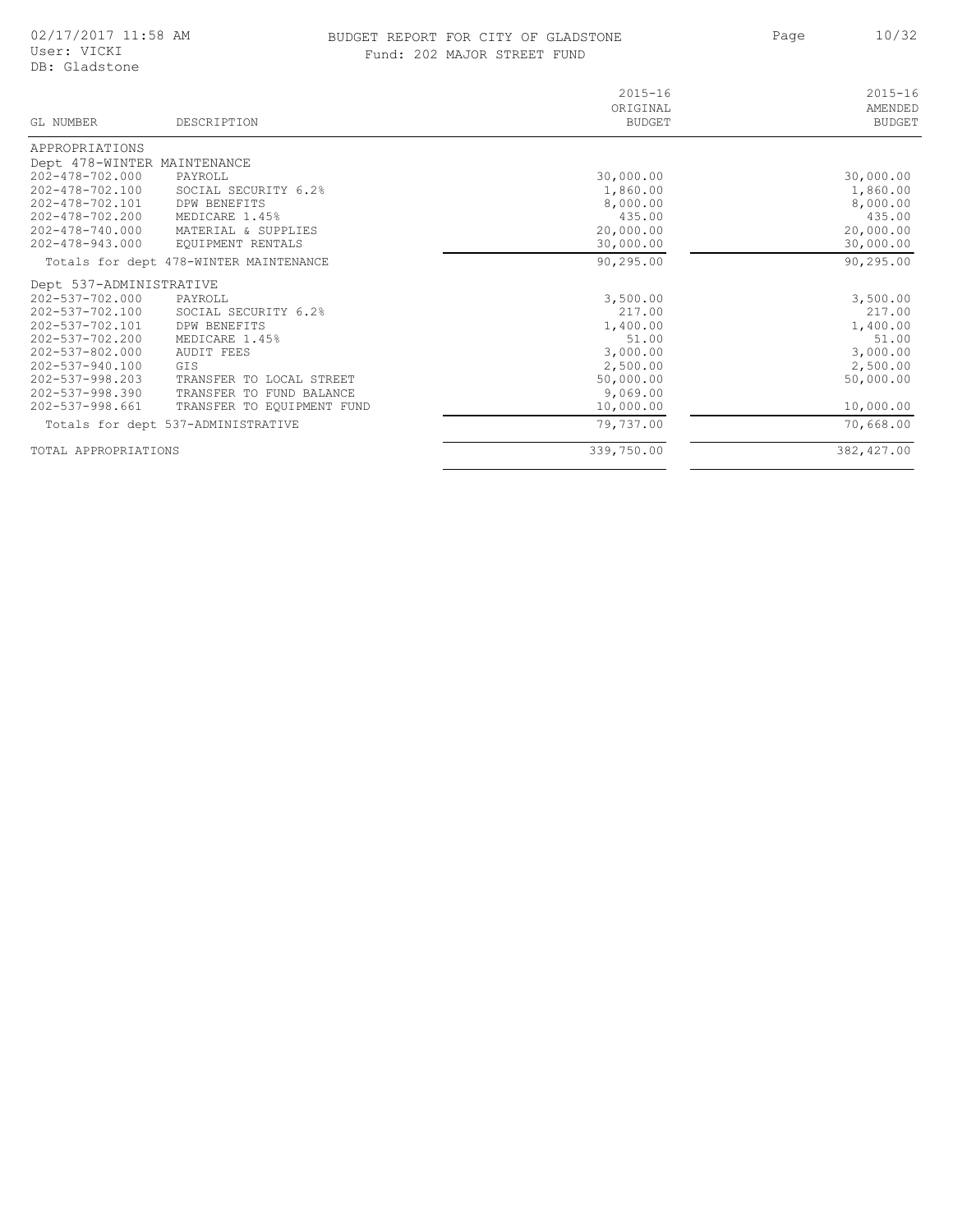### BUDGET REPORT FOR CITY OF GLADSTONE 10/32 Fund: 202 MAJOR STREET FUND

Page

| GL NUMBER                   | DESCRIPTION                            | $2015 - 16$<br>ORIGINAL<br><b>BUDGET</b> | $2015 - 16$<br>AMENDED<br><b>BUDGET</b> |
|-----------------------------|----------------------------------------|------------------------------------------|-----------------------------------------|
| APPROPRIATIONS              |                                        |                                          |                                         |
| Dept 478-WINTER MAINTENANCE |                                        |                                          |                                         |
| $202 - 478 - 702.000$       | PAYROLL                                | 30,000.00                                | 30,000.00                               |
| 202-478-702.100             | SOCIAL SECURITY 6.2%                   | 1,860.00                                 | 1,860.00                                |
| 202-478-702.101             | DPW BENEFITS                           | 8,000.00                                 | 8,000.00                                |
| 202-478-702.200             | MEDICARE 1.45%                         | 435.00                                   | 435.00                                  |
| 202-478-740.000             | MATERIAL & SUPPLIES                    | 20,000.00                                | 20,000.00                               |
| 202-478-943.000             | EQUIPMENT RENTALS                      | 30,000.00                                | 30,000.00                               |
|                             | Totals for dept 478-WINTER MAINTENANCE | 90,295.00                                | 90,295.00                               |
| Dept 537-ADMINISTRATIVE     |                                        |                                          |                                         |
| 202-537-702.000             | PAYROLL                                | 3,500.00                                 | 3,500.00                                |
| 202-537-702.100             | SOCIAL SECURITY 6.2%                   | 217.00                                   | 217.00                                  |
| 202-537-702.101             | DPW BENEFITS                           | 1,400.00                                 | 1,400.00                                |
| 202-537-702.200             | MEDICARE 1.45%                         | 51.00                                    | 51.00                                   |
| $202 - 537 - 802.000$       | <b>AUDIT FEES</b>                      | 3,000.00                                 | 3,000.00                                |
| 202-537-940.100             | GTS                                    | 2,500.00                                 | 2,500.00                                |
| $202 - 537 - 998.203$       | TRANSFER TO LOCAL STREET               | 50,000.00                                | 50,000.00                               |
| 202-537-998.390             | TRANSFER TO FUND BALANCE               | 9,069.00                                 |                                         |
| 202-537-998.661             | TRANSFER TO EOUIPMENT FUND             | 10,000.00                                | 10,000.00                               |
|                             | Totals for dept 537-ADMINISTRATIVE     | 79,737.00                                | 70,668.00                               |
| TOTAL APPROPRIATIONS        |                                        | 339,750.00                               | 382, 427.00                             |
|                             |                                        |                                          |                                         |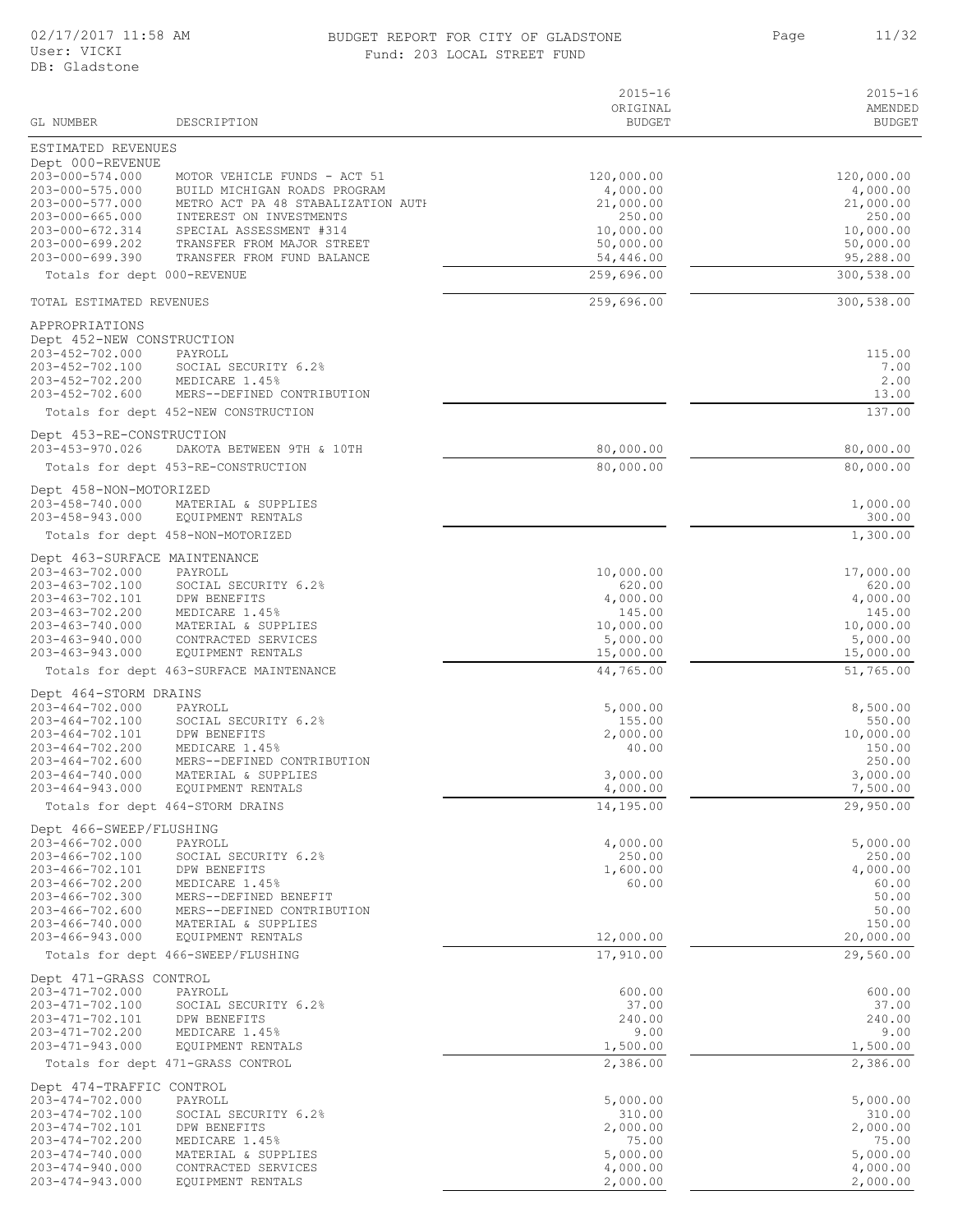#### 02/17/2017 11:58 AM BUDGET REPORT FOR CITY OF GLADSTONE Page 11/32 Fund: 203 LOCAL STREET FUND

Page 11/32

| GL NUMBER                                                                                                                                                                          | DESCRIPTION                                                                                                                                                                                                          | $2015 - 16$<br>ORIGINAL<br><b>BUDGET</b>                                             | $2015 - 16$<br>AMENDED<br><b>BUDGET</b>                                                  |
|------------------------------------------------------------------------------------------------------------------------------------------------------------------------------------|----------------------------------------------------------------------------------------------------------------------------------------------------------------------------------------------------------------------|--------------------------------------------------------------------------------------|------------------------------------------------------------------------------------------|
| ESTIMATED REVENUES                                                                                                                                                                 |                                                                                                                                                                                                                      |                                                                                      |                                                                                          |
| Dept 000-REVENUE<br>203-000-574.000<br>$203 - 000 - 575.000$<br>203-000-577.000<br>$203 - 000 - 665.000$<br>203-000-672.314<br>203-000-699.202<br>203-000-699.390                  | MOTOR VEHICLE FUNDS - ACT 51<br>BUILD MICHIGAN ROADS PROGRAM<br>METRO ACT PA 48 STABALIZATION AUTH<br>INTEREST ON INVESTMENTS<br>SPECIAL ASSESSMENT #314<br>TRANSFER FROM MAJOR STREET<br>TRANSFER FROM FUND BALANCE | 120,000.00<br>4,000.00<br>21,000.00<br>250.00<br>10,000.00<br>50,000.00<br>54,446.00 | 120,000.00<br>4,000.00<br>21,000.00<br>250.00<br>10,000.00<br>50,000.00<br>95,288.00     |
| Totals for dept 000-REVENUE                                                                                                                                                        |                                                                                                                                                                                                                      | 259,696.00                                                                           | 300,538.00                                                                               |
| TOTAL ESTIMATED REVENUES                                                                                                                                                           |                                                                                                                                                                                                                      | 259,696.00                                                                           | 300,538.00                                                                               |
| APPROPRIATIONS<br>Dept 452-NEW CONSTRUCTION<br>203-452-702.000<br>203-452-702.100<br>203-452-702.200<br>203-452-702.600                                                            | PAYROLL<br>SOCIAL SECURITY 6.2%<br>MEDICARE 1.45%<br>MERS--DEFINED CONTRIBUTION<br>Totals for dept 452-NEW CONSTRUCTION                                                                                              |                                                                                      | 115.00<br>7.00<br>2.00<br>13.00<br>137.00                                                |
| Dept 453-RE-CONSTRUCTION                                                                                                                                                           |                                                                                                                                                                                                                      |                                                                                      |                                                                                          |
| 203-453-970.026                                                                                                                                                                    | DAKOTA BETWEEN 9TH & 10TH                                                                                                                                                                                            | 80,000.00                                                                            | 80,000.00                                                                                |
|                                                                                                                                                                                    | Totals for dept 453-RE-CONSTRUCTION                                                                                                                                                                                  | 80,000.00                                                                            | 80,000.00                                                                                |
| Dept 458-NON-MOTORIZED<br>203-458-740.000<br>203-458-943.000                                                                                                                       | MATERIAL & SUPPLIES<br>EQUIPMENT RENTALS                                                                                                                                                                             |                                                                                      | 1,000.00<br>300.00                                                                       |
|                                                                                                                                                                                    | Totals for dept 458-NON-MOTORIZED                                                                                                                                                                                    |                                                                                      | 1,300.00                                                                                 |
| Dept 463-SURFACE MAINTENANCE<br>203-463-702.000<br>203-463-702.100<br>203-463-702.101<br>203-463-702.200<br>203-463-740.000<br>$203 - 463 - 940.000$<br>203-463-943.000            | PAYROLL<br>SOCIAL SECURITY 6.2%<br>DPW BENEFITS<br>MEDICARE 1.45%<br>MATERIAL & SUPPLIES<br>CONTRACTED SERVICES<br>EQUIPMENT RENTALS                                                                                 | 10,000.00<br>620.00<br>4,000.00<br>145.00<br>10,000.00<br>5,000.00<br>15,000.00      | 17,000.00<br>620.00<br>4,000.00<br>145.00<br>10,000.00<br>5,000.00<br>15,000.00          |
|                                                                                                                                                                                    | Totals for dept 463-SURFACE MAINTENANCE                                                                                                                                                                              | 44,765.00                                                                            | 51,765.00                                                                                |
| Dept 464-STORM DRAINS<br>$203 - 464 - 702.000$<br>203-464-702.100<br>203-464-702.101<br>203-464-702.200<br>$203 - 464 - 702.600$<br>$203 - 464 - 740.000$<br>$203 - 464 - 943.000$ | PAYROLL<br>SOCIAL SECURITY 6.2%<br>DPW BENEFITS<br>MEDICARE 1.45%<br>MERS--DEFINED CONTRIBUTION<br>MATERIAL & SUPPLIES<br>EQUIPMENT RENTALS<br>Totals for dept 464-STORM DRAINS                                      | 5,000.00<br>155.00<br>2,000.00<br>40.00<br>3,000.00<br>4,000.00<br>14,195.00         | 8,500.00<br>550.00<br>10,000.00<br>150.00<br>250.00<br>3,000.00<br>7,500.00<br>29,950.00 |
|                                                                                                                                                                                    |                                                                                                                                                                                                                      |                                                                                      |                                                                                          |
| Dept 466-SWEEP/FLUSHING<br>203-466-702.000<br>203-466-702.100<br>203-466-702.101<br>203-466-702.200<br>203-466-702.300<br>203-466-702.600<br>203-466-740.000<br>203-466-943.000    | PAYROLL<br>SOCIAL SECURITY 6.2%<br>DPW BENEFITS<br>MEDICARE 1.45%<br>MERS--DEFINED BENEFIT<br>MERS--DEFINED CONTRIBUTION<br>MATERIAL & SUPPLIES<br>EQUIPMENT RENTALS                                                 | 4,000.00<br>250.00<br>1,600.00<br>60.00<br>12,000.00                                 | 5,000.00<br>250.00<br>4,000.00<br>60.00<br>50.00<br>50.00<br>150.00<br>20,000.00         |
|                                                                                                                                                                                    | Totals for dept 466-SWEEP/FLUSHING                                                                                                                                                                                   | 17,910.00                                                                            | 29,560.00                                                                                |
| Dept 471-GRASS CONTROL<br>203-471-702.000<br>203-471-702.100<br>203-471-702.101<br>203-471-702.200<br>203-471-943.000                                                              | PAYROLL<br>SOCIAL SECURITY 6.2%<br>DPW BENEFITS<br>MEDICARE 1.45%<br>EQUIPMENT RENTALS<br>Totals for dept 471-GRASS CONTROL                                                                                          | 600.00<br>37.00<br>240.00<br>9.00<br>1,500.00<br>2,386.00                            | 600.00<br>37.00<br>240.00<br>9.00<br>1,500.00<br>2,386.00                                |
| Dept 474-TRAFFIC CONTROL                                                                                                                                                           |                                                                                                                                                                                                                      |                                                                                      |                                                                                          |
| 203-474-702.000<br>203-474-702.100<br>203-474-702.101<br>203-474-702.200<br>203-474-740.000<br>203-474-940.000<br>203-474-943.000                                                  | PAYROLL<br>SOCIAL SECURITY 6.2%<br>DPW BENEFITS<br>MEDICARE 1.45%<br>MATERIAL & SUPPLIES<br>CONTRACTED SERVICES<br>EQUIPMENT RENTALS                                                                                 | 5,000.00<br>310.00<br>2,000.00<br>75.00<br>5,000.00<br>4,000.00<br>2,000.00          | 5,000.00<br>310.00<br>2,000.00<br>75.00<br>5,000.00<br>4,000.00<br>2,000.00              |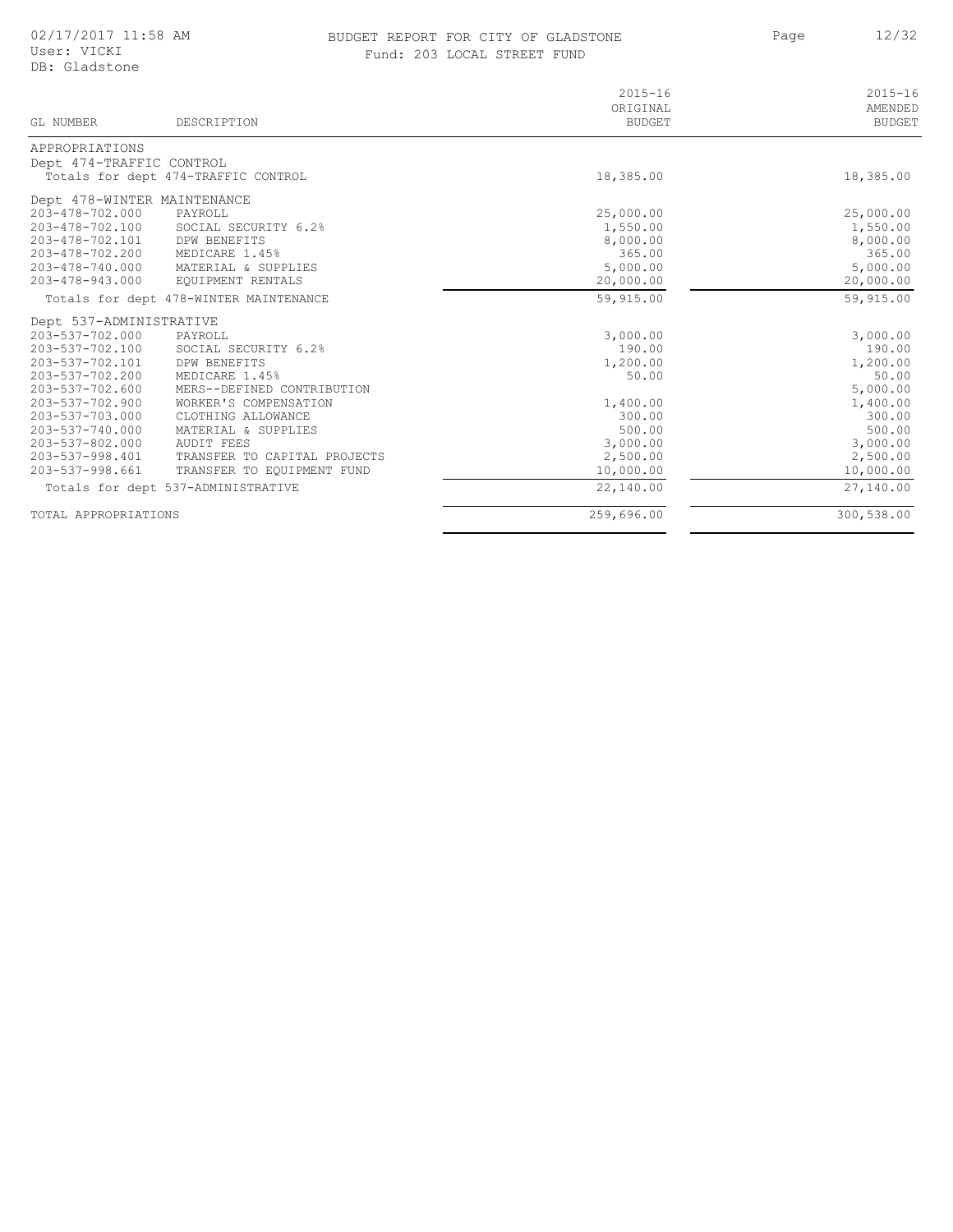### BUDGET REPORT FOR CITY OF GLADSTONE 12/32 Fund: 203 LOCAL STREET FUND

Page

| GL NUMBER                   | DESCRIPTION                            | $2015 - 16$<br>ORIGINAL<br><b>BUDGET</b> | $2015 - 16$<br>AMENDED<br><b>BUDGET</b> |
|-----------------------------|----------------------------------------|------------------------------------------|-----------------------------------------|
| APPROPRIATIONS              |                                        |                                          |                                         |
| Dept 474-TRAFFIC CONTROL    |                                        |                                          |                                         |
|                             | Totals for dept 474-TRAFFIC CONTROL    | 18,385.00                                | 18,385.00                               |
| Dept 478-WINTER MAINTENANCE |                                        |                                          |                                         |
| 203-478-702.000             | PAYROLL                                | 25,000.00                                | 25,000.00                               |
| 203-478-702.100             | SOCIAL SECURITY 6.2%                   | 1,550.00                                 | 1,550.00                                |
| 203-478-702.101             | <b>DPW BENEFITS</b>                    | 8,000.00                                 | 8,000.00                                |
| 203-478-702.200             | MEDICARE 1.45%                         | 365.00                                   | 365.00                                  |
| 203-478-740.000             | MATERIAL & SUPPLIES                    | 5,000.00                                 | 5,000.00                                |
| 203-478-943.000             | EQUIPMENT RENTALS                      | 20,000.00                                | 20,000.00                               |
|                             | Totals for dept 478-WINTER MAINTENANCE | 59,915.00                                | 59,915.00                               |
| Dept 537-ADMINISTRATIVE     |                                        |                                          |                                         |
| 203-537-702.000             | PAYROLL                                | 3,000.00                                 | 3,000.00                                |
| 203-537-702.100             | SOCIAL SECURITY 6.2%                   | 190.00                                   | 190.00                                  |
| 203-537-702.101             | DPW BENEFITS                           | 1,200.00                                 | 1,200.00                                |
| 203-537-702.200             | MEDICARE 1.45%                         | 50.00                                    | 50.00                                   |
| 203-537-702.600             | MERS--DEFINED CONTRIBUTION             |                                          | 5,000.00                                |
| 203-537-702.900             | WORKER'S COMPENSATION                  | 1,400.00                                 | 1,400.00                                |
| 203-537-703.000             | CLOTHING ALLOWANCE                     | 300.00                                   | 300.00                                  |
| $203 - 537 - 740.000$       | MATERIAL & SUPPLIES                    | 500.00                                   | 500.00                                  |
| $203 - 537 - 802,000$       | AUDIT FEES                             | 3,000.00                                 | 3,000.00                                |
| 203-537-998.401             | TRANSFER TO CAPITAL PROJECTS           | 2,500.00                                 | 2,500.00                                |
| 203-537-998.661             | TRANSFER TO EQUIPMENT FUND             | 10,000.00                                | 10,000.00                               |
|                             | Totals for dept 537-ADMINISTRATIVE     | 22,140.00                                | 27,140.00                               |
| TOTAL APPROPRIATIONS        |                                        | 259,696.00                               | 300,538.00                              |

 $\sim$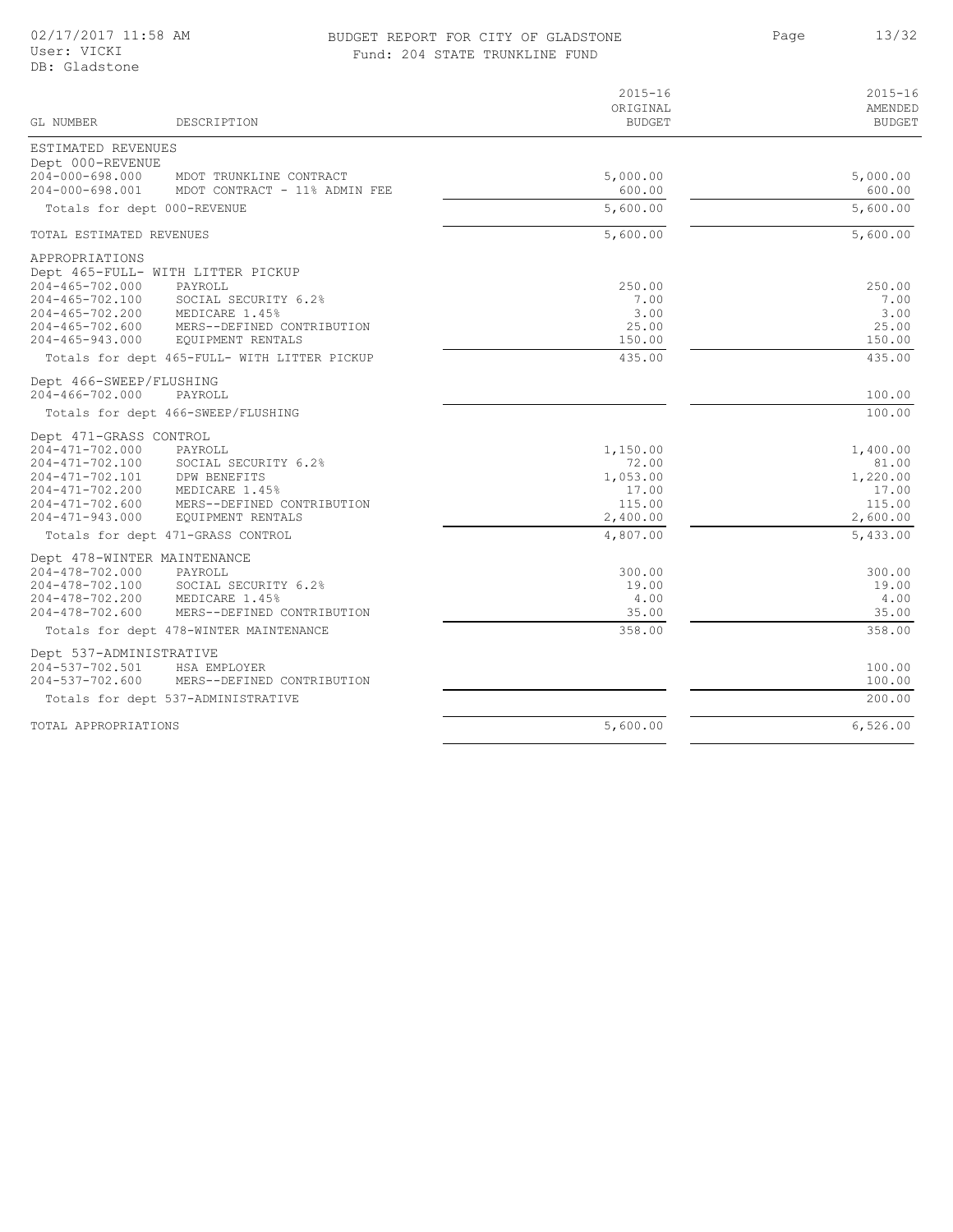### BUDGET REPORT FOR CITY OF GLADSTONE 13/32 Fund: 204 STATE TRUNKLINE FUND

|                                                                                                                                                                                  |                                                                                                                      | $2015 - 16$<br>ORIGINAL                                      | $2015 - 16$<br>AMENDED                                       |
|----------------------------------------------------------------------------------------------------------------------------------------------------------------------------------|----------------------------------------------------------------------------------------------------------------------|--------------------------------------------------------------|--------------------------------------------------------------|
| GT. NUMBER                                                                                                                                                                       | DESCRIPTION                                                                                                          | <b>BUDGET</b>                                                | <b>BUDGET</b>                                                |
| ESTIMATED REVENUES<br>Dept 000-REVENUE                                                                                                                                           |                                                                                                                      |                                                              |                                                              |
| $204 - 000 - 698.000$<br>$204 - 000 - 698.001$                                                                                                                                   | MDOT TRUNKLINE CONTRACT<br>MDOT CONTRACT - 11% ADMIN FEE                                                             | 5,000.00<br>600.00                                           | 5,000.00<br>600.00                                           |
| Totals for dept 000-REVENUE                                                                                                                                                      |                                                                                                                      | 5,600.00                                                     | 5,600.00                                                     |
| TOTAL ESTIMATED REVENUES                                                                                                                                                         |                                                                                                                      | 5,600.00                                                     | 5,600.00                                                     |
| APPROPRIATIONS<br>Dept 465-FULL- WITH LITTER PICKUP<br>$204 - 465 - 702.000$<br>$204 - 465 - 702.100$<br>$204 - 465 - 702.200$<br>$204 - 465 - 702.600$<br>$204 - 465 - 943.000$ | PAYROLL<br>SOCIAL SECURITY 6.2%<br>MEDICARE 1.45%<br>MERS--DEFINED CONTRIBUTION<br>EQUIPMENT RENTALS                 | 250.00<br>7.00<br>3.00<br>25.00<br>150.00                    | 250.00<br>7.00<br>3.00<br>25.00<br>150.00                    |
|                                                                                                                                                                                  | Totals for dept 465-FULL- WITH LITTER PICKUP                                                                         | 435.00                                                       | 435.00                                                       |
| Dept 466-SWEEP/FLUSHING<br>204-466-702.000                                                                                                                                       | PAYROLL                                                                                                              |                                                              | 100.00                                                       |
|                                                                                                                                                                                  | Totals for dept 466-SWEEP/FLUSHING                                                                                   |                                                              | 100.00                                                       |
| Dept 471-GRASS CONTROL<br>$204 - 471 - 702.000$<br>204-471-702.100<br>$204 - 471 - 702.101$<br>204-471-702.200<br>$204 - 471 - 702.600$<br>$204 - 471 - 943.000$                 | PAYROLL<br>SOCIAL SECURITY 6.2%<br>DPW BENEFITS<br>MEDICARE 1.45%<br>MERS--DEFINED CONTRIBUTION<br>EQUIPMENT RENTALS | 1,150.00<br>72.00<br>1,053.00<br>17.00<br>115.00<br>2,400.00 | 1,400.00<br>81.00<br>1,220.00<br>17.00<br>115.00<br>2,600.00 |
|                                                                                                                                                                                  | Totals for dept 471-GRASS CONTROL                                                                                    | 4,807.00                                                     | 5,433.00                                                     |
| Dept 478-WINTER MAINTENANCE<br>204-478-702.000<br>204-478-702.100<br>204-478-702.200<br>$204 - 478 - 702.600$                                                                    | PAYROLL<br>SOCIAL SECURITY 6.2%<br>MEDICARE 1.45%<br>MERS--DEFINED CONTRIBUTION                                      | 300.00<br>19.00<br>4.00<br>35.00                             | 300.00<br>19.00<br>4.00<br>35.00                             |
|                                                                                                                                                                                  | Totals for dept 478-WINTER MAINTENANCE                                                                               | 358.00                                                       | 358.00                                                       |
| Dept 537-ADMINISTRATIVE<br>204-537-702.501<br>$204 - 537 - 702.600$                                                                                                              | HSA EMPLOYER<br>MERS--DEFINED CONTRIBUTION                                                                           |                                                              | 100.00<br>100.00                                             |
|                                                                                                                                                                                  | Totals for dept 537-ADMINISTRATIVE                                                                                   |                                                              | 200.00                                                       |
| TOTAL APPROPRIATIONS                                                                                                                                                             |                                                                                                                      | 5,600.00                                                     | 6,526.00                                                     |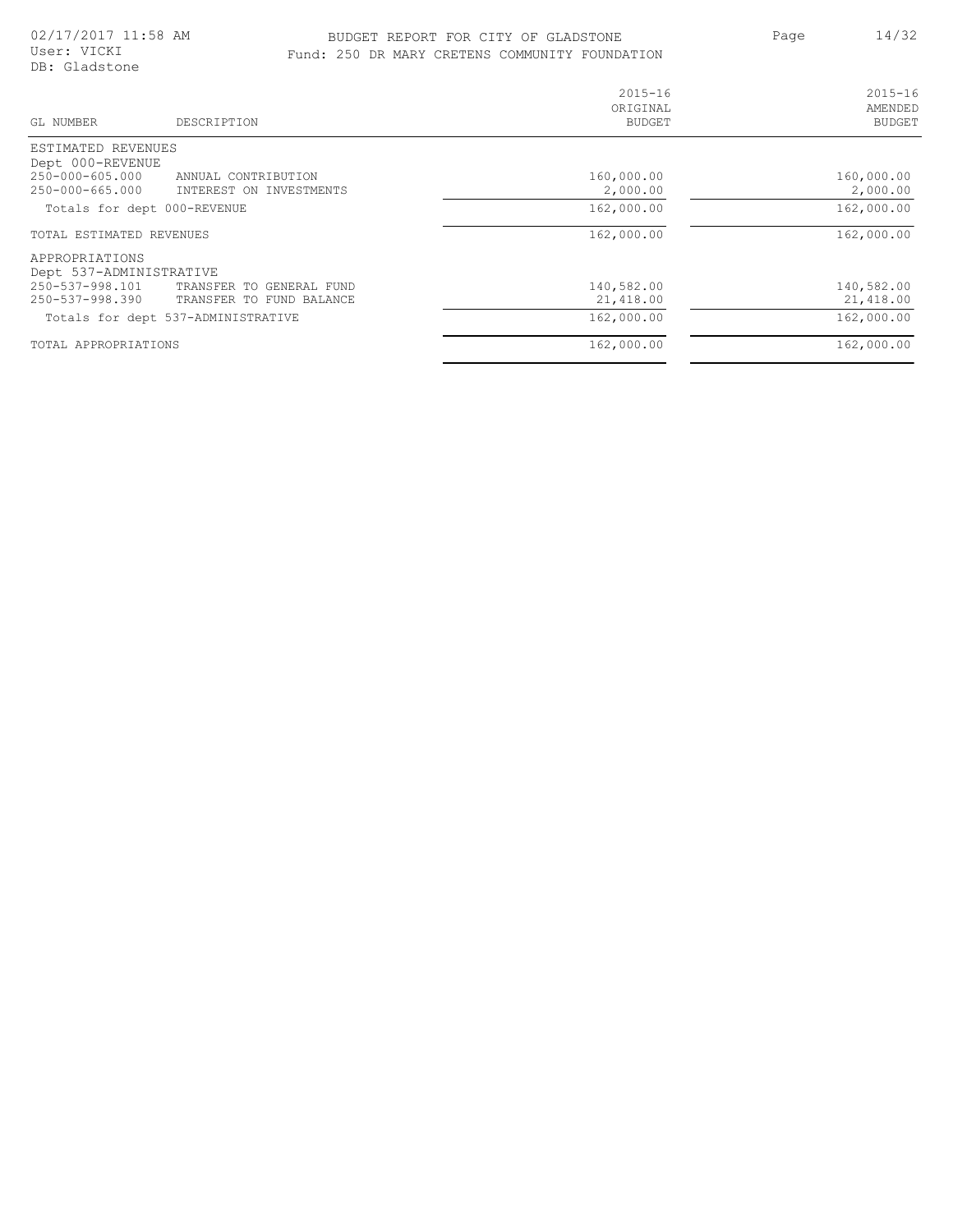### BUDGET REPORT FOR CITY OF GLADSTONE 14/32 Fund: 250 DR MARY CRETENS COMMUNITY FOUNDATION

Page 14/32

| GL NUMBER<br>DESCRIPTION                                                                                             | $2015 - 16$<br>ORIGINAL<br><b>BUDGET</b> | $2015 - 16$<br>AMENDED<br><b>BUDGET</b> |
|----------------------------------------------------------------------------------------------------------------------|------------------------------------------|-----------------------------------------|
| ESTIMATED REVENUES                                                                                                   |                                          |                                         |
| Dept 000-REVENUE<br>$250 - 000 - 605.000$<br>ANNUAL CONTRIBUTION<br>$250 - 000 - 665.000$<br>INTEREST ON INVESTMENTS | 160,000.00<br>2,000.00                   | 160,000.00<br>2,000.00                  |
| Totals for dept 000-REVENUE                                                                                          | 162,000.00                               | 162,000.00                              |
| TOTAL ESTIMATED REVENUES                                                                                             | 162,000.00                               | 162,000.00                              |
| APPROPRIATIONS<br>Dept 537-ADMINISTRATIVE                                                                            |                                          |                                         |
| 250-537-998.101<br>TRANSFER TO GENERAL FUND<br>250-537-998.390<br>TRANSFER TO FUND BALANCE                           | 140,582.00<br>21,418.00                  | 140,582.00<br>21,418.00                 |
| Totals for dept 537-ADMINISTRATIVE                                                                                   | 162,000.00                               | 162,000.00                              |
| TOTAL APPROPRIATIONS                                                                                                 | 162,000.00                               | 162,000.00                              |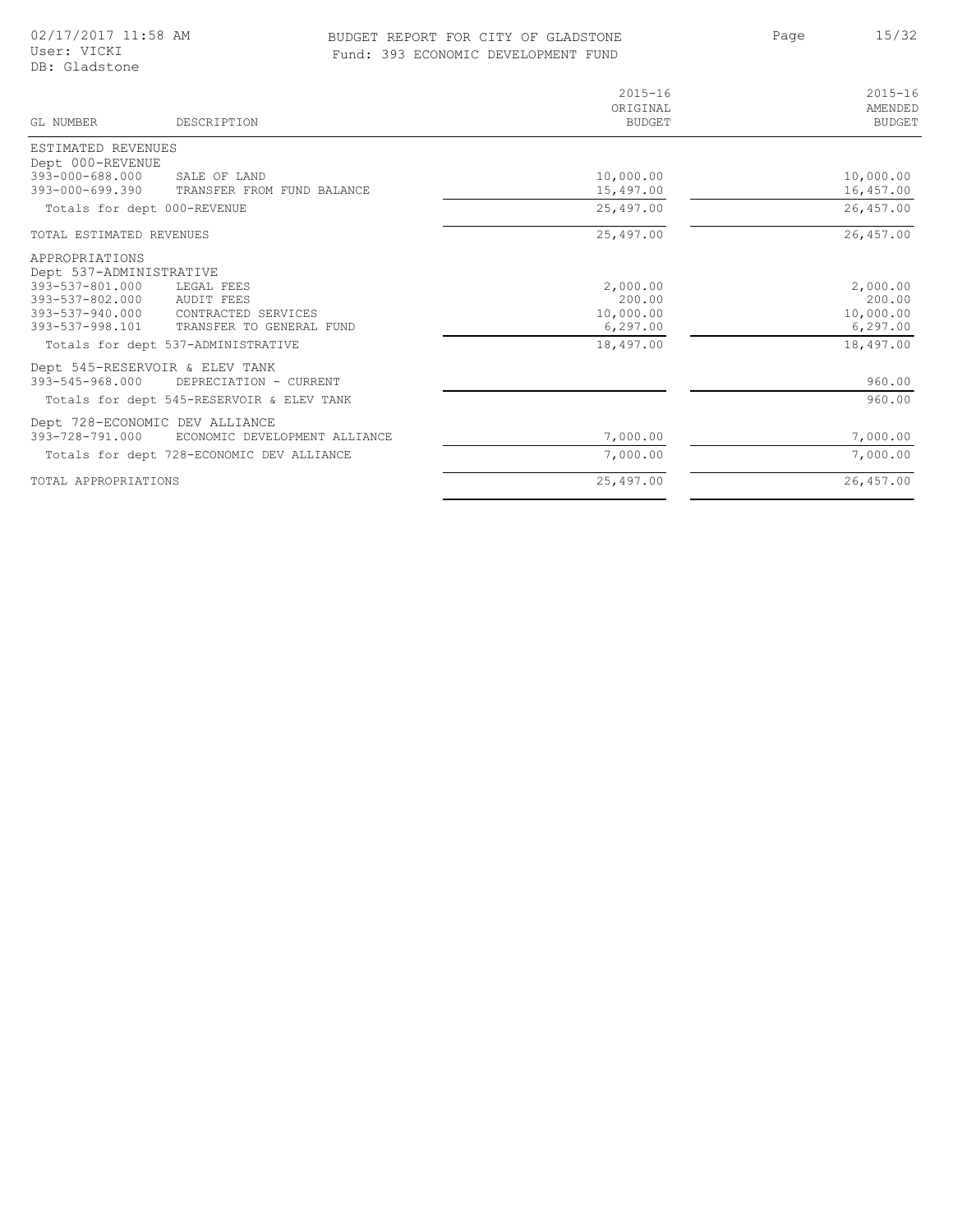### BUDGET REPORT FOR CITY OF GLADSTONE 15/32 Fund: 393 ECONOMIC DEVELOPMENT FUND

| GL NUMBER                                 | DESCRIPTION                               | $2015 - 16$<br>ORIGINAL<br><b>BUDGET</b> | $2015 - 16$<br>AMENDED<br><b>BUDGET</b> |
|-------------------------------------------|-------------------------------------------|------------------------------------------|-----------------------------------------|
| ESTIMATED REVENUES                        |                                           |                                          |                                         |
| Dept 000-REVENUE                          |                                           |                                          |                                         |
| 393-000-688.000                           | SALE OF LAND                              | 10,000.00                                | 10,000.00                               |
| $393 - 000 - 699.390$                     | TRANSFER FROM FUND BALANCE                | 15,497.00                                | 16,457.00                               |
| Totals for dept 000-REVENUE               |                                           | 25,497.00                                | 26,457.00                               |
| TOTAL ESTIMATED REVENUES                  |                                           | 25,497.00                                | 26,457.00                               |
| APPROPRIATIONS<br>Dept 537-ADMINISTRATIVE |                                           |                                          |                                         |
| 393-537-801.000                           | LEGAL FEES                                | 2,000.00                                 | 2,000.00                                |
| 393-537-802.000                           | AUDIT FEES                                | 200.00                                   | 200.00                                  |
| 393-537-940.000                           | CONTRACTED SERVICES                       | 10,000.00                                | 10,000.00                               |
| 393-537-998.101                           | TRANSFER TO GENERAL FUND                  | 6, 297.00                                | 6, 297.00                               |
|                                           | Totals for dept 537-ADMINISTRATIVE        | 18,497.00                                | 18,497.00                               |
|                                           | Dept 545-RESERVOIR & ELEV TANK            |                                          |                                         |
| 393-545-968.000                           | DEPRECIATION - CURRENT                    |                                          | 960.00                                  |
|                                           | Totals for dept 545-RESERVOIR & ELEV TANK |                                          | 960.00                                  |
|                                           | Dept 728-ECONOMIC DEV ALLIANCE            |                                          |                                         |
| 393-728-791.000                           | ECONOMIC DEVELOPMENT ALLIANCE             | 7,000.00                                 | 7,000.00                                |
|                                           | Totals for dept 728-ECONOMIC DEV ALLIANCE | 7,000.00                                 | 7,000.00                                |
| TOTAL APPROPRIATIONS                      |                                           | 25,497.00                                | 26,457.00                               |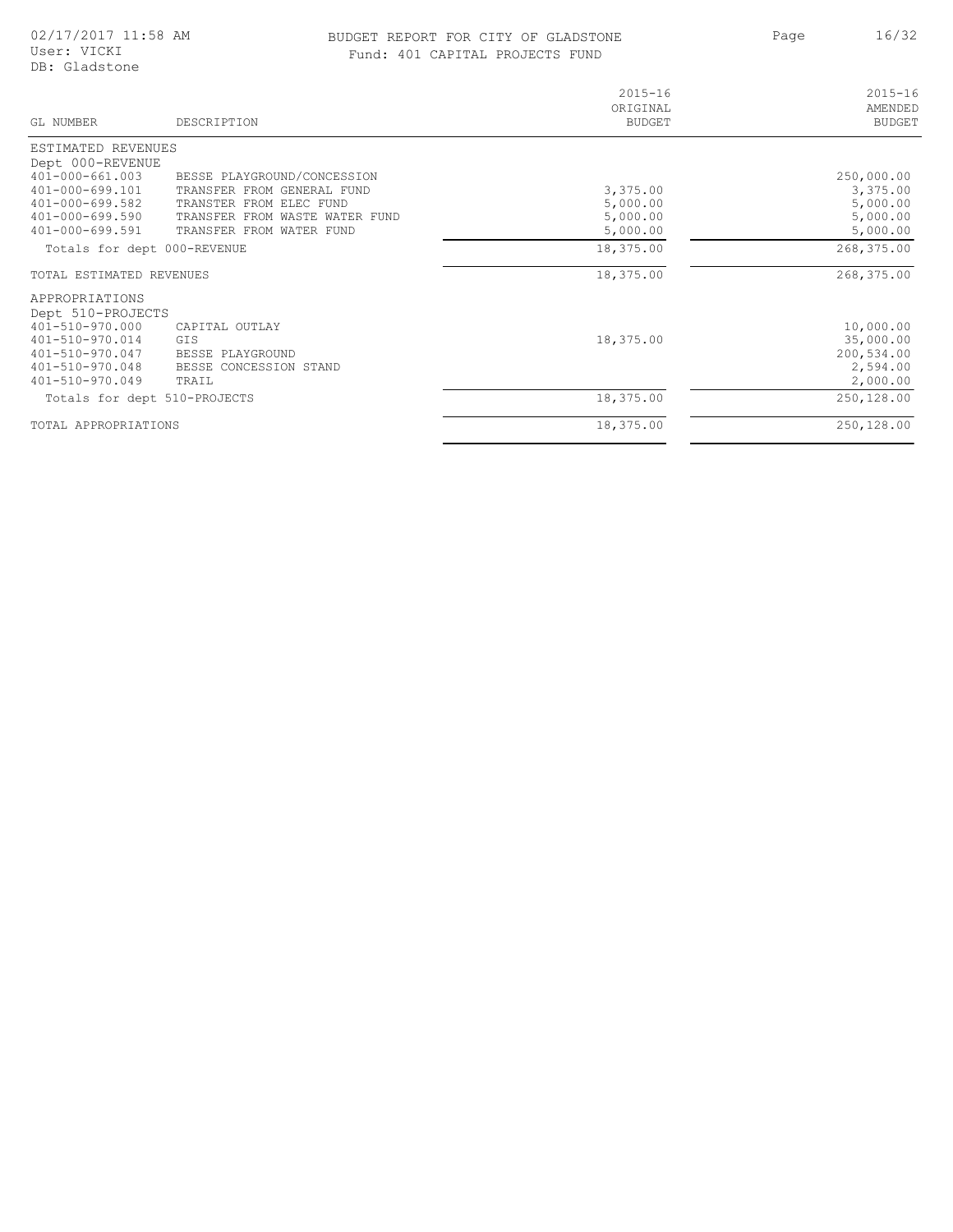### BUDGET REPORT FOR CITY OF GLADSTONE 16/32 Fund: 401 CAPITAL PROJECTS FUND

Page 16/32

| GL NUMBER                                                                                                                                | DESCRIPTION                                                                  | $2015 - 16$<br>ORIGINAL<br><b>BUDGET</b> | $2015 - 16$<br>AMENDED<br><b>BUDGET</b>                      |
|------------------------------------------------------------------------------------------------------------------------------------------|------------------------------------------------------------------------------|------------------------------------------|--------------------------------------------------------------|
| ESTIMATED REVENUES                                                                                                                       |                                                                              |                                          |                                                              |
| Dept 000-REVENUE                                                                                                                         |                                                                              |                                          |                                                              |
| $401 - 000 - 661.003$                                                                                                                    | BESSE PLAYGROUND/CONCESSION                                                  |                                          | 250,000.00                                                   |
| $401 - 000 - 699.101$                                                                                                                    | TRANSFER FROM GENERAL FUND                                                   | 3,375.00                                 | 3,375.00                                                     |
| $401 - 000 - 699.582$                                                                                                                    | TRANSTER FROM ELEC FUND                                                      | 5,000.00                                 | 5,000.00                                                     |
| 401-000-699.590                                                                                                                          | TRANSFER FROM WASTE WATER FUND                                               | 5,000.00                                 | 5,000.00                                                     |
| $401 - 000 - 699.591$                                                                                                                    | TRANSFER FROM WATER FUND                                                     | 5,000.00                                 | 5,000.00                                                     |
| Totals for dept 000-REVENUE                                                                                                              |                                                                              | 18,375.00                                | 268,375.00                                                   |
| TOTAL ESTIMATED REVENUES                                                                                                                 |                                                                              | 18,375.00                                | 268,375.00                                                   |
| APPROPRIATIONS<br>Dept 510-PROJECTS<br>401-510-970.000<br>$401 - 510 - 970.014$<br>401-510-970.047<br>401-510-970.048<br>401-510-970.049 | CAPITAL OUTLAY<br>GIS<br>BESSE PLAYGROUND<br>BESSE CONCESSION STAND<br>TRAIL | 18,375.00                                | 10,000.00<br>35,000.00<br>200,534.00<br>2,594.00<br>2,000.00 |
| Totals for dept 510-PROJECTS                                                                                                             |                                                                              | 18,375.00                                | 250,128.00                                                   |
| TOTAL APPROPRIATIONS                                                                                                                     |                                                                              | 18,375.00                                | 250,128.00                                                   |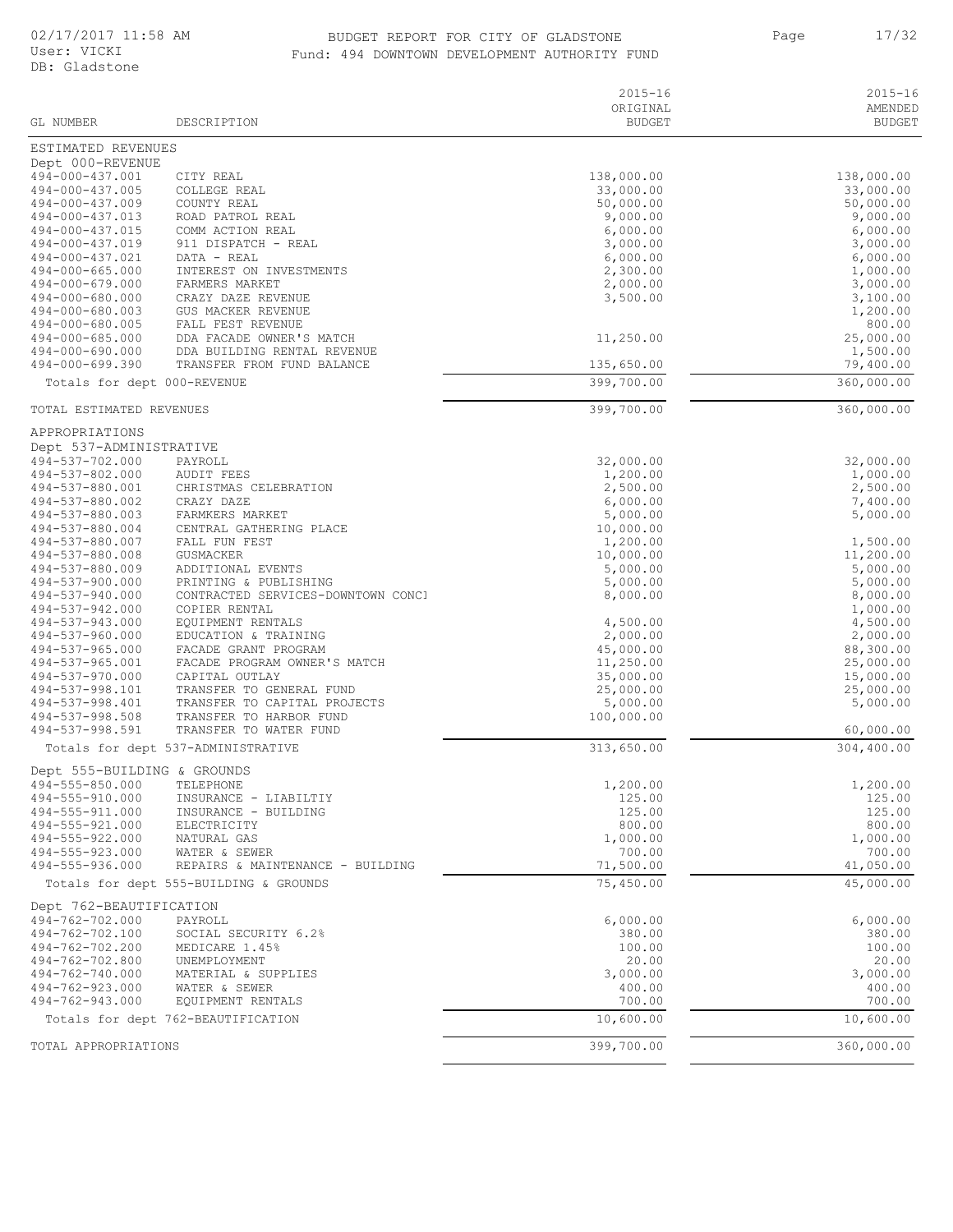### BUDGET REPORT FOR CITY OF GLADSTONE 17/32 Fund: 494 DOWNTOWN DEVELOPMENT AUTHORITY FUND

Page 17/32

| ye |  |  |  |
|----|--|--|--|
|    |  |  |  |

| GL NUMBER                                  | DESCRIPTION                                             | $2015 - 16$<br>ORIGINAL<br><b>BUDGET</b> | $2015 - 16$<br>AMENDED<br><b>BUDGET</b> |
|--------------------------------------------|---------------------------------------------------------|------------------------------------------|-----------------------------------------|
| ESTIMATED REVENUES                         |                                                         |                                          |                                         |
| Dept 000-REVENUE                           |                                                         |                                          |                                         |
| 494-000-437.001                            | CITY REAL                                               | 138,000.00                               | 138,000.00                              |
| 494-000-437.005                            | COLLEGE REAL                                            | 33,000.00                                | 33,000.00                               |
| 494-000-437.009<br>494-000-437.013         | COUNTY REAL<br>ROAD PATROL REAL                         | 50,000.00<br>9,000.00                    | 50,000.00<br>9,000.00                   |
| 494-000-437.015                            | COMM ACTION REAL                                        | 6,000.00                                 | 6,000.00                                |
| 494-000-437.019                            | 911 DISPATCH - REAL                                     | 3,000.00                                 | 3,000.00                                |
| 494-000-437.021                            | DATA - REAL                                             | 6,000.00                                 | 6,000.00                                |
| 494-000-665.000                            | INTEREST ON INVESTMENTS                                 | 2,300.00                                 | 1,000.00                                |
| 494-000-679.000<br>494-000-680.000         | FARMERS MARKET                                          | 2,000.00                                 | 3,000.00                                |
| 494-000-680.003                            | CRAZY DAZE REVENUE<br>GUS MACKER REVENUE                | 3,500.00                                 | 3,100.00<br>1,200.00                    |
| 494-000-680.005                            | FALL FEST REVENUE                                       |                                          | 800.00                                  |
| 494-000-685.000                            | DDA FACADE OWNER'S MATCH                                | 11,250.00                                | 25,000.00                               |
| 494-000-690.000                            | DDA BUILDING RENTAL REVENUE                             |                                          | 1,500.00                                |
| 494-000-699.390                            | TRANSFER FROM FUND BALANCE                              | 135,650.00                               | 79,400.00                               |
| Totals for dept 000-REVENUE                |                                                         | 399,700.00                               | 360,000.00                              |
| TOTAL ESTIMATED REVENUES                   |                                                         | 399,700.00                               | 360,000.00                              |
| APPROPRIATIONS                             |                                                         |                                          |                                         |
| Dept 537-ADMINISTRATIVE                    |                                                         |                                          | 32,000.00                               |
| 494-537-702.000<br>494-537-802.000         | PAYROLL<br>AUDIT FEES                                   | 32,000.00<br>1,200.00                    | 1,000.00                                |
| 494-537-880.001                            | CHRISTMAS CELEBRATION                                   | 2,500.00                                 | 2,500.00                                |
| 494-537-880.002                            | CRAZY DAZE                                              | 6,000.00                                 | 7,400.00                                |
| 494-537-880.003                            | FARMKERS MARKET                                         | 5,000.00                                 | 5,000.00                                |
| 494-537-880.004                            | CENTRAL GATHERING PLACE                                 | 10,000.00                                |                                         |
| 494-537-880.007<br>494-537-880.008         | FALL FUN FEST<br>GUSMACKER                              | 1,200.00<br>10,000.00                    | 1,500.00<br>11,200.00                   |
| 494-537-880.009                            | ADDITIONAL EVENTS                                       | 5,000.00                                 | 5,000.00                                |
| 494-537-900.000                            | PRINTING & PUBLISHING                                   | 5,000.00                                 | 5,000.00                                |
| 494-537-940.000                            | CONTRACTED SERVICES-DOWNTOWN CONCI                      | 8,000.00                                 | 8,000.00                                |
| 494-537-942.000<br>494-537-943.000         | COPIER RENTAL<br>EQUIPMENT RENTALS                      | 4,500.00                                 | 1,000.00                                |
| 494-537-960.000                            | EDUCATION & TRAINING                                    | 2,000.00                                 | 4,500.00<br>2,000.00                    |
| 494-537-965.000                            | FACADE GRANT PROGRAM                                    | 45,000.00                                | 88,300.00                               |
| 494-537-965.001                            | FACADE PROGRAM OWNER'S MATCH                            | 11,250.00                                | 25,000.00                               |
| 494-537-970.000                            | CAPITAL OUTLAY                                          | 35,000.00                                | 15,000.00                               |
| 494-537-998.101<br>494-537-998.401         | TRANSFER TO GENERAL FUND                                | 25,000.00                                | 25,000.00<br>5,000.00                   |
| 494-537-998.508                            | TRANSFER TO CAPITAL PROJECTS<br>TRANSFER TO HARBOR FUND | 5,000.00<br>100,000.00                   |                                         |
| 494-537-998.591                            | TRANSFER TO WATER FUND                                  |                                          | 60,000.00                               |
|                                            | Totals for dept 537-ADMINISTRATIVE                      | 313,650.00                               | 304,400.00                              |
| Dept 555-BUILDING & GROUNDS                |                                                         |                                          |                                         |
| 494-555-850.000 TELEPHONE                  |                                                         | 1,200.00                                 | 1,200.00                                |
| 494-555-910.000                            | INSURANCE - LIABILTIY                                   | 125.00                                   | 125.00                                  |
| 494-555-911.000<br>494-555-921.000         | INSURANCE - BUILDING<br>ELECTRICITY                     | 125.00<br>800.00                         | 125.00<br>800.00                        |
| 494-555-922.000                            | NATURAL GAS                                             | 1,000.00                                 | 1,000.00                                |
| 494-555-923.000                            | WATER & SEWER                                           | 700.00                                   | 700.00                                  |
| 494-555-936.000                            | REPAIRS & MAINTENANCE - BUILDING                        | 71,500.00                                | 41,050.00                               |
|                                            | Totals for dept 555-BUILDING & GROUNDS                  | 75,450.00                                | 45,000.00                               |
| Dept 762-BEAUTIFICATION<br>494-762-702.000 | PAYROLL                                                 | 6,000.00                                 | 6,000.00                                |
| 494-762-702.100                            | SOCIAL SECURITY 6.2%                                    | 380.00                                   | 380.00                                  |
| 494-762-702.200                            | MEDICARE 1.45%                                          | 100.00                                   | 100.00                                  |
| 494-762-702.800                            | UNEMPLOYMENT                                            | 20.00                                    | 20.00                                   |
| 494-762-740.000                            | MATERIAL & SUPPLIES                                     | 3,000.00                                 | 3,000.00                                |
| 494-762-923.000<br>494-762-943.000         | WATER & SEWER<br>EQUIPMENT RENTALS                      | 400.00<br>700.00                         | 400.00<br>700.00                        |
|                                            | Totals for dept 762-BEAUTIFICATION                      | 10,600.00                                | 10,600.00                               |
| TOTAL APPROPRIATIONS                       |                                                         | 399,700.00                               | 360,000.00                              |
|                                            |                                                         |                                          |                                         |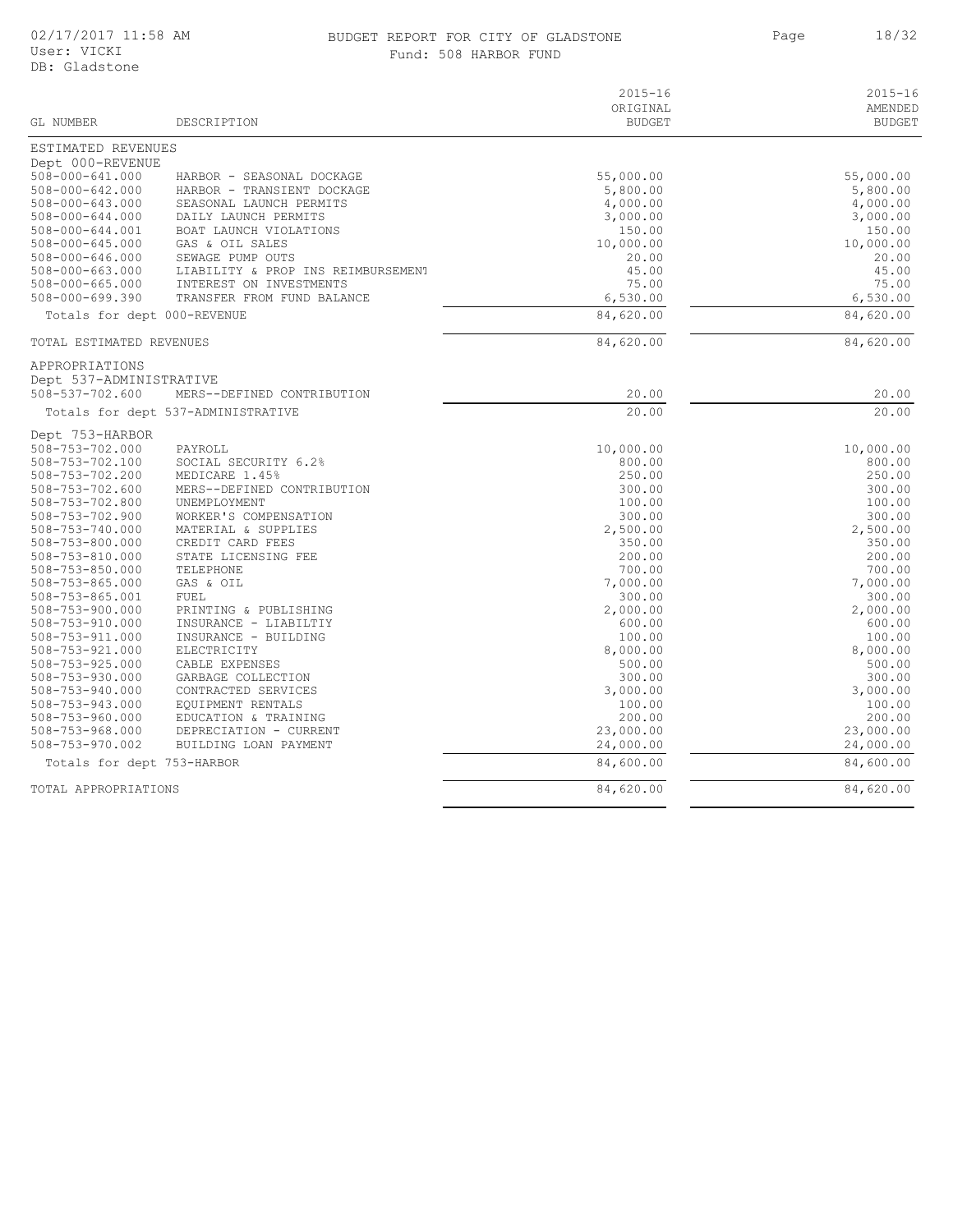#### BUDGET REPORT FOR CITY OF GLADSTONE 18/32 Fund: 508 HARBOR FUND

Page 18/32

| GL NUMBER                                      | DESCRIPTION                         | $2015 - 16$<br>ORIGINAL<br><b>BUDGET</b> | $2015 - 16$<br>AMENDED<br><b>BUDGET</b> |
|------------------------------------------------|-------------------------------------|------------------------------------------|-----------------------------------------|
| ESTIMATED REVENUES                             |                                     |                                          |                                         |
| Dept 000-REVENUE                               |                                     |                                          |                                         |
| 508-000-641.000                                | HARBOR - SEASONAL DOCKAGE           | 55,000.00                                | 55,000.00                               |
| $508 - 000 - 642.000$                          | HARBOR - TRANSIENT DOCKAGE          | 5,800.00                                 | 5,800.00                                |
| $508 - 000 - 643.000$                          | SEASONAL LAUNCH PERMITS             | 4,000.00                                 | 4,000.00                                |
| $508 - 000 - 644.000$                          | DAILY LAUNCH PERMITS                | 3,000.00                                 | 3,000.00                                |
| 508-000-644.001                                | BOAT LAUNCH VIOLATIONS              | 150.00                                   | 150.00                                  |
| $508 - 000 - 645.000$<br>$508 - 000 - 646.000$ | GAS & OIL SALES<br>SEWAGE PUMP OUTS | 10,000.00<br>20.00                       | 10,000.00<br>20.00                      |
| $508 - 000 - 663.000$                          | LIABILITY & PROP INS REIMBURSEMENT  | 45.00                                    | 45.00                                   |
| $508 - 000 - 665.000$                          | INTEREST ON INVESTMENTS             | 75.00                                    | 75.00                                   |
| 508-000-699.390                                | TRANSFER FROM FUND BALANCE          | 6,530.00                                 | 6,530.00                                |
| Totals for dept 000-REVENUE                    |                                     | 84,620.00                                | 84,620.00                               |
|                                                |                                     |                                          |                                         |
| TOTAL ESTIMATED REVENUES                       |                                     | 84,620.00                                | 84,620.00                               |
| APPROPRIATIONS                                 |                                     |                                          |                                         |
| Dept 537-ADMINISTRATIVE<br>508-537-702.600     |                                     | 20.00                                    | 20.00                                   |
|                                                | MERS--DEFINED CONTRIBUTION          |                                          |                                         |
|                                                | Totals for dept 537-ADMINISTRATIVE  | 20.00                                    | 20.00                                   |
| Dept 753-HARBOR                                |                                     |                                          |                                         |
| 508-753-702.000                                | PAYROLL                             | 10,000.00                                | 10,000.00                               |
| 508-753-702.100                                | SOCIAL SECURITY 6.2%                | 800.00                                   | 800.00                                  |
| 508-753-702.200                                | MEDICARE 1.45%                      | 250.00                                   | 250.00                                  |
| 508-753-702.600                                | MERS--DEFINED CONTRIBUTION          | 300.00                                   | 300.00                                  |
| 508-753-702.800                                | UNEMPLOYMENT                        | 100.00                                   | 100.00                                  |
| 508-753-702.900                                | WORKER'S COMPENSATION               | 300.00                                   | 300.00                                  |
| 508-753-740.000                                | MATERIAL & SUPPLIES                 | 2,500.00                                 | 2,500.00<br>350.00                      |
| 508-753-800.000                                | CREDIT CARD FEES                    | 350.00                                   |                                         |
| 508-753-810.000<br>$508 - 753 - 850.000$       | STATE LICENSING FEE<br>TELEPHONE    | 200.00<br>700.00                         | 200.00<br>700.00                        |
| $508 - 753 - 865.000$                          | GAS & OIL                           | 7,000.00                                 | 7,000.00                                |
| 508-753-865.001                                | FUEL                                | 300.00                                   | 300.00                                  |
| $508 - 753 - 900.000$                          | PRINTING & PUBLISHING               | 2,000.00                                 | 2,000.00                                |
| $508 - 753 - 910.000$                          | INSURANCE - LIABILTIY               | 600.00                                   | 600.00                                  |
| $508 - 753 - 911.000$                          | INSURANCE - BUILDING                | 100.00                                   | 100.00                                  |
| $508 - 753 - 921.000$                          | ELECTRICITY                         | 8,000.00                                 | 8,000.00                                |
| $508 - 753 - 925.000$                          | CABLE EXPENSES                      | 500.00                                   | 500.00                                  |
| $508 - 753 - 930.000$                          | GARBAGE COLLECTION                  | 300.00                                   | 300.00                                  |
| $508 - 753 - 940.000$                          | CONTRACTED SERVICES                 | 3,000.00                                 | 3,000.00                                |
| $508 - 753 - 943.000$                          | EQUIPMENT RENTALS                   | 100.00                                   | 100.00                                  |
| $508 - 753 - 960.000$                          | EDUCATION & TRAINING                | 200.00                                   | 200.00                                  |
| 508-753-968.000                                | DEPRECIATION - CURRENT              | 23,000.00                                | 23,000.00                               |
| 508-753-970.002                                | BUILDING LOAN PAYMENT               | 24,000.00                                | 24,000.00                               |
| Totals for dept 753-HARBOR                     |                                     | 84,600.00                                | 84,600.00                               |
| TOTAL APPROPRIATIONS                           |                                     | 84,620.00                                | 84,620.00                               |
|                                                |                                     |                                          |                                         |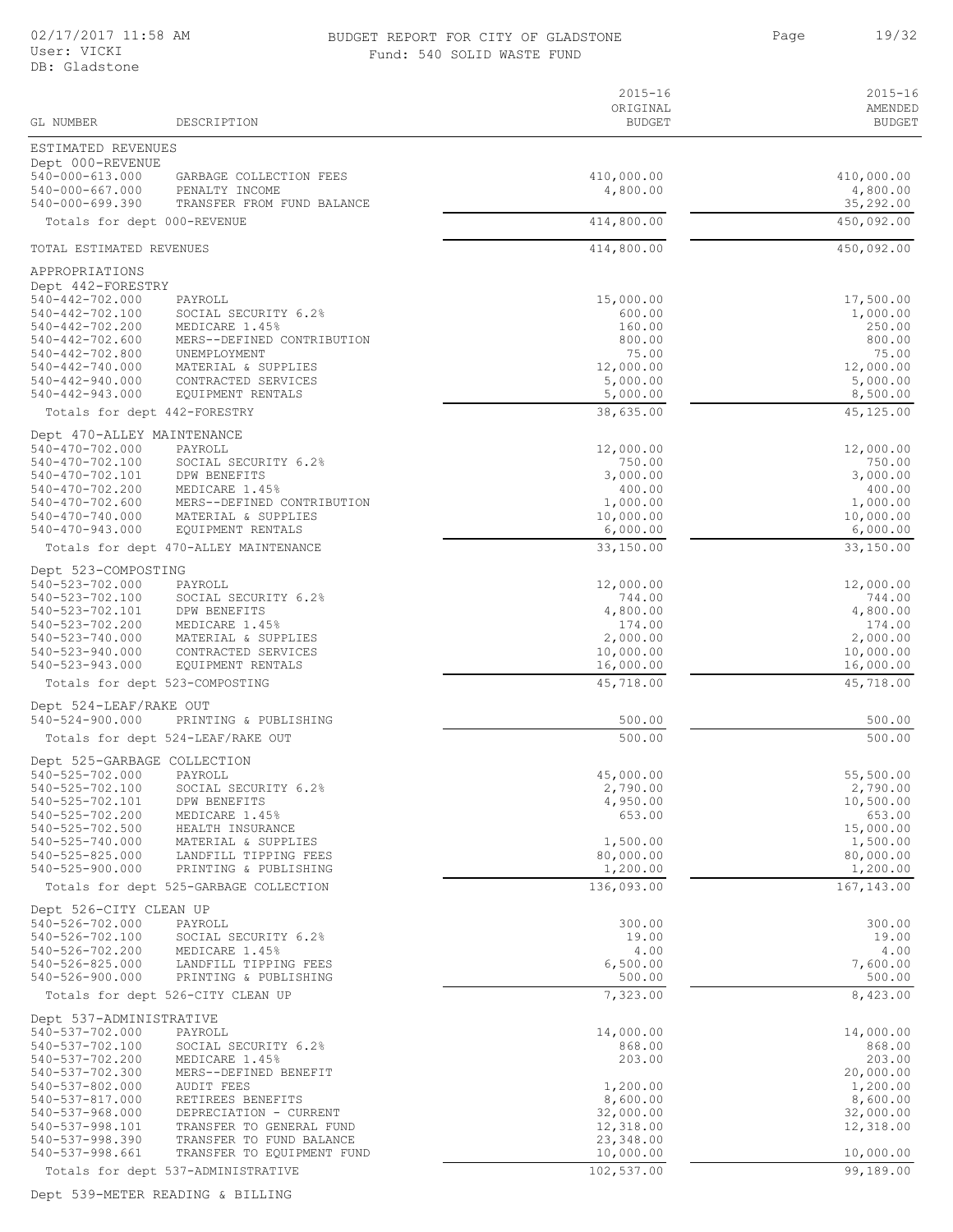#### 02/17/2017 11:58 AM BUDGET REPORT FOR CITY OF GLADSTONE Page 19/32 Fund: 540 SOLID WASTE FUND

Page 19/32

| GL NUMBER                                       | DESCRIPTION                                            | $2015 - 16$<br>ORIGINAL<br><b>BUDGET</b> | $2015 - 16$<br>AMENDED<br><b>BUDGET</b> |
|-------------------------------------------------|--------------------------------------------------------|------------------------------------------|-----------------------------------------|
|                                                 |                                                        |                                          |                                         |
| ESTIMATED REVENUES<br>Dept 000-REVENUE          |                                                        |                                          |                                         |
| $540 - 000 - 613.000$                           | GARBAGE COLLECTION FEES                                | 410,000.00                               | 410,000.00                              |
| 540-000-667.000<br>$540 - 000 - 699.390$        | PENALTY INCOME<br>TRANSFER FROM FUND BALANCE           | 4,800.00                                 | 4,800.00<br>35,292.00                   |
| Totals for dept 000-REVENUE                     |                                                        | 414,800.00                               | 450,092.00                              |
| TOTAL ESTIMATED REVENUES                        |                                                        | 414,800.00                               |                                         |
|                                                 |                                                        |                                          | 450,092.00                              |
| APPROPRIATIONS<br>Dept 442-FORESTRY             |                                                        |                                          |                                         |
| 540-442-702.000                                 | PAYROLL                                                | 15,000.00                                | 17,500.00                               |
| 540-442-702.100<br>540-442-702.200              | SOCIAL SECURITY 6.2%                                   | 600.00                                   | 1,000.00                                |
| 540-442-702.600                                 | MEDICARE 1.45%<br>MERS--DEFINED CONTRIBUTION           | 160.00<br>800.00                         | 250.00<br>800.00                        |
| 540-442-702.800                                 | UNEMPLOYMENT                                           | 75.00                                    | 75.00                                   |
| 540-442-740.000<br>540-442-940.000              | MATERIAL & SUPPLIES<br>CONTRACTED SERVICES             | 12,000.00<br>5,000.00                    | 12,000.00<br>5,000.00                   |
| $540 - 442 - 943.000$                           | EQUIPMENT RENTALS                                      | 5,000.00                                 | 8,500.00                                |
| Totals for dept 442-FORESTRY                    |                                                        | 38,635.00                                | 45,125.00                               |
| Dept 470-ALLEY MAINTENANCE                      |                                                        |                                          |                                         |
| 540-470-702.000<br>$540 - 470 - 702.100$        | PAYROLL<br>SOCIAL SECURITY 6.2%                        | 12,000.00<br>750.00                      | 12,000.00<br>750.00                     |
| 540-470-702.101                                 | DPW BENEFITS                                           | 3,000.00                                 | 3,000.00                                |
| 540-470-702.200                                 | MEDICARE 1.45%                                         | 400.00                                   | 400.00                                  |
| 540-470-702.600<br>540-470-740.000              | MERS--DEFINED CONTRIBUTION<br>MATERIAL & SUPPLIES      | 1,000.00<br>10,000.00                    | 1,000.00<br>10,000.00                   |
| $540 - 470 - 943.000$                           | EOUIPMENT RENTALS                                      | 6,000.00                                 | 6,000.00                                |
|                                                 | Totals for dept 470-ALLEY MAINTENANCE                  | 33,150.00                                | 33,150.00                               |
| Dept 523-COMPOSTING                             |                                                        |                                          |                                         |
| 540-523-702.000<br>540-523-702.100              | PAYROLL<br>SOCIAL SECURITY 6.2%                        | 12,000.00<br>744.00                      | 12,000.00<br>744.00                     |
| 540-523-702.101                                 | DPW BENEFITS                                           | 4,800.00                                 | 4,800.00                                |
| 540-523-702.200<br>540-523-740.000              | MEDICARE 1.45%<br>MATERIAL & SUPPLIES                  | 174.00<br>2,000.00                       | 174.00<br>2,000.00                      |
| 540-523-940.000                                 | CONTRACTED SERVICES                                    | 10,000.00                                | 10,000.00                               |
| 540-523-943.000                                 | EQUIPMENT RENTALS                                      | 16,000.00                                | 16,000.00                               |
|                                                 | Totals for dept 523-COMPOSTING                         | 45,718.00                                | 45,718.00                               |
| Dept 524-LEAF/RAKE OUT<br>$540 - 524 - 900.000$ | PRINTING & PUBLISHING                                  | 500.00                                   | 500.00                                  |
|                                                 | Totals for dept 524-LEAF/RAKE OUT                      | 500.00                                   | 500.00                                  |
| Dept 525-GARBAGE COLLECTION                     |                                                        |                                          |                                         |
| 540-525-702.000 PAYROLL                         |                                                        | 45,000.00                                | 55,500.00                               |
| 540-525-702.100<br>540-525-702.101              | SOCIAL SECURITY 6.2%<br>DPW BENEFITS                   | 2,790.00<br>4,950.00                     | 2,790.00<br>10,500.00                   |
| 540-525-702.200                                 | MEDICARE 1.45%                                         | 653.00                                   | 653.00                                  |
| 540-525-702.500<br>540-525-740.000              | HEALTH INSURANCE<br>MATERIAL & SUPPLIES                | 1,500.00                                 | 15,000.00<br>1,500.00                   |
| $540 - 525 - 825.000$                           | LANDFILL TIPPING FEES                                  | 80,000.00                                | 80,000.00                               |
| 540-525-900.000                                 | PRINTING & PUBLISHING                                  | 1,200.00                                 | 1,200.00                                |
|                                                 | Totals for dept 525-GARBAGE COLLECTION                 | 136,093.00                               | 167, 143.00                             |
| Dept 526-CITY CLEAN UP<br>540-526-702.000       | PAYROLL                                                | 300.00                                   | 300.00                                  |
| 540-526-702.100                                 | SOCIAL SECURITY 6.2%                                   | 19.00                                    | 19.00                                   |
| 540-526-702.200                                 | MEDICARE 1.45%                                         | 4.00                                     | 4.00                                    |
| 540-526-825.000<br>540-526-900.000              | LANDFILL TIPPING FEES<br>PRINTING & PUBLISHING         | 6,500.00<br>500.00                       | 7,600.00<br>500.00                      |
|                                                 | Totals for dept 526-CITY CLEAN UP                      | 7,323.00                                 | 8,423.00                                |
| Dept 537-ADMINISTRATIVE                         |                                                        |                                          |                                         |
| 540-537-702.000                                 | PAYROLL                                                | 14,000.00                                | 14,000.00                               |
| 540-537-702.100<br>540-537-702.200              | SOCIAL SECURITY 6.2%<br>MEDICARE 1.45%                 | 868.00<br>203.00                         | 868.00<br>203.00                        |
| 540-537-702.300                                 | MERS--DEFINED BENEFIT                                  |                                          | 20,000.00                               |
| 540-537-802.000<br>540-537-817.000              | AUDIT FEES<br>RETIREES BENEFITS                        | 1,200.00<br>8,600.00                     | 1,200.00<br>8,600.00                    |
| 540-537-968.000                                 | DEPRECIATION - CURRENT                                 | 32,000.00                                | 32,000.00                               |
| 540-537-998.101                                 | TRANSFER TO GENERAL FUND                               | 12,318.00                                | 12,318.00                               |
| $540 - 537 - 998.390$<br>540-537-998.661        | TRANSFER TO FUND BALANCE<br>TRANSFER TO EQUIPMENT FUND | 23,348.00<br>10,000.00                   | 10,000.00                               |
|                                                 | Totals for dept 537-ADMINISTRATIVE                     | 102,537.00                               | 99,189.00                               |

Dept 539-METER READING & BILLING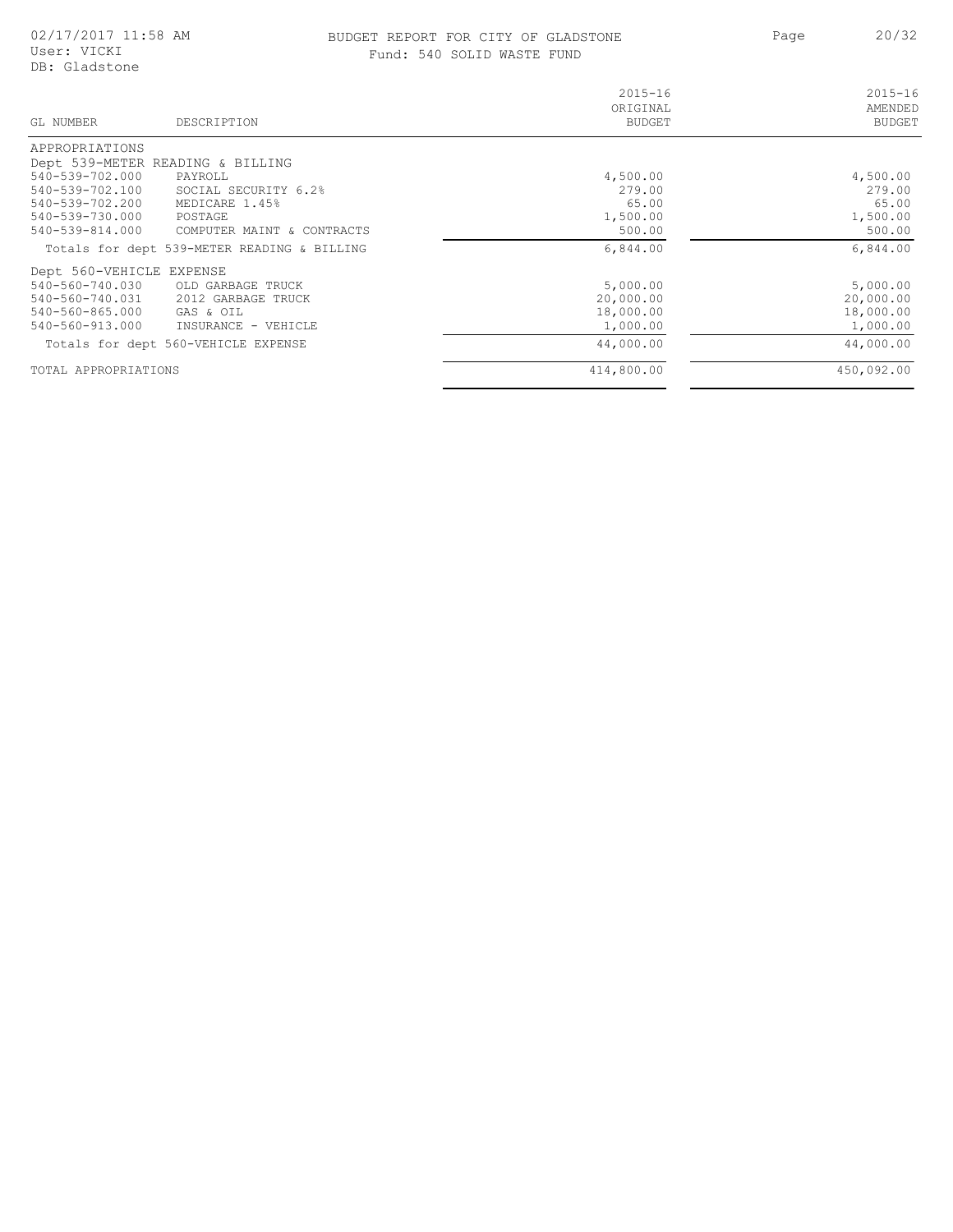### BUDGET REPORT FOR CITY OF GLADSTONE 20/32 Fund: 540 SOLID WASTE FUND

| GL NUMBER<br>DESCRIPTION                      | $2015 - 16$<br>ORIGINAL<br><b>BUDGET</b> | $2015 - 16$<br>AMENDED<br><b>BUDGET</b> |
|-----------------------------------------------|------------------------------------------|-----------------------------------------|
| APPROPRIATIONS                                |                                          |                                         |
| Dept 539-METER READING & BILLING              |                                          |                                         |
| 540-539-702.000<br>PAYROLL                    | 4,500.00                                 | 4,500.00                                |
| 540-539-702.100<br>SOCIAL SECURITY 6.2%       | 279.00                                   | 279.00                                  |
| 540-539-702.200<br>MEDICARE 1.45%             | 65.00                                    | 65.00                                   |
| 540-539-730.000<br>POSTAGE                    | 1,500.00                                 | 1,500.00                                |
| 540-539-814.000<br>COMPUTER MAINT & CONTRACTS | 500.00                                   | 500.00                                  |
| Totals for dept 539-METER READING & BILLING   | 6,844.00                                 | 6,844.00                                |
| Dept 560-VEHICLE EXPENSE                      |                                          |                                         |
| 540-560-740.030<br>OLD GARBAGE TRUCK          | 5,000.00                                 | 5,000.00                                |
| 540-560-740.031 2012 GARBAGE TRUCK            | 20,000.00                                | 20,000.00                               |
| 540-560-865.000<br>GAS & OIL                  | 18,000.00                                | 18,000.00                               |
| 540-560-913.000<br>INSURANCE - VEHICLE        | 1,000.00                                 | 1,000.00                                |
| Totals for dept 560-VEHICLE EXPENSE           | 44,000.00                                | 44,000.00                               |
| TOTAL APPROPRIATIONS                          | 414,800.00                               | 450,092.00                              |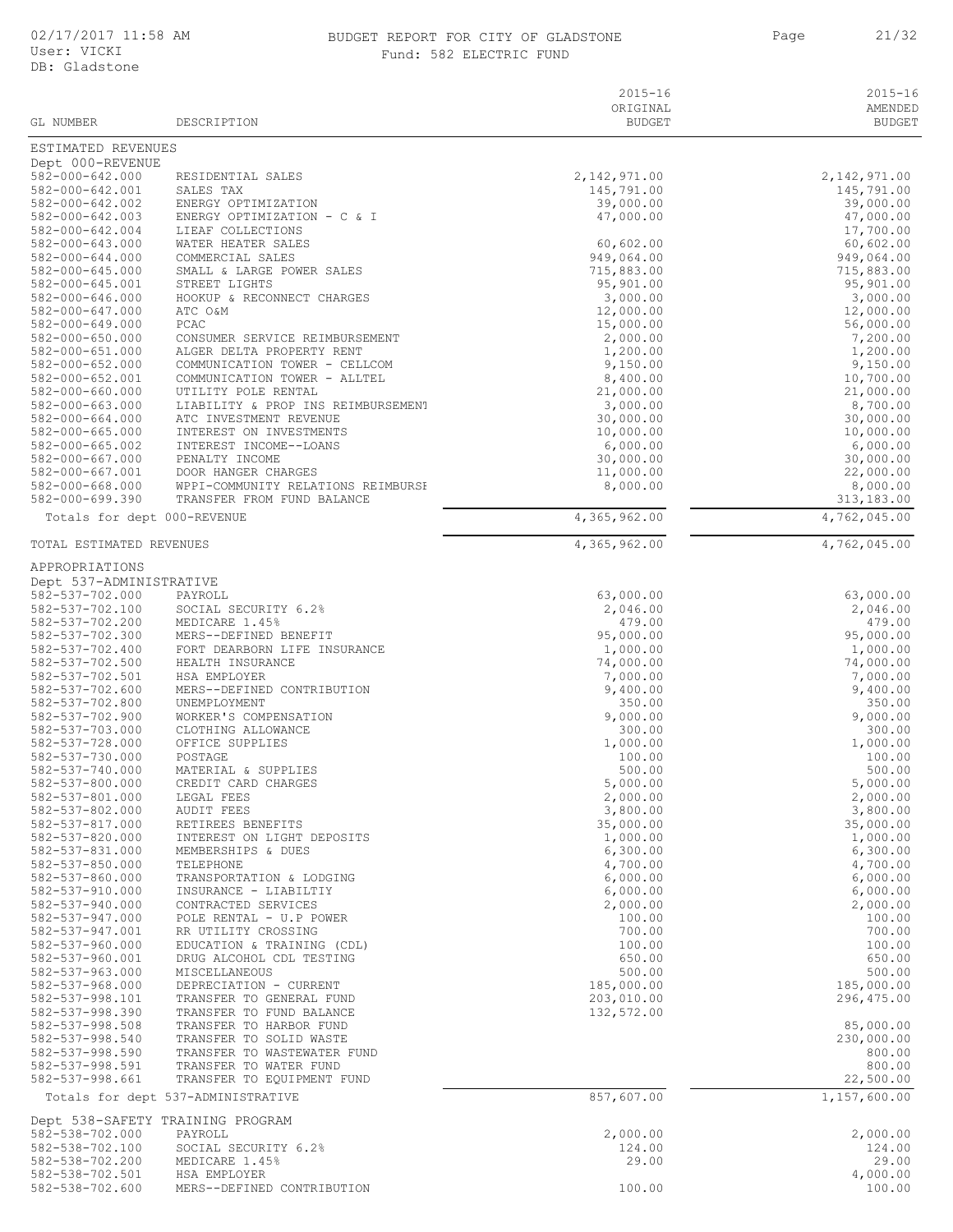### BUDGET REPORT FOR CITY OF GLADSTONE 21/32 Fund: 582 ELECTRIC FUND

Page 21/32

|  | d: 582 ELECTRIC FUND |  |
|--|----------------------|--|
|  |                      |  |

|                                                |                                                            | $2015 - 16$                | $2015 - 16$                  |
|------------------------------------------------|------------------------------------------------------------|----------------------------|------------------------------|
|                                                |                                                            | ORIGINAL                   | AMENDED                      |
| GL NUMBER                                      | DESCRIPTION                                                | <b>BUDGET</b>              | <b>BUDGET</b>                |
| ESTIMATED REVENUES                             |                                                            |                            |                              |
| Dept 000-REVENUE                               |                                                            |                            |                              |
| $582 - 000 - 642.000$<br>582-000-642.001       | RESIDENTIAL SALES<br>SALES TAX                             | 2,142,971.00<br>145,791.00 | 2, 142, 971.00<br>145,791.00 |
| 582-000-642.002                                | ENERGY OPTIMIZATION                                        | 39,000.00                  | 39,000.00                    |
| 582-000-642.003                                | ENERGY OPTIMIZATION - C & I                                | 47,000.00                  | 47,000.00                    |
| 582-000-642.004                                | LIEAF COLLECTIONS                                          |                            | 17,700.00                    |
| 582-000-643.000                                | WATER HEATER SALES                                         | 60,602.00                  | 60,602.00                    |
| $582 - 000 - 644.000$<br>$582 - 000 - 645.000$ | COMMERCIAL SALES<br>SMALL & LARGE POWER SALES              | 949,064.00<br>715,883.00   | 949,064.00<br>715,883.00     |
| 582-000-645.001                                | STREET LIGHTS                                              | 95,901.00                  | 95,901.00                    |
| 582-000-646.000                                | HOOKUP & RECONNECT CHARGES                                 | 3,000.00                   | 3,000.00                     |
| 582-000-647.000                                | ATC O&M                                                    | 12,000.00                  | 12,000.00                    |
| 582-000-649.000                                | PCAC                                                       | 15,000.00                  | 56,000.00                    |
| $582 - 000 - 650.000$                          | CONSUMER SERVICE REIMBURSEMENT                             | 2,000.00                   | 7,200.00                     |
| 582-000-651.000<br>$582 - 000 - 652.000$       | ALGER DELTA PROPERTY RENT<br>COMMUNICATION TOWER - CELLCOM | 1,200.00<br>9,150.00       | 1,200.00<br>9,150.00         |
| 582-000-652.001                                | COMMUNICATION TOWER - ALLTEL                               | 8,400.00                   | 10,700.00                    |
| $582 - 000 - 660.000$                          | UTILITY POLE RENTAL                                        | 21,000.00                  | 21,000.00                    |
| 582-000-663.000                                | LIABILITY & PROP INS REIMBURSEMENT                         | 3,000.00                   | 8,700.00                     |
| $582 - 000 - 664.000$                          | ATC INVESTMENT REVENUE                                     | 30,000.00                  | 30,000.00                    |
| $582 - 000 - 665.000$                          | INTEREST ON INVESTMENTS                                    | 10,000.00                  | 10,000.00                    |
| $582 - 000 - 665.002$<br>582-000-667.000       | INTEREST INCOME--LOANS<br>PENALTY INCOME                   | 6,000.00<br>30,000.00      | 6,000.00<br>30,000.00        |
| 582-000-667.001                                | DOOR HANGER CHARGES                                        | 11,000.00                  | 22,000.00                    |
| 582-000-668.000                                | WPPI-COMMUNITY RELATIONS REIMBURSE                         | 8,000.00                   | 8,000.00                     |
| 582-000-699.390                                | TRANSFER FROM FUND BALANCE                                 |                            | 313,183.00                   |
| Totals for dept 000-REVENUE                    |                                                            | 4,365,962.00               | 4,762,045.00                 |
| TOTAL ESTIMATED REVENUES                       |                                                            | 4,365,962.00               | 4,762,045.00                 |
|                                                |                                                            |                            |                              |
| APPROPRIATIONS                                 |                                                            |                            |                              |
| Dept 537-ADMINISTRATIVE<br>582-537-702.000     | PAYROLL                                                    | 63,000.00                  | 63,000.00                    |
| 582-537-702.100                                | SOCIAL SECURITY 6.2%                                       | 2,046.00                   | 2,046.00                     |
| 582-537-702.200                                | MEDICARE 1.45%                                             | 479.00                     | 479.00                       |
| 582-537-702.300                                | MERS--DEFINED BENEFIT                                      | 95,000.00                  | 95,000.00                    |
| 582-537-702.400                                | FORT DEARBORN LIFE INSURANCE                               | 1,000.00                   | 1,000.00                     |
| 582-537-702.500                                | HEALTH INSURANCE                                           | 74,000.00                  | 74,000.00                    |
| 582-537-702.501<br>582-537-702.600             | HSA EMPLOYER<br>MERS--DEFINED CONTRIBUTION                 | 7,000.00<br>9,400.00       | 7,000.00<br>9,400.00         |
| 582-537-702.800                                | UNEMPLOYMENT                                               | 350.00                     | 350.00                       |
| 582-537-702.900                                | WORKER'S COMPENSATION                                      | 9,000.00                   | 9,000.00                     |
| 582-537-703.000                                | CLOTHING ALLOWANCE                                         | 300.00                     | 300.00                       |
| 582-537-728.000                                | OFFICE SUPPLIES                                            | 1,000.00                   | 1,000.00                     |
| 582-537-730.000                                | POSTAGE                                                    | 100.00                     | 100.00                       |
| 582-537-740.000<br>582-537-800.000             | MATERIAL & SUPPLIES<br>CREDIT CARD CHARGES                 | 500.00<br>5,000.00         | 500.00<br>5,000.00           |
| 582-537-801.000                                | LEGAL FEES                                                 | 2,000.00                   | 2,000.00                     |
| 582-537-802.000                                | AUDIT FEES                                                 | 3,800.00                   | 3,800.00                     |
| 582-537-817.000                                | RETIREES BENEFITS                                          | 35,000.00                  | 35,000.00                    |
| 582-537-820.000                                | INTEREST ON LIGHT DEPOSITS                                 | 1,000.00                   | 1,000.00                     |
| 582-537-831.000<br>582-537-850.000             | MEMBERSHIPS & DUES<br>TELEPHONE                            | 6,300.00<br>4,700.00       | 6,300.00<br>4,700.00         |
| 582-537-860.000                                | TRANSPORTATION & LODGING                                   | 6,000.00                   | 6,000.00                     |
| 582-537-910.000                                | INSURANCE - LIABILTIY                                      | 6,000.00                   | 6,000.00                     |
| $582 - 537 - 940.000$                          | CONTRACTED SERVICES                                        | 2,000.00                   | 2,000.00                     |
| 582-537-947.000                                | POLE RENTAL - U.P POWER                                    | 100.00                     | 100.00                       |
| 582-537-947.001                                | RR UTILITY CROSSING                                        | 700.00                     | 700.00                       |
| $582 - 537 - 960.000$<br>582-537-960.001       | EDUCATION & TRAINING (CDL)<br>DRUG ALCOHOL CDL TESTING     | 100.00<br>650.00           | 100.00<br>650.00             |
| 582-537-963.000                                | MISCELLANEOUS                                              | 500.00                     | 500.00                       |
| 582-537-968.000                                | DEPRECIATION - CURRENT                                     | 185,000.00                 | 185,000.00                   |
| 582-537-998.101                                | TRANSFER TO GENERAL FUND                                   | 203,010.00                 | 296, 475.00                  |
| 582-537-998.390                                | TRANSFER TO FUND BALANCE                                   | 132,572.00                 |                              |
| 582-537-998.508<br>582-537-998.540             | TRANSFER TO HARBOR FUND<br>TRANSFER TO SOLID WASTE         |                            | 85,000.00<br>230,000.00      |
| 582-537-998.590                                | TRANSFER TO WASTEWATER FUND                                |                            | 800.00                       |
| 582-537-998.591                                | TRANSFER TO WATER FUND                                     |                            | 800.00                       |
| 582-537-998.661                                | TRANSFER TO EQUIPMENT FUND                                 |                            | 22,500.00                    |
|                                                | Totals for dept 537-ADMINISTRATIVE                         | 857,607.00                 | 1,157,600.00                 |
|                                                | Dept 538-SAFETY TRAINING PROGRAM                           |                            |                              |
| 582-538-702.000                                | PAYROLL                                                    | 2,000.00                   | 2,000.00                     |
| 582-538-702.100                                | SOCIAL SECURITY 6.2%                                       | 124.00                     | 124.00                       |
| 582-538-702.200<br>582-538-702.501             | MEDICARE 1.45%<br>HSA EMPLOYER                             | 29.00                      | 29.00<br>4,000.00            |
| 582-538-702.600                                | MERS--DEFINED CONTRIBUTION                                 | 100.00                     | 100.00                       |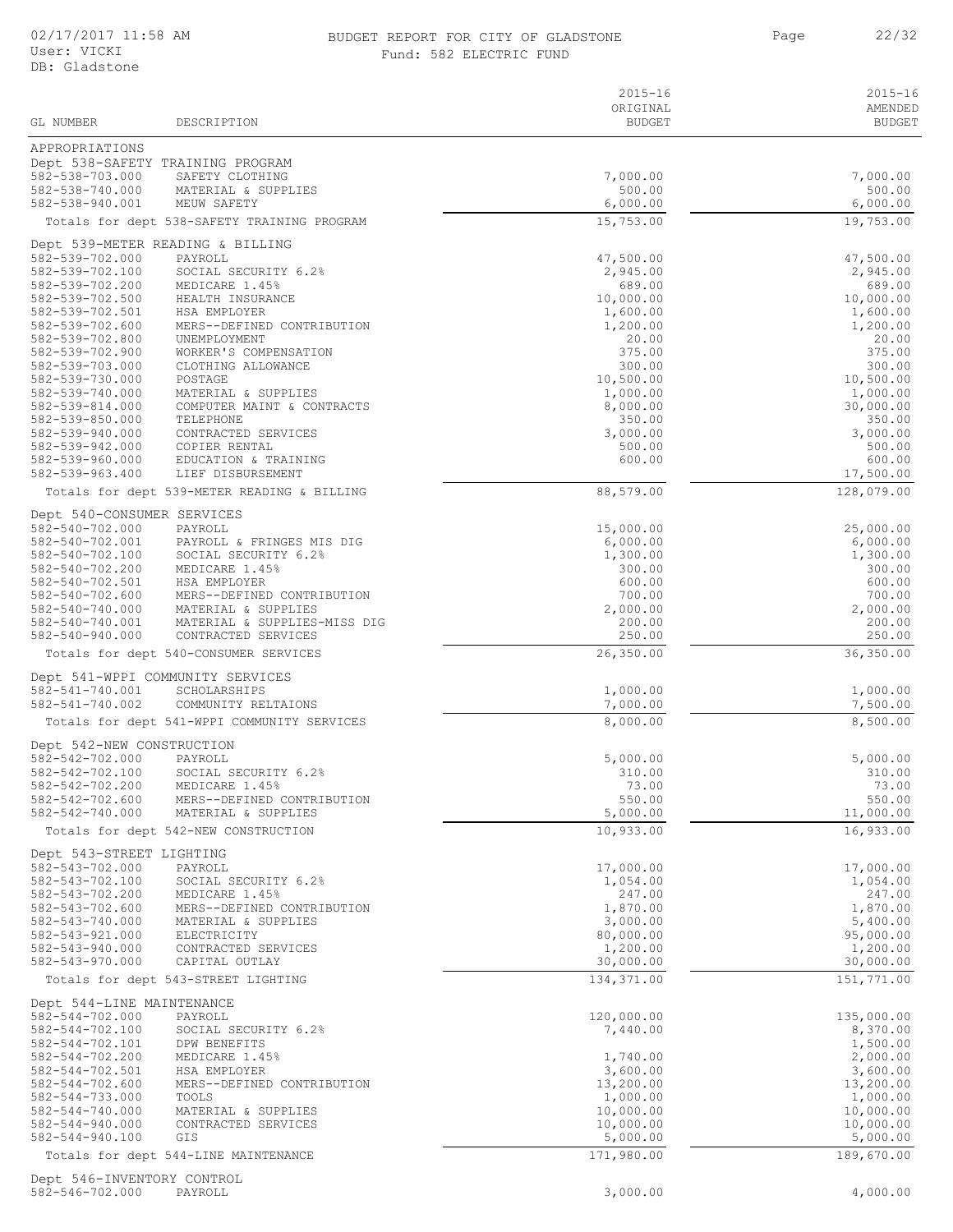#### 02/17/2017 11:58 AM BUDGET REPORT FOR CITY OF GLADSTONE 22/32 Fund: 582 ELECTRIC FUND

|                                                |                                                     | $2015 - 16$           | $2015 - 16$              |
|------------------------------------------------|-----------------------------------------------------|-----------------------|--------------------------|
| GL NUMBER                                      | DESCRIPTION                                         | ORIGINAL<br>BUDGET    | AMENDED<br><b>BUDGET</b> |
|                                                |                                                     |                       |                          |
| APPROPRIATIONS                                 |                                                     |                       |                          |
| 582-538-703.000                                | Dept 538-SAFETY TRAINING PROGRAM<br>SAFETY CLOTHING | 7,000.00              | 7,000.00                 |
| 582-538-740.000                                | MATERIAL & SUPPLIES                                 | 500.00                | 500.00                   |
| 582-538-940.001                                | MEUW SAFETY                                         | 6,000.00              | 6,000.00                 |
|                                                | Totals for dept 538-SAFETY TRAINING PROGRAM         | 15,753.00             | 19,753.00                |
|                                                | Dept 539-METER READING & BILLING                    |                       |                          |
| 582-539-702.000                                | PAYROLL                                             | 47,500.00             | 47,500.00                |
| 582-539-702.100<br>582-539-702.200             | SOCIAL SECURITY 6.2%<br>MEDICARE 1.45%              | 2,945.00<br>689.00    | 2,945.00<br>689.00       |
| 582-539-702.500                                | HEALTH INSURANCE                                    | 10,000.00             | 10,000.00                |
| 582-539-702.501                                | HSA EMPLOYER                                        | 1,600.00              | 1,600.00                 |
| 582-539-702.600<br>582-539-702.800             | MERS--DEFINED CONTRIBUTION<br>UNEMPLOYMENT          | 1,200.00<br>20.00     | 1,200.00<br>20.00        |
| 582-539-702.900                                | WORKER'S COMPENSATION                               | 375.00                | 375.00                   |
| 582-539-703.000                                | CLOTHING ALLOWANCE                                  | 300.00                | 300.00                   |
| 582-539-730.000                                | POSTAGE                                             | 10,500.00             | 10,500.00                |
| 582-539-740.000<br>582-539-814.000             | MATERIAL & SUPPLIES<br>COMPUTER MAINT & CONTRACTS   | 1,000.00<br>8,000.00  | 1,000.00<br>30,000.00    |
| 582-539-850.000                                | TELEPHONE                                           | 350.00                | 350.00                   |
| 582-539-940.000                                | CONTRACTED SERVICES                                 | 3,000.00              | 3,000.00                 |
| 582-539-942.000<br>582-539-960.000             | COPIER RENTAL<br>EDUCATION & TRAINING               | 500.00<br>600.00      | 500.00<br>600.00         |
| 582-539-963.400                                | LIEF DISBURSEMENT                                   |                       | 17,500.00                |
|                                                | Totals for dept 539-METER READING & BILLING         | 88,579.00             | 128,079.00               |
| Dept 540-CONSUMER SERVICES                     |                                                     |                       |                          |
| 582-540-702.000                                | PAYROLL                                             | 15,000.00             | 25,000.00                |
| 582-540-702.001                                | PAYROLL & FRINGES MIS DIG                           | 6,000.00              | 6,000.00                 |
| 582-540-702.100<br>582-540-702.200             | SOCIAL SECURITY 6.2%<br>MEDICARE 1.45%              | 1,300.00<br>300.00    | 1,300.00<br>300.00       |
| 582-540-702.501                                | HSA EMPLOYER                                        | 600.00                | 600.00                   |
| $582 - 540 - 702.600$                          | MERS--DEFINED CONTRIBUTION                          | 700.00                | 700.00                   |
| 582-540-740.000<br>582-540-740.001             | MATERIAL & SUPPLIES<br>MATERIAL & SUPPLIES-MISS DIG | 2,000.00<br>200.00    | 2,000.00<br>200.00       |
| 582-540-940.000                                | CONTRACTED SERVICES                                 | 250.00                | 250.00                   |
|                                                | Totals for dept 540-CONSUMER SERVICES               | 26,350.00             | 36,350.00                |
|                                                | Dept 541-WPPI COMMUNITY SERVICES                    |                       |                          |
| 582-541-740.001                                | SCHOLARSHIPS                                        | 1,000.00              | 1,000.00                 |
| 582-541-740.002                                | COMMUNITY RELTAIONS                                 | 7,000.00              | 7,500.00                 |
|                                                | Totals for dept 541-WPPI COMMUNITY SERVICES         | 8,000.00              | 8,500.00                 |
| Dept 542-NEW CONSTRUCTION                      |                                                     |                       |                          |
| 582-542-702.000                                | PAYROLL                                             | 5,000.00              | 5,000.00                 |
| 582-542-702.100                                | SOCIAL SECURITY 6.2%                                | 310.00                | 310.00                   |
| 582-542-702.200<br>582-542-702.600             | MEDICARE 1.45%<br>MERS--DEFINED CONTRIBUTION        | 73.00<br>550.00       | 73.00<br>550.00          |
| 582-542-740.000                                | MATERIAL & SUPPLIES                                 | 5,000.00              | 11,000.00                |
|                                                | Totals for dept 542-NEW CONSTRUCTION                | 10,933.00             | 16,933.00                |
| Dept 543-STREET LIGHTING                       |                                                     |                       |                          |
| 582-543-702.000                                | PAYROLL                                             | 17,000.00             | 17,000.00                |
| 582-543-702.100                                | SOCIAL SECURITY 6.2%                                | 1,054.00              | 1,054.00                 |
| 582-543-702.200<br>582-543-702.600             | MEDICARE 1.45%<br>MERS--DEFINED CONTRIBUTION        | 247.00<br>1,870.00    | 247.00<br>1,870.00       |
| 582-543-740.000                                | MATERIAL & SUPPLIES                                 | 3,000.00              | 5,400.00                 |
| 582-543-921.000                                | ELECTRICITY                                         | 80,000.00             | 95,000.00                |
| 582-543-940.000<br>582-543-970.000             | CONTRACTED SERVICES<br>CAPITAL OUTLAY               | 1,200.00<br>30,000.00 | 1,200.00<br>30,000.00    |
|                                                | Totals for dept 543-STREET LIGHTING                 | 134,371.00            | 151,771.00               |
|                                                |                                                     |                       |                          |
| Dept 544-LINE MAINTENANCE<br>582-544-702.000   | PAYROLL                                             | 120,000.00            | 135,000.00               |
| 582-544-702.100                                | SOCIAL SECURITY 6.2%                                | 7,440.00              | 8,370.00                 |
| 582-544-702.101                                | DPW BENEFITS                                        |                       | 1,500.00                 |
| 582-544-702.200<br>582-544-702.501             | MEDICARE 1.45%<br>HSA EMPLOYER                      | 1,740.00<br>3,600.00  | 2,000.00<br>3,600.00     |
| 582-544-702.600                                | MERS--DEFINED CONTRIBUTION                          | 13,200.00             | 13,200.00                |
| 582-544-733.000                                | TOOLS                                               | 1,000.00              | 1,000.00                 |
| $582 - 544 - 740.000$<br>$582 - 544 - 940.000$ | MATERIAL & SUPPLIES                                 | 10,000.00             | 10,000.00                |
| $582 - 544 - 940.100$                          | CONTRACTED SERVICES<br>GIS                          | 10,000.00<br>5,000.00 | 10,000.00<br>5,000.00    |
|                                                | Totals for dept 544-LINE MAINTENANCE                | 171,980.00            | 189,670.00               |
| Dept 546-INVENTORY CONTROL                     |                                                     |                       |                          |
|                                                |                                                     |                       |                          |

582-546-702.000 PAYROLL 3,000.00 4,000.00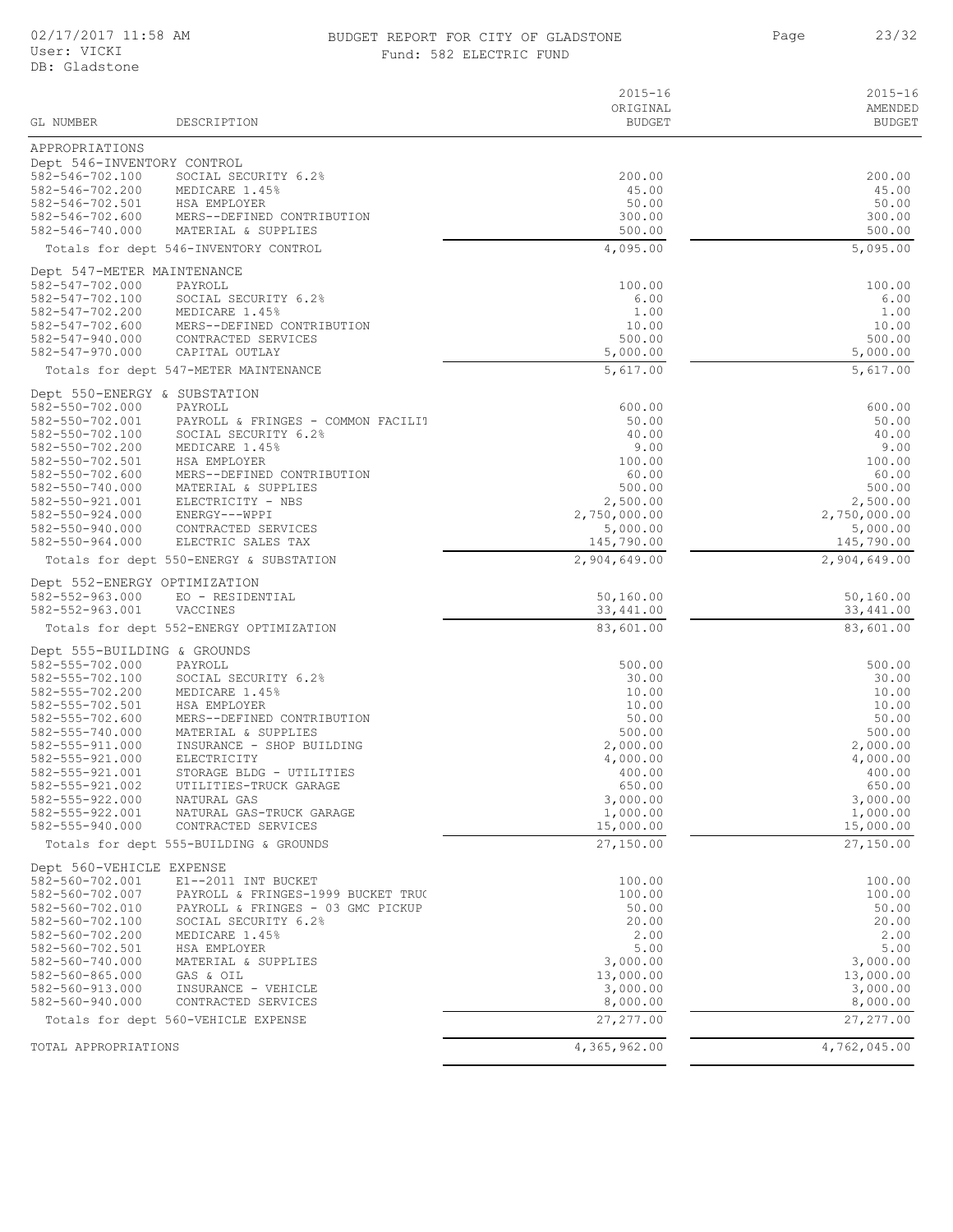### BUDGET REPORT FOR CITY OF GLADSTONE 23/32 Fund: 582 ELECTRIC FUND

|                                              |                                                                         | $2015 - 16$           | $2015 - 16$             |
|----------------------------------------------|-------------------------------------------------------------------------|-----------------------|-------------------------|
| GL NUMBER                                    |                                                                         | ORIGINAL              | AMENDED                 |
|                                              | DESCRIPTION                                                             | <b>BUDGET</b>         | <b>BUDGET</b>           |
| APPROPRIATIONS<br>Dept 546-INVENTORY CONTROL |                                                                         |                       |                         |
| 582-546-702.100                              | SOCIAL SECURITY 6.2%                                                    | 200.00                | 200.00                  |
| 582-546-702.200                              | MEDICARE 1.45%                                                          | 45.00                 | 45.00                   |
| 582-546-702.501                              | HSA EMPLOYER                                                            | 50.00                 | 50.00                   |
| 582-546-702.600<br>582-546-740.000           | MERS--DEFINED CONTRIBUTION<br>MATERIAL & SUPPLIES                       | 300.00<br>500.00      | 300.00<br>500.00        |
|                                              | Totals for dept 546-INVENTORY CONTROL                                   | 4,095.00              | 5,095.00                |
| Dept 547-METER MAINTENANCE                   |                                                                         |                       |                         |
| 582-547-702.000                              | PAYROLL                                                                 | 100.00                | 100.00                  |
| 582-547-702.100                              | SOCIAL SECURITY 6.2%                                                    | 6.00                  | 6.00                    |
| 582-547-702.200                              | MEDICARE 1.45%                                                          | 1.00                  | 1.00                    |
| 582-547-702.600<br>582-547-940.000           | MERS--DEFINED CONTRIBUTION<br>CONTRACTED SERVICES                       | 10.00<br>500.00       | 10.00<br>500.00         |
| 582-547-970.000                              | CAPITAL OUTLAY                                                          | 5,000.00              | 5,000.00                |
|                                              | Totals for dept 547-METER MAINTENANCE                                   | 5,617.00              | 5,617.00                |
| Dept 550-ENERGY & SUBSTATION                 |                                                                         |                       |                         |
| 582-550-702.000                              | PAYROLL                                                                 | 600.00                | 600.00                  |
| 582-550-702.001<br>582-550-702.100           | PAYROLL & FRINGES - COMMON FACILIT<br>SOCIAL SECURITY 6.2%              | 50.00<br>40.00        | 50.00<br>40.00          |
| 582-550-702.200                              | MEDICARE 1.45%                                                          | 9.00                  | 9.00                    |
| 582-550-702.501                              | HSA EMPLOYER                                                            | 100.00                | 100.00                  |
| 582-550-702.600                              | MERS--DEFINED CONTRIBUTION                                              | 60.00                 | 60.00                   |
| 582-550-740.000<br>582-550-921.001           | MATERIAL & SUPPLIES<br>ELECTRICITY - NBS                                | 500.00<br>2,500.00    | 500.00<br>2,500.00      |
| $582 - 550 - 924.000$                        | ENERGY---WPPI                                                           | 2,750,000.00          | 2,750,000.00            |
| 582-550-940.000                              | CONTRACTED SERVICES                                                     | 5,000.00              | 5,000.00                |
| 582-550-964.000                              | ELECTRIC SALES TAX                                                      | 145,790.00            | 145,790.00              |
|                                              | Totals for dept 550-ENERGY & SUBSTATION                                 | 2,904,649.00          | 2,904,649.00            |
| Dept 552-ENERGY OPTIMIZATION                 |                                                                         |                       |                         |
| 582-552-963.000                              | EO - RESIDENTIAL                                                        | 50,160.00             | 50,160.00               |
| 582-552-963.001                              | VACCINES                                                                | 33,441.00             | 33, 441.00<br>83,601.00 |
|                                              | Totals for dept 552-ENERGY OPTIMIZATION                                 | 83,601.00             |                         |
| Dept 555-BUILDING & GROUNDS                  |                                                                         |                       |                         |
| 582-555-702.000<br>582-555-702.100           | PAYROLL<br>SOCIAL SECURITY 6.2%                                         | 500.00<br>30.00       | 500.00<br>30.00         |
| 582-555-702.200                              | MEDICARE 1.45%                                                          | 10.00                 | 10.00                   |
| 582-555-702.501                              | HSA EMPLOYER                                                            | 10.00                 | 10.00                   |
| 582-555-702.600<br>582-555-740.000           | MERS--DEFINED CONTRIBUTION                                              | 50.00<br>500.00       | 50.00<br>500.00         |
| 582-555-911.000                              | MATERIAL & SUPPLIES<br>INSURANCE - SHOP BUILDING                        | 2,000.00              | 2,000.00                |
| 582-555-921.000                              | ELECTRICITY                                                             | 4,000.00              | 4,000.00                |
| 582-555-921.001                              | STORAGE BLDG - UTILITIES                                                | 400.00                | 400.00                  |
| 582-555-921.002<br>582-555-922.000           | UTILITIES-TRUCK GARAGE<br>NATURAL GAS                                   | 650.00<br>3,000.00    | 650.00<br>3,000.00      |
| 582-555-922.001                              | NATURAL GAS-TRUCK GARAGE                                                | 1,000.00              | 1,000.00                |
| $582 - 555 - 940.000$                        | CONTRACTED SERVICES                                                     | 15,000.00             | 15,000.00               |
|                                              | Totals for dept 555-BUILDING & GROUNDS                                  | 27,150.00             | 27,150.00               |
| Dept 560-VEHICLE EXPENSE                     |                                                                         |                       |                         |
| 582-560-702.001                              | E1--2011 INT BUCKET                                                     | 100.00                | 100.00                  |
| 582-560-702.007<br>582-560-702.010           | PAYROLL & FRINGES-1999 BUCKET TRU(<br>PAYROLL & FRINGES - 03 GMC PICKUP | 100.00<br>50.00       | 100.00<br>50.00         |
| 582-560-702.100                              | SOCIAL SECURITY 6.2%                                                    | 20.00                 | 20.00                   |
| 582-560-702.200                              | MEDICARE 1.45%                                                          | 2.00                  | 2.00                    |
| 582-560-702.501                              | HSA EMPLOYER                                                            | 5.00                  | 5.00                    |
| 582-560-740.000<br>$582 - 560 - 865.000$     | MATERIAL & SUPPLIES<br>GAS & OIL                                        | 3,000.00<br>13,000.00 | 3,000.00<br>13,000.00   |
| 582-560-913.000                              | INSURANCE - VEHICLE                                                     | 3,000.00              | 3,000.00                |
| 582-560-940.000                              | CONTRACTED SERVICES                                                     | 8,000.00              | 8,000.00                |
|                                              | Totals for dept 560-VEHICLE EXPENSE                                     | 27, 277.00            | 27, 277.00              |
| TOTAL APPROPRIATIONS                         |                                                                         | 4,365,962.00          | 4,762,045.00            |
|                                              |                                                                         |                       |                         |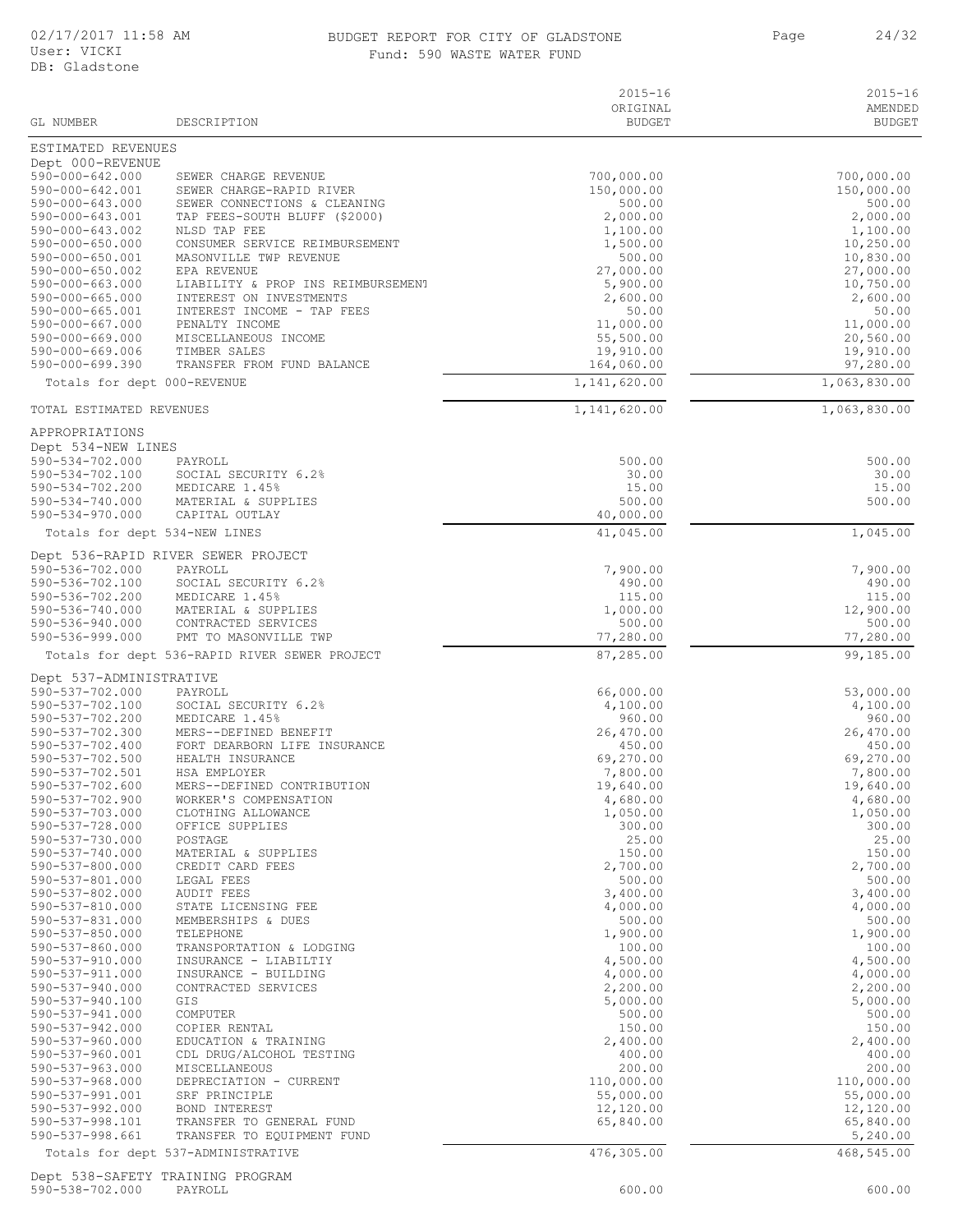### BUDGET REPORT FOR CITY OF GLADSTONE 24/32 Fund: 590 WASTE WATER FUND

| GL NUMBER                                                    | DESCRIPTION                                                   | $2015 - 16$<br>ORIGINAL<br><b>BUDGET</b> | $2015 - 16$<br>AMENDED<br><b>BUDGET</b> |
|--------------------------------------------------------------|---------------------------------------------------------------|------------------------------------------|-----------------------------------------|
| ESTIMATED REVENUES                                           |                                                               |                                          |                                         |
| Dept 000-REVENUE<br>$590 - 000 - 642.000$<br>590-000-642.001 | SEWER CHARGE REVENUE<br>SEWER CHARGE-RAPID RIVER              | 700,000.00<br>150,000.00                 | 700,000.00<br>150,000.00                |
| 590-000-643.000<br>590-000-643.001                           | SEWER CONNECTIONS & CLEANING<br>TAP FEES-SOUTH BLUFF (\$2000) | 500.00<br>2,000.00                       | 500.00<br>2,000.00                      |
| 590-000-643.002                                              | NLSD TAP FEE                                                  | 1,100.00                                 | 1,100.00                                |
| 590-000-650.000<br>590-000-650.001                           | CONSUMER SERVICE REIMBURSEMENT<br>MASONVILLE TWP REVENUE      | 1,500.00<br>500.00                       | 10,250.00<br>10,830.00                  |
| 590-000-650.002                                              | EPA REVENUE                                                   | 27,000.00                                | 27,000.00                               |
| 590-000-663.000                                              | LIABILITY & PROP INS REIMBURSEMENT                            | 5,900.00                                 | 10,750.00                               |
| 590-000-665.000<br>590-000-665.001                           | INTEREST ON INVESTMENTS<br>INTEREST INCOME - TAP FEES         | 2,600.00<br>50.00                        | 2,600.00<br>50.00                       |
| 590-000-667.000                                              | PENALTY INCOME                                                | 11,000.00                                | 11,000.00                               |
| 590-000-669.000<br>590-000-669.006                           | MISCELLANEOUS INCOME<br>TIMBER SALES                          | 55,500.00<br>19,910.00                   | 20,560.00<br>19,910.00                  |
| 590-000-699.390                                              | TRANSFER FROM FUND BALANCE                                    | 164,060.00                               | 97,280.00                               |
| Totals for dept 000-REVENUE                                  |                                                               | 1,141,620.00                             | 1,063,830.00                            |
| TOTAL ESTIMATED REVENUES                                     |                                                               | 1,141,620.00                             | 1,063,830.00                            |
| APPROPRIATIONS<br>Dept 534-NEW LINES                         |                                                               |                                          |                                         |
| 590-534-702.000                                              | PAYROLL                                                       | 500.00                                   | 500.00                                  |
| 590-534-702.100                                              | SOCIAL SECURITY 6.2%                                          | 30.00                                    | 30.00                                   |
| 590-534-702.200<br>590-534-740.000                           | MEDICARE 1.45%<br>MATERIAL & SUPPLIES                         | 15.00<br>500.00                          | 15.00<br>500.00                         |
| $590 - 534 - 970.000$                                        | CAPITAL OUTLAY                                                | 40,000.00                                |                                         |
| Totals for dept 534-NEW LINES                                |                                                               | 41,045.00                                | 1,045.00                                |
|                                                              | Dept 536-RAPID RIVER SEWER PROJECT                            |                                          |                                         |
| 590-536-702.000<br>590-536-702.100                           | PAYROLL<br>SOCIAL SECURITY 6.2%                               | 7,900.00<br>490.00                       | 7,900.00<br>490.00                      |
| 590-536-702.200                                              | MEDICARE 1.45%                                                | 115.00                                   | 115.00                                  |
| 590-536-740.000                                              | MATERIAL & SUPPLIES                                           | 1,000.00                                 | 12,900.00                               |
| 590-536-940.000<br>590-536-999.000                           | CONTRACTED SERVICES<br>PMT TO MASONVILLE TWP                  | 500.00<br>77,280.00                      | 500.00<br>77,280.00                     |
|                                                              | Totals for dept 536-RAPID RIVER SEWER PROJECT                 | 87,285.00                                | 99,185.00                               |
| Dept 537-ADMINISTRATIVE                                      |                                                               |                                          |                                         |
| 590-537-702.000                                              | PAYROLL                                                       | 66,000.00                                | 53,000.00                               |
| 590-537-702.100<br>590-537-702.200                           | SOCIAL SECURITY 6.2%<br>MEDICARE 1.45%                        | 4,100.00<br>960.00                       | 4,100.00<br>960.00                      |
| 590-537-702.300                                              | MERS--DEFINED BENEFIT                                         | 26,470.00                                | 26,470.00                               |
| 590-537-702.400                                              | FORT DEARBORN LIFE INSURANCE                                  | 450.00                                   | 450.00                                  |
| 590-537-702.500<br>590-537-702.501                           | HEALTH INSURANCE<br>HSA EMPLOYER                              | 69,270.00<br>7,800.00                    | 69,270.00<br>7,800.00                   |
| 590-537-702.600                                              | MERS--DEFINED CONTRIBUTION                                    | 19,640.00                                | 19,640.00                               |
| 590-537-702.900                                              | WORKER'S COMPENSATION                                         | 4,680.00                                 | 4,680.00                                |
| 590-537-703.000<br>590-537-728.000                           | CLOTHING ALLOWANCE<br>OFFICE SUPPLIES                         | 1,050.00<br>300.00                       | 1,050.00<br>300.00                      |
| 590-537-730.000                                              | POSTAGE                                                       | 25.00                                    | 25.00                                   |
| 590-537-740.000                                              | MATERIAL & SUPPLIES                                           | 150.00                                   | 150.00                                  |
| 590-537-800.000<br>590-537-801.000                           | CREDIT CARD FEES<br>LEGAL FEES                                | 2,700.00<br>500.00                       | 2,700.00<br>500.00                      |
| 590-537-802.000                                              | AUDIT FEES                                                    | 3,400.00                                 | 3,400.00                                |
| 590-537-810.000                                              | STATE LICENSING FEE                                           | 4,000.00                                 | 4,000.00                                |
| 590-537-831.000<br>590-537-850.000                           | MEMBERSHIPS & DUES<br>TELEPHONE                               | 500.00<br>1,900.00                       | 500.00<br>1,900.00                      |
| 590-537-860.000                                              | TRANSPORTATION & LODGING                                      | 100.00                                   | 100.00                                  |
| 590-537-910.000                                              | INSURANCE - LIABILTIY                                         | 4,500.00                                 | 4,500.00                                |
| 590-537-911.000<br>$590 - 537 - 940.000$                     | INSURANCE - BUILDING<br>CONTRACTED SERVICES                   | 4,000.00<br>2,200.00                     | 4,000.00<br>2,200.00                    |
| 590-537-940.100                                              | GIS                                                           | 5,000.00                                 | 5,000.00                                |
| 590-537-941.000                                              | COMPUTER                                                      | 500.00                                   | 500.00                                  |
| 590-537-942.000                                              | COPIER RENTAL                                                 | 150.00                                   | 150.00                                  |
| $590 - 537 - 960.000$<br>590-537-960.001                     | EDUCATION & TRAINING<br>CDL DRUG/ALCOHOL TESTING              | 2,400.00<br>400.00                       | 2,400.00<br>400.00                      |
| 590-537-963.000                                              | MISCELLANEOUS                                                 | 200.00                                   | 200.00                                  |
| $590 - 537 - 968.000$                                        | DEPRECIATION - CURRENT                                        | 110,000.00                               | 110,000.00                              |
| 590-537-991.001<br>$590 - 537 - 992.000$                     | SRF PRINCIPLE<br>BOND INTEREST                                | 55,000.00<br>12,120.00                   | 55,000.00<br>12,120.00                  |
| 590-537-998.101                                              | TRANSFER TO GENERAL FUND                                      | 65,840.00                                | 65,840.00                               |
| 590-537-998.661                                              | TRANSFER TO EQUIPMENT FUND                                    |                                          | 5,240.00                                |
|                                                              | Totals for dept 537-ADMINISTRATIVE                            | 476,305.00                               | 468,545.00                              |
| Dept 538-SAFETY TRAINING PROGRAM                             |                                                               |                                          |                                         |

590-538-702.000 PAYROLL 600.00 600.00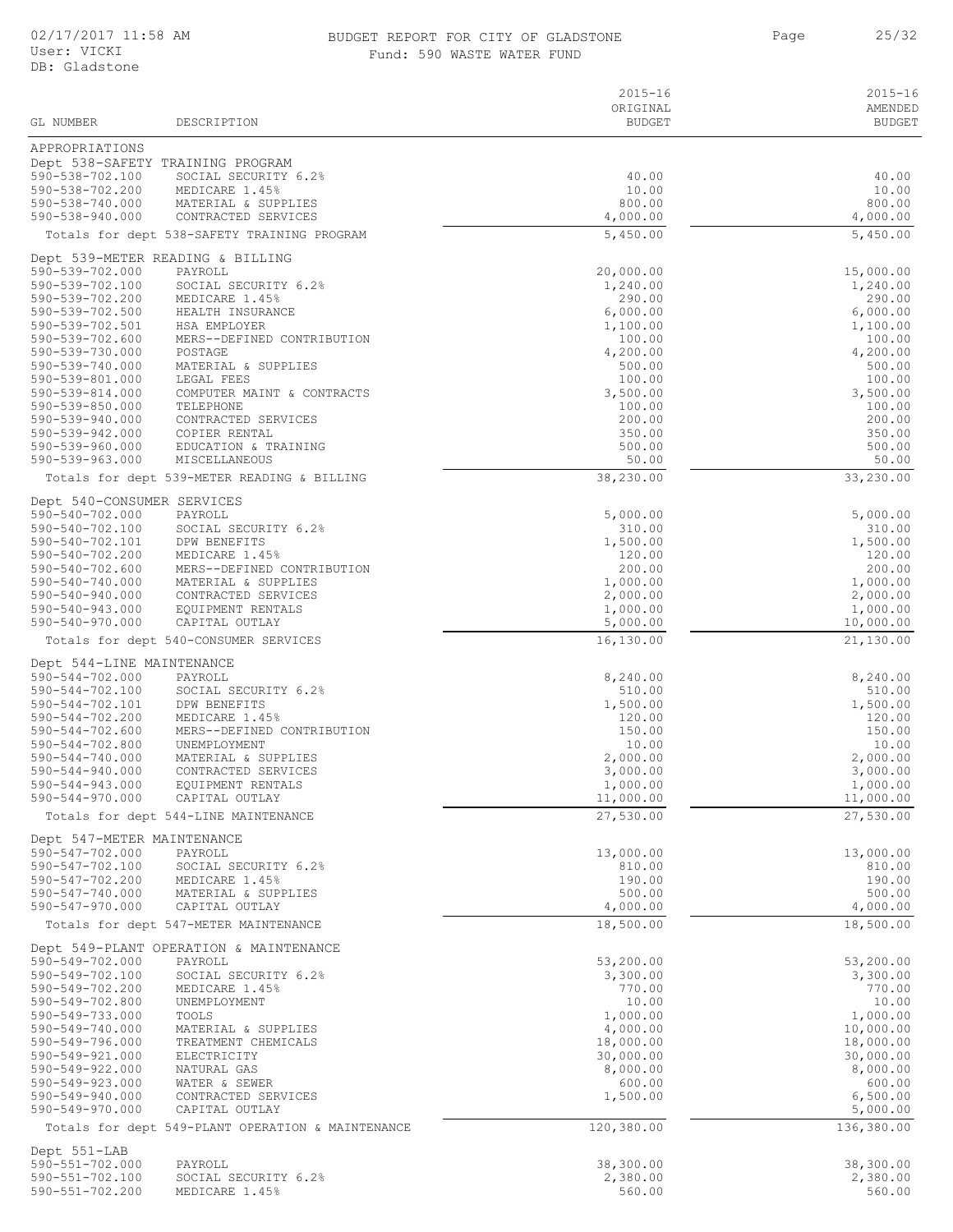#### BUDGET REPORT FOR CITY OF GLADSTONE 25/32 Fund: 590 WASTE WATER FUND

| GL NUMBER                                     | DESCRIPTION                                       | $2015 - 16$<br>ORIGINAL<br><b>BUDGET</b> | $2015 - 16$<br>AMENDED<br><b>BUDGET</b> |
|-----------------------------------------------|---------------------------------------------------|------------------------------------------|-----------------------------------------|
| APPROPRIATIONS                                |                                                   |                                          |                                         |
|                                               | Dept 538-SAFETY TRAINING PROGRAM                  |                                          |                                         |
| 590-538-702.100<br>590-538-702.200            | SOCIAL SECURITY 6.2%<br>MEDICARE 1.45%            | 40.00<br>10.00                           | 40.00<br>10.00                          |
| 590-538-740.000                               | MATERIAL & SUPPLIES                               | 800.00                                   | 800.00                                  |
| 590-538-940.000                               | CONTRACTED SERVICES                               | 4,000.00                                 | 4,000.00                                |
|                                               | Totals for dept 538-SAFETY TRAINING PROGRAM       | 5,450.00                                 | 5,450.00                                |
| 590-539-702.000                               | Dept 539-METER READING & BILLING<br>PAYROLL       | 20,000.00                                |                                         |
| 590-539-702.100                               | SOCIAL SECURITY 6.2%                              | 1,240.00                                 | 15,000.00<br>1,240.00                   |
| 590-539-702.200                               | MEDICARE 1.45%                                    | 290.00                                   | 290.00                                  |
| 590-539-702.500<br>590-539-702.501            | HEALTH INSURANCE<br>HSA EMPLOYER                  | 6,000.00<br>1,100.00                     | 6,000.00<br>1,100.00                    |
| 590-539-702.600                               | MERS--DEFINED CONTRIBUTION                        | 100.00                                   | 100.00                                  |
| 590-539-730.000<br>590-539-740.000            | POSTAGE<br>MATERIAL & SUPPLIES                    | 4,200.00<br>500.00                       | 4,200.00<br>500.00                      |
| 590-539-801.000                               | LEGAL FEES                                        | 100.00                                   | 100.00                                  |
| 590-539-814.000                               | COMPUTER MAINT & CONTRACTS                        | 3,500.00                                 | 3,500.00                                |
| 590-539-850.000<br>590-539-940.000            | TELEPHONE<br>CONTRACTED SERVICES                  | 100.00<br>200.00                         | 100.00<br>200.00                        |
| 590-539-942.000                               | COPIER RENTAL                                     | 350.00                                   | 350.00                                  |
| 590-539-960.000<br>590-539-963.000            | EDUCATION & TRAINING<br>MISCELLANEOUS             | 500.00<br>50.00                          | 500.00<br>50.00                         |
|                                               | Totals for dept 539-METER READING & BILLING       | 38,230.00                                | 33,230.00                               |
| Dept 540-CONSUMER SERVICES                    |                                                   |                                          |                                         |
| 590-540-702.000                               | PAYROLL                                           | 5,000.00                                 | 5,000.00                                |
| 590-540-702.100                               | SOCIAL SECURITY 6.2%                              | 310.00                                   | 310.00                                  |
| 590-540-702.101<br>590-540-702.200            | DPW BENEFITS<br>MEDICARE 1.45%                    | 1,500.00<br>120.00                       | 1,500.00<br>120.00                      |
| 590-540-702.600                               | MERS--DEFINED CONTRIBUTION                        | 200.00                                   | 200.00                                  |
| 590-540-740.000<br>590-540-940.000            | MATERIAL & SUPPLIES<br>CONTRACTED SERVICES        | 1,000.00<br>2,000.00                     | 1,000.00<br>2,000.00                    |
| 590-540-943.000                               | EQUIPMENT RENTALS                                 | 1,000.00                                 | 1,000.00                                |
| 590-540-970.000                               | CAPITAL OUTLAY                                    | 5,000.00                                 | 10,000.00                               |
|                                               | Totals for dept 540-CONSUMER SERVICES             | 16,130.00                                | 21,130.00                               |
| Dept 544-LINE MAINTENANCE<br>590-544-702.000  | PAYROLL                                           | 8,240.00                                 | 8,240.00                                |
| 590-544-702.100                               | SOCIAL SECURITY 6.2%                              | 510.00                                   | 510.00                                  |
| 590-544-702.101<br>590-544-702.200            | DPW BENEFITS<br>MEDICARE 1.45%                    | 1,500.00<br>120.00                       | 1,500.00<br>120.00                      |
| 590-544-702.600                               | MERS--DEFINED CONTRIBUTION                        | 150.00                                   | 150.00                                  |
| 590-544-702.800                               | UNEMPLOYMENT                                      | 10.00                                    | 10.00                                   |
| $590 - 544 - 740.000$<br>590-544-940.000      | MATERIAL & SUPPLIES<br>CONTRACTED SERVICES        | 2,000.00<br>3,000.00                     | 2,000.00<br>3,000.00                    |
| 590-544-943.000                               | EQUIPMENT RENTALS                                 | 1,000.00                                 | 1,000.00                                |
| 590-544-970.000                               | CAPITAL OUTLAY                                    | 11,000.00                                | 11,000.00                               |
|                                               | Totals for dept 544-LINE MAINTENANCE              | 27,530.00                                | 27,530.00                               |
| Dept 547-METER MAINTENANCE<br>590-547-702.000 | PAYROLL                                           | 13,000.00                                | 13,000.00                               |
| 590-547-702.100                               | SOCIAL SECURITY 6.2%                              | 810.00                                   | 810.00                                  |
| 590-547-702.200<br>590-547-740.000            | MEDICARE 1.45%<br>MATERIAL & SUPPLIES             | 190.00<br>500.00                         | 190.00<br>500.00                        |
| 590-547-970.000                               | CAPITAL OUTLAY                                    | 4,000.00                                 | 4,000.00                                |
|                                               | Totals for dept 547-METER MAINTENANCE             | 18,500.00                                | 18,500.00                               |
|                                               | Dept 549-PLANT OPERATION & MAINTENANCE            |                                          |                                         |
| 590-549-702.000<br>590-549-702.100            | PAYROLL<br>SOCIAL SECURITY 6.2%                   | 53,200.00<br>3,300.00                    | 53,200.00<br>3,300.00                   |
| 590-549-702.200                               | MEDICARE 1.45%                                    | 770.00                                   | 770.00                                  |
| 590-549-702.800                               | UNEMPLOYMENT                                      | 10.00                                    | 10.00                                   |
| 590-549-733.000<br>590-549-740.000            | TOOLS<br>MATERIAL & SUPPLIES                      | 1,000.00<br>4,000.00                     | 1,000.00<br>10,000.00                   |
| 590-549-796.000                               | TREATMENT CHEMICALS                               | 18,000.00                                | 18,000.00                               |
| 590-549-921.000<br>590-549-922.000            | ELECTRICITY<br>NATURAL GAS                        | 30,000.00<br>8,000.00                    | 30,000.00<br>8,000.00                   |
| $590 - 549 - 923.000$                         | WATER & SEWER                                     | 600.00                                   | 600.00                                  |
| 590-549-940.000<br>590-549-970.000            | CONTRACTED SERVICES<br>CAPITAL OUTLAY             | 1,500.00                                 | 6,500.00<br>5,000.00                    |
|                                               | Totals for dept 549-PLANT OPERATION & MAINTENANCE | 120,380.00                               | 136,380.00                              |
| Dept 551-LAB                                  |                                                   |                                          |                                         |
| 590-551-702.000                               | PAYROLL                                           | 38,300.00                                | 38,300.00                               |
| 590-551-702.100<br>590-551-702.200            | SOCIAL SECURITY 6.2%<br>MEDICARE 1.45%            | 2,380.00<br>560.00                       | 2,380.00<br>560.00                      |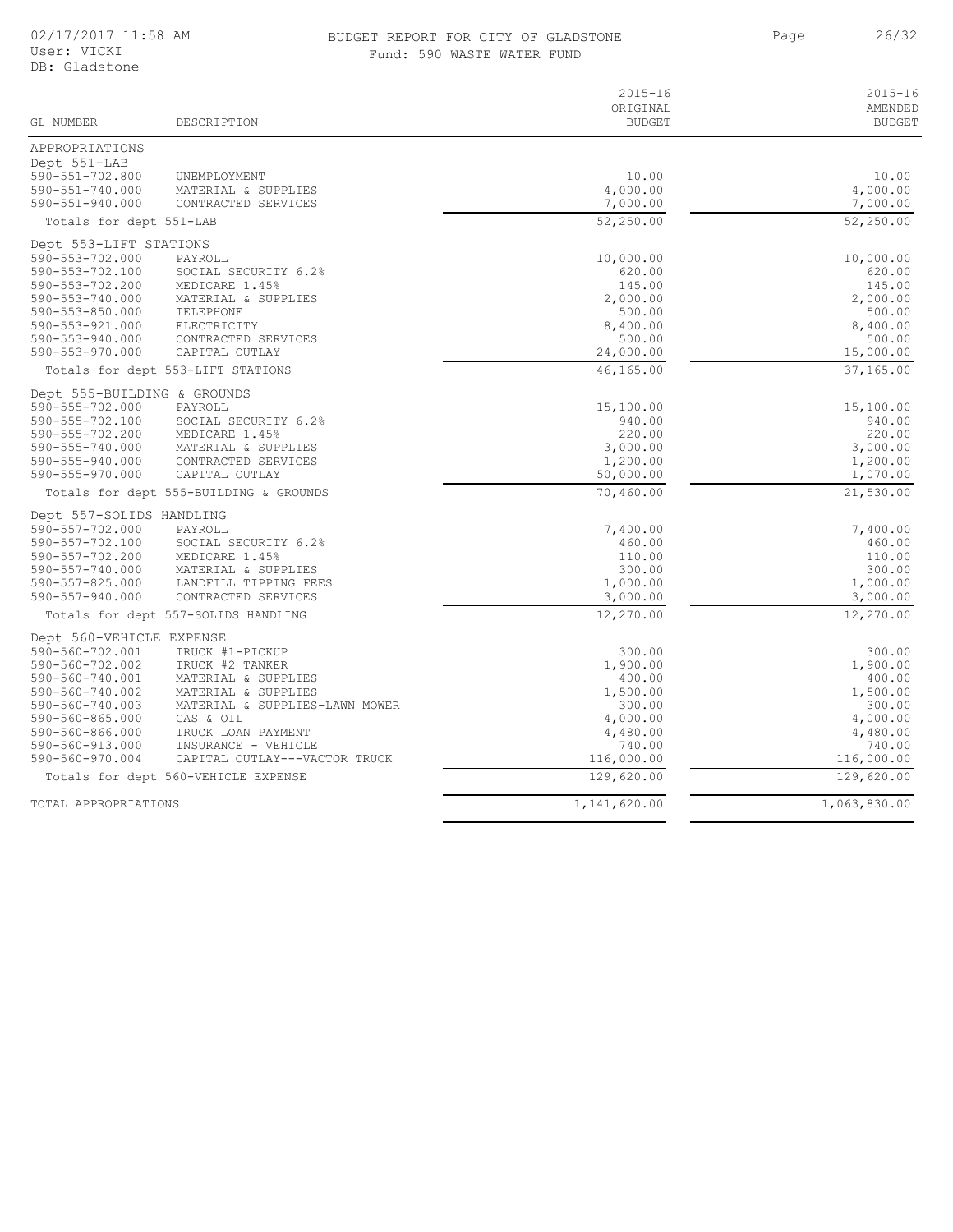### BUDGET REPORT FOR CITY OF GLADSTONE 26/32 Fund: 590 WASTE WATER FUND

| GL NUMBER                      | DESCRIPTION                            | $2015 - 16$<br>ORIGINAL<br><b>BUDGET</b> | $2015 - 16$<br>AMENDED<br><b>BUDGET</b> |
|--------------------------------|----------------------------------------|------------------------------------------|-----------------------------------------|
|                                |                                        |                                          |                                         |
| APPROPRIATIONS<br>Dept 551-LAB |                                        |                                          |                                         |
| 590-551-702.800                | UNEMPLOYMENT                           | 10.00                                    | 10.00                                   |
| 590-551-740.000                | MATERIAL & SUPPLIES                    | 4,000.00                                 | 4,000.00                                |
| $590 - 551 - 940.000$          | CONTRACTED SERVICES                    | 7,000.00                                 | 7,000.00                                |
| Totals for dept 551-LAB        |                                        | 52,250.00                                | 52,250.00                               |
| Dept 553-LIFT STATIONS         |                                        |                                          |                                         |
| 590-553-702.000                | PAYROLL                                | 10,000.00                                | 10,000.00                               |
| 590-553-702.100                | SOCIAL SECURITY 6.2%                   | 620.00                                   | 620.00                                  |
| 590-553-702.200                | MEDICARE 1.45%                         | 145.00                                   | 145.00                                  |
| 590-553-740.000                | MATERIAL & SUPPLIES                    | 2,000.00                                 | 2,000.00                                |
| $590 - 553 - 850.000$          | TELEPHONE                              | 500.00                                   | 500.00                                  |
| 590-553-921.000                | ELECTRICITY                            | 8,400.00                                 | 8,400.00                                |
| 590-553-940.000                | CONTRACTED SERVICES                    | 500.00                                   | 500.00                                  |
| $590 - 553 - 970.000$          | CAPITAL OUTLAY                         | 24,000.00                                | 15,000.00                               |
|                                | Totals for dept 553-LIFT STATIONS      | 46,165.00                                | 37,165.00                               |
| Dept 555-BUILDING & GROUNDS    |                                        |                                          |                                         |
| 590-555-702.000                | PAYROLL                                | 15,100.00                                | 15,100.00                               |
| 590-555-702.100                | SOCIAL SECURITY 6.2%                   | 940.00                                   | 940.00                                  |
| 590-555-702.200                | MEDICARE 1.45%                         | 220.00                                   | 220.00                                  |
| 590-555-740.000                | MATERIAL & SUPPLIES                    | 3,000.00                                 | 3,000.00                                |
| 590-555-940.000                | CONTRACTED SERVICES                    | 1,200.00                                 | 1,200.00                                |
| 590-555-970.000                | CAPITAL OUTLAY                         | 50,000.00                                | 1,070.00                                |
|                                | Totals for dept 555-BUILDING & GROUNDS | 70,460.00                                | 21,530.00                               |
| Dept 557-SOLIDS HANDLING       |                                        |                                          |                                         |
| 590-557-702.000                | PAYROLL                                | 7,400.00                                 | 7,400.00                                |
| 590-557-702.100                | SOCIAL SECURITY 6.2%                   | 460.00                                   | 460.00                                  |
| 590-557-702.200                | MEDICARE 1.45%                         | 110.00                                   | 110.00                                  |
| 590-557-740.000                | MATERIAL & SUPPLIES                    | 300.00                                   | 300.00                                  |
| 590-557-825.000                | LANDFILL TIPPING FEES                  | 1,000.00                                 | 1,000.00                                |
| $590 - 557 - 940.000$          | CONTRACTED SERVICES                    | 3,000.00                                 | 3,000.00                                |
|                                | Totals for dept 557-SOLIDS HANDLING    | 12,270.00                                | 12,270.00                               |
| Dept 560-VEHICLE EXPENSE       |                                        |                                          |                                         |
| 590-560-702.001                | TRUCK #1-PICKUP                        | 300.00                                   | 300.00                                  |
| 590-560-702.002                | TRUCK #2 TANKER                        | 1,900.00                                 | 1,900.00                                |
| 590-560-740.001                | MATERIAL & SUPPLIES                    | 400.00                                   | 400.00                                  |
| 590-560-740.002                | MATERIAL & SUPPLIES                    | 1,500.00                                 | 1,500.00                                |
| 590-560-740.003                | MATERIAL & SUPPLIES-LAWN MOWER         | 300.00                                   | 300.00                                  |
| 590-560-865.000                | GAS & OIL                              | 4,000.00                                 | 4,000.00                                |
| 590-560-866.000                | TRUCK LOAN PAYMENT                     | 4,480.00                                 | 4,480.00                                |
| 590-560-913.000                | INSURANCE - VEHICLE                    | 740.00                                   | 740.00                                  |
| 590-560-970.004                | CAPITAL OUTLAY---VACTOR TRUCK          | 116,000.00                               | 116,000.00                              |
|                                | Totals for dept 560-VEHICLE EXPENSE    | 129,620.00                               | 129,620.00                              |
| TOTAL APPROPRIATIONS           |                                        | 1,141,620.00                             | 1,063,830.00                            |
|                                |                                        |                                          |                                         |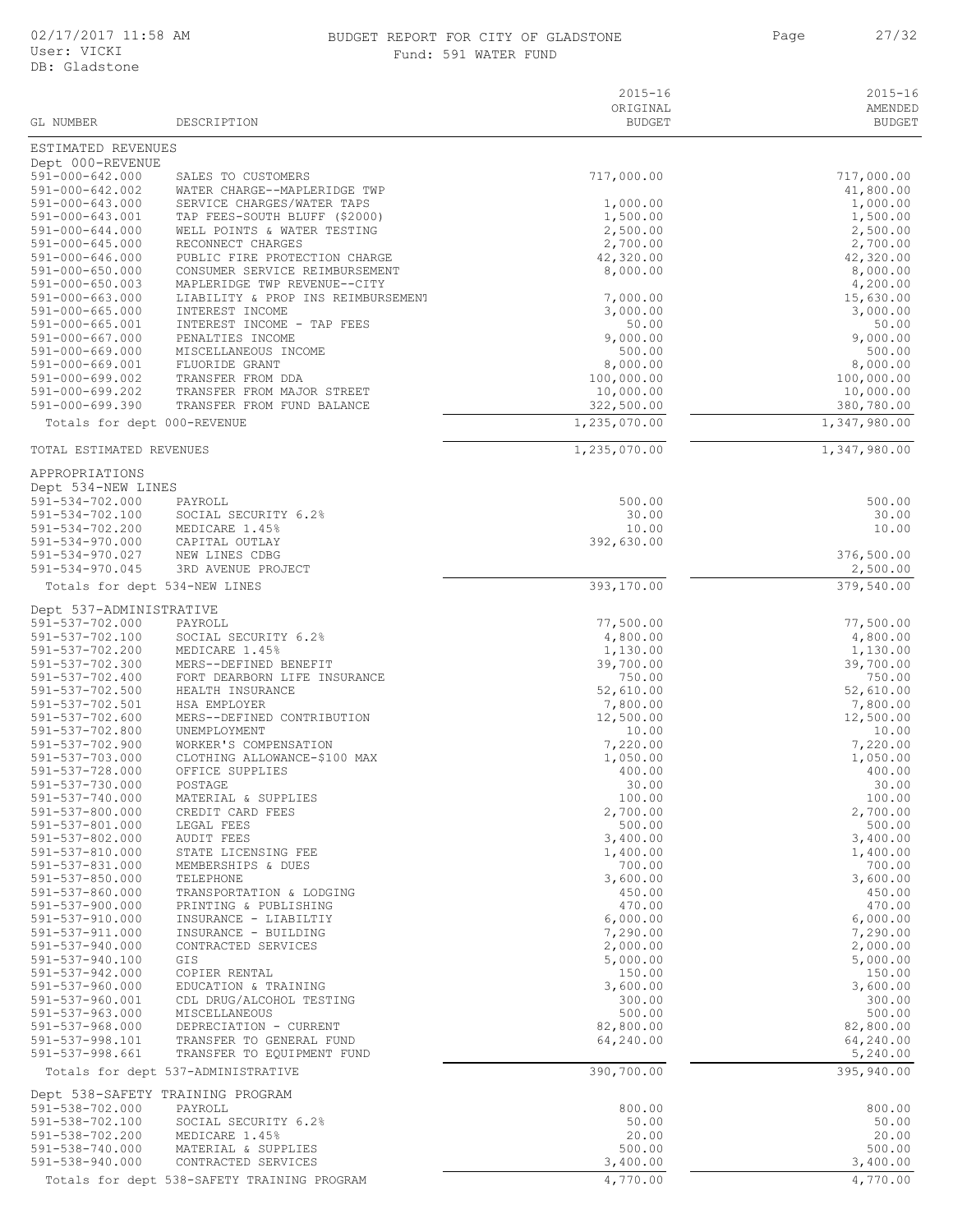#### 02/17/2017 11:58 AM BUDGET REPORT FOR CITY OF GLADSTONE 27/32 Fund: 591 WATER FUND

|                                                |                                                                    | $2015 - 16$               | $2015 - 16$              |
|------------------------------------------------|--------------------------------------------------------------------|---------------------------|--------------------------|
| GL NUMBER                                      | DESCRIPTION                                                        | ORIGINAL<br><b>BUDGET</b> | AMENDED<br><b>BUDGET</b> |
| ESTIMATED REVENUES<br>Dept 000-REVENUE         |                                                                    |                           |                          |
| $591 - 000 - 642.000$                          | SALES TO CUSTOMERS                                                 | 717,000.00                | 717,000.00               |
| 591-000-642.002                                | WATER CHARGE--MAPLERIDGE TWP                                       |                           | 41,800.00                |
| 591-000-643.000                                | SERVICE CHARGES/WATER TAPS                                         | 1,000.00                  | 1,000.00                 |
| 591-000-643.001<br>$591 - 000 - 644.000$       | TAP FEES-SOUTH BLUFF (\$2000)<br>WELL POINTS & WATER TESTING       | 1,500.00<br>2,500.00      | 1,500.00                 |
| $591 - 000 - 645.000$                          | RECONNECT CHARGES                                                  | 2,700.00                  | 2,500.00<br>2,700.00     |
| 591-000-646.000                                | PUBLIC FIRE PROTECTION CHARGE                                      | 42,320.00                 | 42,320.00                |
| $591 - 000 - 650.000$                          | CONSUMER SERVICE REIMBURSEMENT                                     | 8,000.00                  | 8,000.00                 |
| $591 - 000 - 650.003$<br>$591 - 000 - 663.000$ | MAPLERIDGE TWP REVENUE--CITY<br>LIABILITY & PROP INS REIMBURSEMENT | 7,000.00                  | 4,200.00                 |
| $591 - 000 - 665.000$                          | INTEREST INCOME                                                    | 3,000.00                  | 15,630.00<br>3,000.00    |
| 591-000-665.001                                | INTEREST INCOME - TAP FEES                                         | 50.00                     | 50.00                    |
| 591-000-667.000                                | PENALTIES INCOME                                                   | 9,000.00                  | 9,000.00                 |
| 591-000-669.000<br>591-000-669.001             | MISCELLANEOUS INCOME<br>FLUORIDE GRANT                             | 500.00<br>8,000.00        | 500.00<br>8,000.00       |
| 591-000-699.002                                | TRANSFER FROM DDA                                                  | 100,000.00                | 100,000.00               |
| $591 - 000 - 699.202$                          | TRANSFER FROM MAJOR STREET                                         | 10,000.00                 | 10,000.00                |
| $591 - 000 - 699.390$                          | TRANSFER FROM FUND BALANCE                                         | 322,500.00                | 380,780.00               |
| Totals for dept 000-REVENUE                    |                                                                    | 1,235,070.00              | 1,347,980.00             |
| TOTAL ESTIMATED REVENUES                       |                                                                    | 1,235,070.00              | 1,347,980.00             |
| APPROPRIATIONS<br>Dept 534-NEW LINES           |                                                                    |                           |                          |
| 591-534-702.000                                | PAYROLL                                                            | 500.00                    | 500.00                   |
| 591-534-702.100<br>591-534-702.200             | SOCIAL SECURITY 6.2%<br>MEDICARE 1.45%                             | 30.00<br>10.00            | 30.00<br>10.00           |
| $591 - 534 - 970.000$                          | CAPITAL OUTLAY                                                     | 392,630.00                |                          |
| $591 - 534 - 970.027$                          | NEW LINES CDBG                                                     |                           | 376,500.00               |
| $591 - 534 - 970.045$                          | 3RD AVENUE PROJECT                                                 |                           | 2,500.00                 |
| Totals for dept 534-NEW LINES                  |                                                                    | 393,170.00                | 379,540.00               |
| Dept 537-ADMINISTRATIVE                        |                                                                    |                           |                          |
| 591-537-702.000<br>591-537-702.100             | PAYROLL<br>SOCIAL SECURITY 6.2%                                    | 77,500.00<br>4,800.00     | 77,500.00<br>4,800.00    |
| 591-537-702.200                                | MEDICARE 1.45%                                                     | 1,130.00                  | 1,130.00                 |
| 591-537-702.300                                | MERS--DEFINED BENEFIT                                              | 39,700.00                 | 39,700.00                |
| 591-537-702.400                                | FORT DEARBORN LIFE INSURANCE                                       | 750.00                    | 750.00                   |
| 591-537-702.500<br>591-537-702.501             | HEALTH INSURANCE<br>HSA EMPLOYER                                   | 52,610.00<br>7,800.00     | 52,610.00<br>7,800.00    |
| 591-537-702.600                                | MERS--DEFINED CONTRIBUTION                                         | 12,500.00                 | 12,500.00                |
| 591-537-702.800                                | UNEMPLOYMENT                                                       | 10.00                     | 10.00                    |
| 591-537-702.900                                | WORKER'S COMPENSATION                                              | 7,220.00                  | 7,220.00                 |
| 591-537-703.000<br>591-537-728.000             | CLOTHING ALLOWANCE-\$100 MAX<br>OFFICE SUPPLIES                    | 1,050.00<br>400.00        | 1,050.00<br>400.00       |
| 591-537-730.000                                | POSTAGE                                                            | 30.00                     | 30.00                    |
| 591-537-740.000                                | MATERIAL & SUPPLIES                                                | 100.00                    | 100.00                   |
| 591-537-800.000                                | CREDIT CARD FEES                                                   | 2,700.00                  | 2,700.00                 |
| 591-537-801.000<br>591-537-802.000             | LEGAL FEES<br>AUDIT FEES                                           | 500.00<br>3,400.00        | 500.00<br>3,400.00       |
| 591-537-810.000                                | STATE LICENSING FEE                                                | 1,400.00                  | 1,400.00                 |
| 591-537-831.000                                | MEMBERSHIPS & DUES                                                 | 700.00                    | 700.00                   |
| $591 - 537 - 850.000$                          | TELEPHONE                                                          | 3,600.00                  | 3,600.00                 |
| $591 - 537 - 860.000$<br>591-537-900.000       | TRANSPORTATION & LODGING<br>PRINTING & PUBLISHING                  | 450.00<br>470.00          | 450.00<br>470.00         |
| $591 - 537 - 910.000$                          | INSURANCE - LIABILTIY                                              | 6,000.00                  | 6,000.00                 |
| 591-537-911.000                                | INSURANCE - BUILDING                                               | 7,290.00                  | 7,290.00                 |
| 591-537-940.000                                | CONTRACTED SERVICES                                                | 2,000.00                  | 2,000.00                 |
| 591-537-940.100<br>591-537-942.000             | GIS<br>COPIER RENTAL                                               | 5,000.00<br>150.00        | 5,000.00<br>150.00       |
| $591 - 537 - 960.000$                          | EDUCATION & TRAINING                                               | 3,600.00                  | 3,600.00                 |
| 591-537-960.001                                | CDL DRUG/ALCOHOL TESTING                                           | 300.00                    | 300.00                   |
| $591 - 537 - 963.000$                          | MISCELLANEOUS                                                      | 500.00                    | 500.00                   |
| $591 - 537 - 968.000$<br>591-537-998.101       | DEPRECIATION - CURRENT<br>TRANSFER TO GENERAL FUND                 | 82,800.00<br>64,240.00    | 82,800.00<br>64,240.00   |
| 591-537-998.661                                | TRANSFER TO EQUIPMENT FUND                                         |                           | 5,240.00                 |
|                                                | Totals for dept 537-ADMINISTRATIVE                                 | 390,700.00                | 395,940.00               |
|                                                | Dept 538-SAFETY TRAINING PROGRAM                                   |                           |                          |
| 591-538-702.000<br>591-538-702.100             | PAYROLL<br>SOCIAL SECURITY 6.2%                                    | 800.00<br>50.00           | 800.00<br>50.00          |
| 591-538-702.200                                | MEDICARE 1.45%                                                     | 20.00                     | 20.00                    |
| 591-538-740.000                                | MATERIAL & SUPPLIES                                                | 500.00                    | 500.00                   |
| 591-538-940.000                                | CONTRACTED SERVICES                                                | 3,400.00                  | 3,400.00                 |
|                                                | Totals for dept 538-SAFETY TRAINING PROGRAM                        | 4,770.00                  | 4,770.00                 |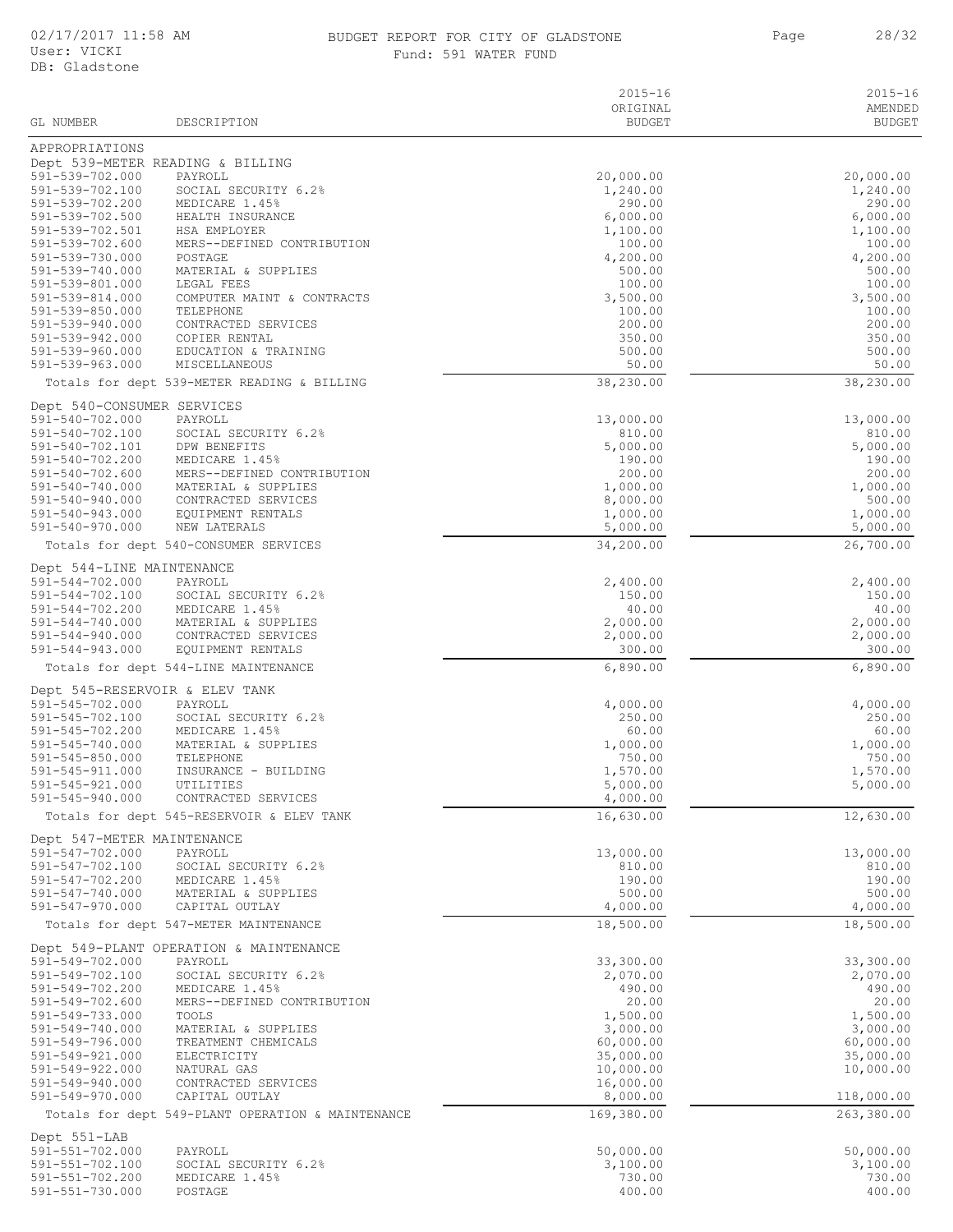| 02/17/2017 11:58 AM<br>BUDGET REPORT FOR CITY OF GLADSTONE<br>User: VICKI<br>Fund: 591 WATER FUND<br>DB: Gladstone |                                                   | 28/32<br>Page             |                        |
|--------------------------------------------------------------------------------------------------------------------|---------------------------------------------------|---------------------------|------------------------|
|                                                                                                                    |                                                   | $2015 - 16$               | $2015 - 16$<br>AMENDED |
| GL NUMBER                                                                                                          | DESCRIPTION                                       | ORIGINAL<br><b>BUDGET</b> | <b>BUDGET</b>          |
| APPROPRIATIONS                                                                                                     |                                                   |                           |                        |
|                                                                                                                    | Dept 539-METER READING & BILLING                  |                           |                        |
| 591-539-702.000                                                                                                    | PAYROLL                                           | 20,000.00                 | 20,000.00              |
| 591-539-702.100<br>591-539-702.200                                                                                 | SOCIAL SECURITY 6.2%<br>MEDICARE 1.45%            | 1,240.00<br>290.00        | 1,240.00               |
| 591-539-702.500                                                                                                    | HEALTH INSURANCE                                  | 6,000.00                  | 290.00<br>6,000.00     |
| 591-539-702.501                                                                                                    | HSA EMPLOYER                                      | 1,100.00                  | 1,100.00               |
| 591-539-702.600                                                                                                    | MERS--DEFINED CONTRIBUTION                        | 100.00                    | 100.00                 |
| 591-539-730.000                                                                                                    | POSTAGE                                           | 4,200.00                  | 4,200.00               |
| 591-539-740.000<br>591-539-801.000                                                                                 | MATERIAL & SUPPLIES<br>LEGAL FEES                 | 500.00<br>100.00          | 500.00<br>100.00       |
| 591-539-814.000                                                                                                    | COMPUTER MAINT & CONTRACTS                        | 3,500.00                  | 3,500.00               |
| 591-539-850.000                                                                                                    | TELEPHONE                                         | 100.00                    | 100.00                 |
| 591-539-940.000                                                                                                    | CONTRACTED SERVICES                               | 200.00                    | 200.00                 |
| 591-539-942.000                                                                                                    | COPIER RENTAL                                     | 350.00                    | 350.00                 |
| 591-539-960.000<br>591-539-963.000                                                                                 | EDUCATION & TRAINING<br>MISCELLANEOUS             | 500.00<br>50.00           | 500.00<br>50.00        |
|                                                                                                                    | Totals for dept 539-METER READING & BILLING       | 38,230.00                 | 38,230.00              |
|                                                                                                                    |                                                   |                           |                        |
| Dept 540-CONSUMER SERVICES<br>591-540-702.000                                                                      | PAYROLL                                           | 13,000.00                 | 13,000.00              |
| 591-540-702.100                                                                                                    | SOCIAL SECURITY 6.2%                              | 810.00                    | 810.00                 |
| 591-540-702.101                                                                                                    | DPW BENEFITS                                      | 5,000.00                  | 5,000.00               |
| 591-540-702.200                                                                                                    | MEDICARE 1.45%                                    | 190.00                    | 190.00                 |
| 591-540-702.600                                                                                                    | MERS--DEFINED CONTRIBUTION                        | 200.00                    | 200.00                 |
| 591-540-740.000<br>591-540-940.000                                                                                 | MATERIAL & SUPPLIES<br>CONTRACTED SERVICES        | 1,000.00<br>8,000.00      | 1,000.00<br>500.00     |
| 591-540-943.000                                                                                                    | EQUIPMENT RENTALS                                 | 1,000.00                  | 1,000.00               |
| 591-540-970.000                                                                                                    | NEW LATERALS                                      | 5,000.00                  | 5,000.00               |
|                                                                                                                    | Totals for dept 540-CONSUMER SERVICES             | 34,200.00                 | 26,700.00              |
| Dept 544-LINE MAINTENANCE                                                                                          |                                                   |                           |                        |
| 591-544-702.000                                                                                                    | PAYROLL                                           | 2,400.00                  | 2,400.00               |
| 591-544-702.100                                                                                                    | SOCIAL SECURITY 6.2%                              | 150.00                    | 150.00                 |
| $591 - 544 - 702.200$                                                                                              | MEDICARE 1.45%                                    | 40.00                     | 40.00                  |
| 591-544-740.000<br>$591 - 544 - 940.000$                                                                           | MATERIAL & SUPPLIES<br>CONTRACTED SERVICES        | 2,000.00<br>2,000.00      | 2,000.00<br>2,000.00   |
| $591 - 544 - 943.000$                                                                                              | EQUIPMENT RENTALS                                 | 300.00                    | 300.00                 |
|                                                                                                                    | Totals for dept 544-LINE MAINTENANCE              | 6,890.00                  | 6,890.00               |
| Dept 545-RESERVOIR & ELEV TANK                                                                                     |                                                   |                           |                        |
| 591-545-702.000                                                                                                    | PAYROLL                                           | 4,000.00                  | 4,000.00               |
| 591-545-702.100                                                                                                    | SOCIAL SECURITY 6.2%                              | 250.00                    | 250.00                 |
| 591-545-702.200                                                                                                    | MEDICARE 1.45%                                    | 60.00                     | 60.00                  |
| 591-545-740.000                                                                                                    | MATERIAL & SUPPLIES                               | 1,000.00                  | 1,000.00               |
| $591 - 545 - 850.000$<br>591-545-911.000                                                                           | TELEPHONE<br>INSURANCE - BUILDING                 | 750.00<br>1,570.00        | 750.00<br>1,570.00     |
| 591-545-921.000                                                                                                    | UTILITIES                                         | 5,000.00                  | 5,000.00               |
| 591-545-940.000                                                                                                    | CONTRACTED SERVICES                               | 4,000.00                  |                        |
|                                                                                                                    | Totals for dept 545-RESERVOIR & ELEV TANK         | 16,630.00                 | 12,630.00              |
| Dept 547-METER MAINTENANCE                                                                                         |                                                   |                           |                        |
| 591-547-702.000                                                                                                    | PAYROLL                                           | 13,000.00                 | 13,000.00              |
| 591-547-702.100                                                                                                    | SOCIAL SECURITY 6.2%                              | 810.00                    | 810.00                 |
| 591-547-702.200<br>591-547-740.000                                                                                 | MEDICARE 1.45%<br>MATERIAL & SUPPLIES             | 190.00<br>500.00          | 190.00<br>500.00       |
| 591-547-970.000                                                                                                    | CAPITAL OUTLAY                                    | 4,000.00                  | 4,000.00               |
|                                                                                                                    | Totals for dept 547-METER MAINTENANCE             | 18,500.00                 | 18,500.00              |
|                                                                                                                    |                                                   |                           |                        |
| 591-549-702.000                                                                                                    | Dept 549-PLANT OPERATION & MAINTENANCE<br>PAYROLL | 33,300.00                 | 33,300.00              |
| 591-549-702.100                                                                                                    | SOCIAL SECURITY 6.2%                              | 2,070.00                  | 2,070.00               |
| 591-549-702.200                                                                                                    | MEDICARE 1.45%                                    | 490.00                    | 490.00                 |
| 591-549-702.600                                                                                                    | MERS--DEFINED CONTRIBUTION                        | 20.00                     | 20.00                  |
| 591-549-733.000                                                                                                    | TOOLS                                             | 1,500.00                  | 1,500.00               |
| 591-549-740.000<br>591-549-796.000                                                                                 | MATERIAL & SUPPLIES<br>TREATMENT CHEMICALS        | 3,000.00<br>60,000.00     | 3,000.00<br>60,000.00  |
| 591-549-921.000                                                                                                    | ELECTRICITY                                       | 35,000.00                 | 35,000.00              |
| 591-549-922.000                                                                                                    | NATURAL GAS                                       | 10,000.00                 | 10,000.00              |
| 591-549-940.000                                                                                                    | CONTRACTED SERVICES                               | 16,000.00                 |                        |
| 591-549-970.000                                                                                                    | CAPITAL OUTLAY                                    | 8,000.00                  | 118,000.00             |
|                                                                                                                    | Totals for dept 549-PLANT OPERATION & MAINTENANCE | 169,380.00                | 263,380.00             |

Dept 551-LAB<br>591-551-702.000<br>591-551-702.100<br>591-551-702.200 591-551-702.000 PAYROLL 50,000.00 50,000.00 591-551-702.100 SOCIAL SECURITY 6.2% 3,100.00 3,100.00 59110200111120201112020111202011120201112020111202011120201112020111202011202011202011202011202010011202011202<br>00.00 730.00 730.00 730.00 730.00 730.00 730.00 730.00  $591 - 551 - 730.000$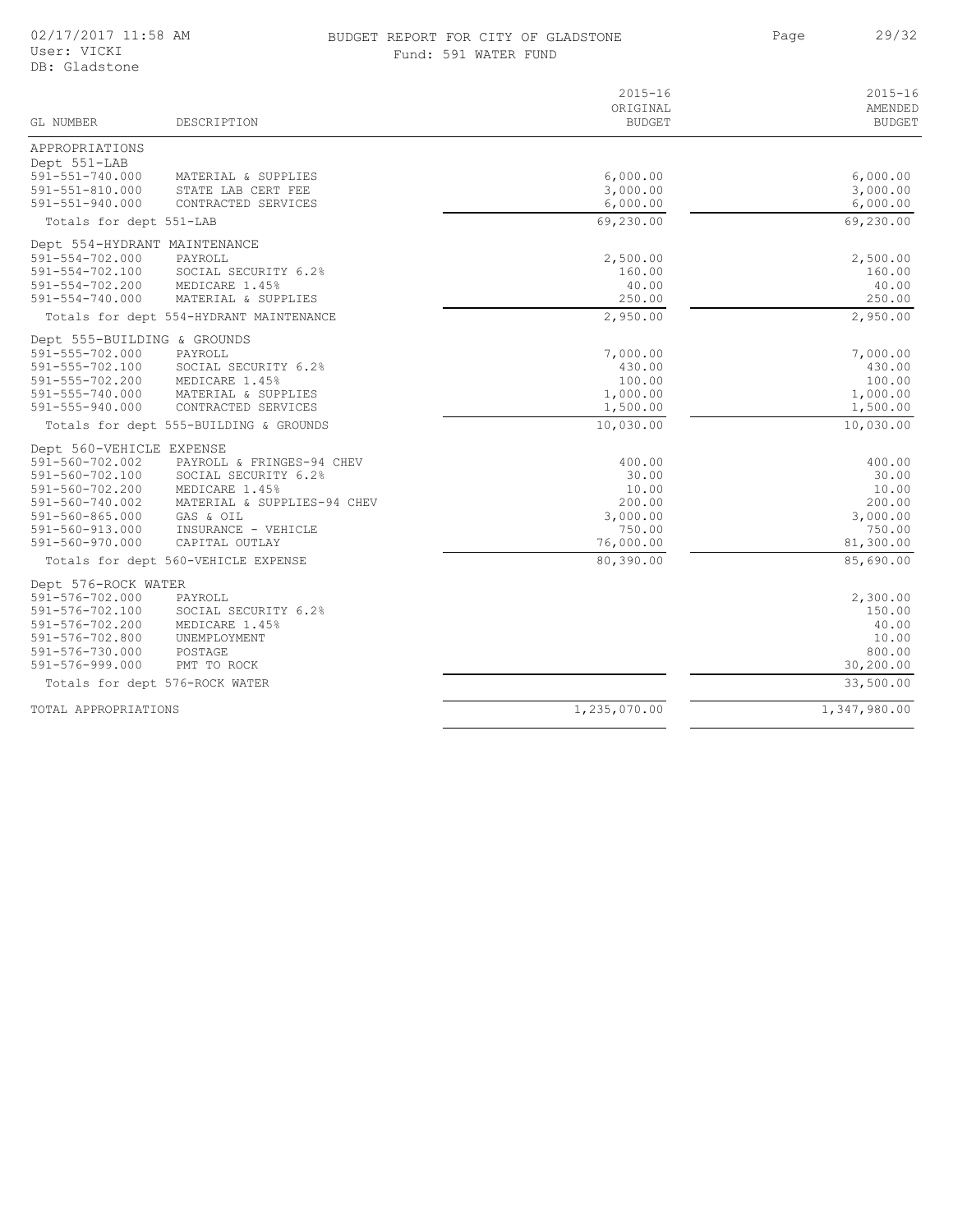#### 02/17/2017 11:58 AM BUDGET REPORT FOR CITY OF GLADSTONE 29/32 Fund: 591 WATER FUND

Page 29/32

| GL NUMBER                              | DESCRIPTION                             | $2015 - 16$<br>ORIGINAL<br><b>BUDGET</b> | $2015 - 16$<br>AMENDED<br><b>BUDGET</b> |
|----------------------------------------|-----------------------------------------|------------------------------------------|-----------------------------------------|
| APPROPRIATIONS                         |                                         |                                          |                                         |
| Dept 551-LAB                           |                                         |                                          |                                         |
| 591-551-740.000                        | MATERIAL & SUPPLIES                     | 6,000.00                                 | 6,000.00                                |
| $591 - 551 - 810.000$                  | STATE LAB CERT FEE                      | 3,000.00                                 | 3,000.00                                |
| $591 - 551 - 940.000$                  | CONTRACTED SERVICES                     | 6,000.00                                 | 6,000.00                                |
| Totals for dept 551-LAB                |                                         | 69,230.00                                | 69,230.00                               |
| Dept 554-HYDRANT MAINTENANCE           |                                         |                                          |                                         |
| $591 - 554 - 702.000$                  | PAYROLL                                 | 2,500.00                                 | 2,500.00                                |
| 591-554-702.100                        | SOCIAL SECURITY 6.2%                    | 160.00                                   | 160.00                                  |
| 591-554-702.200                        | MEDICARE 1.45%                          | 40.00                                    | 40.00                                   |
| $591 - 554 - 740.000$                  | MATERIAL & SUPPLIES                     | 250.00                                   | 250.00                                  |
|                                        | Totals for dept 554-HYDRANT MAINTENANCE | 2,950.00                                 | 2,950.00                                |
| Dept 555-BUILDING & GROUNDS            |                                         |                                          |                                         |
| 591-555-702.000                        | PAYROLL                                 | 7,000.00                                 | 7,000.00                                |
| 591-555-702.100                        | SOCIAL SECURITY 6.2%                    | 430.00                                   | 430.00                                  |
| 591-555-702.200                        | MEDICARE 1.45%                          | 100.00                                   | 100.00                                  |
| 591-555-740.000                        | MATERIAL & SUPPLIES                     | 1,000.00                                 | 1,000.00                                |
| 591-555-940.000                        | CONTRACTED SERVICES                     | 1,500.00                                 | 1,500.00                                |
| Totals for dept 555-BUILDING & GROUNDS |                                         | 10,030.00                                | 10,030.00                               |
| Dept 560-VEHICLE EXPENSE               |                                         |                                          |                                         |
| 591-560-702.002                        | PAYROLL & FRINGES-94 CHEV               | 400.00                                   | 400.00                                  |
| 591-560-702.100                        | SOCIAL SECURITY 6.2%                    | 30.00                                    | 30.00                                   |
| 591-560-702.200                        | MEDICARE 1.45%                          | 10.00                                    | 10.00                                   |
| 591-560-740.002                        | MATERIAL & SUPPLIES-94 CHEV             | 200.00                                   | 200.00                                  |
| 591-560-865.000                        | GAS & OIL                               | 3,000.00                                 | 3,000.00                                |
| 591-560-913.000                        | INSURANCE - VEHICLE                     | 750.00                                   | 750.00                                  |
| 591-560-970.000                        | CAPITAL OUTLAY                          | 76,000.00                                | 81,300.00                               |
|                                        | Totals for dept 560-VEHICLE EXPENSE     | 80,390.00                                | 85,690.00                               |
| Dept 576-ROCK WATER                    |                                         |                                          |                                         |
| 591-576-702.000                        | PAYROLL                                 |                                          | 2,300.00                                |
| 591-576-702.100                        | SOCIAL SECURITY 6.2%                    |                                          | 150.00                                  |
| 591-576-702.200                        | MEDICARE 1.45%                          |                                          | 40.00                                   |
| 591-576-702.800                        | UNEMPLOYMENT                            |                                          | 10.00                                   |
| 591-576-730.000                        | POSTAGE                                 |                                          | 800.00                                  |
| 591-576-999.000                        | PMT TO ROCK                             |                                          | 30,200.00                               |
|                                        | Totals for dept 576-ROCK WATER          |                                          | 33,500.00                               |
| TOTAL APPROPRIATIONS                   |                                         | 1,235,070.00                             | 1,347,980.00                            |
|                                        |                                         |                                          |                                         |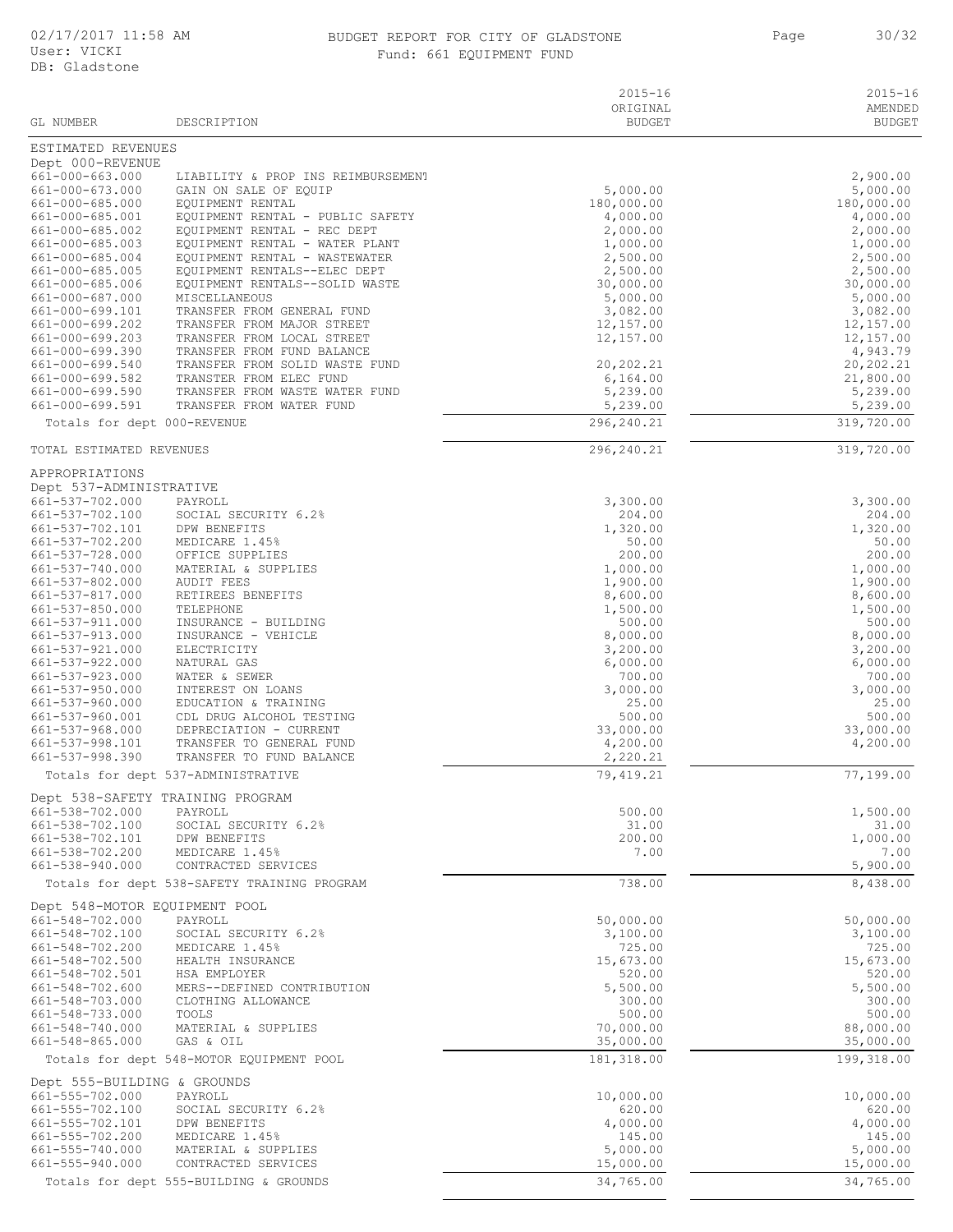#### 02/17/2017 11:58 AM BUDGET REPORT FOR CITY OF GLADSTONE Page 30/32 Fund: 661 EQUIPMENT FUND

| GL NUMBER                                 | DESCRIPTION                                                     | $2015 - 16$<br>ORIGINAL<br><b>BUDGET</b> | $2015 - 16$<br>AMENDED<br><b>BUDGET</b> |
|-------------------------------------------|-----------------------------------------------------------------|------------------------------------------|-----------------------------------------|
| ESTIMATED REVENUES                        |                                                                 |                                          |                                         |
| Dept 000-REVENUE                          |                                                                 |                                          |                                         |
| $661 - 000 - 663.000$                     | LIABILITY & PROP INS REIMBURSEMENT                              |                                          | 2,900.00                                |
| 661-000-673.000<br>661-000-685.000        | GAIN ON SALE OF EQUIP<br>EQUIPMENT RENTAL                       | 5,000.00<br>180,000.00                   | 5,000.00<br>180,000.00                  |
| 661-000-685.001                           | EQUIPMENT RENTAL - PUBLIC SAFETY                                | 4,000.00                                 | 4,000.00                                |
| 661-000-685.002                           | EQUIPMENT RENTAL - REC DEPT                                     | 2,000.00                                 | 2,000.00                                |
| 661-000-685.003<br>661-000-685.004        | EQUIPMENT RENTAL - WATER PLANT<br>EQUIPMENT RENTAL - WASTEWATER | 1,000.00<br>2,500.00                     | 1,000.00<br>2,500.00                    |
| 661-000-685.005                           | EQUIPMENT RENTALS--ELEC DEPT                                    | 2,500.00                                 | 2,500.00                                |
| 661-000-685.006<br>661-000-687.000        | EQUIPMENT RENTALS--SOLID WASTE<br>MISCELLANEOUS                 | 30,000.00<br>5,000.00                    | 30,000.00<br>5,000.00                   |
| 661-000-699.101                           | TRANSFER FROM GENERAL FUND                                      | 3,082.00                                 | 3,082.00                                |
| 661-000-699.202                           | TRANSFER FROM MAJOR STREET                                      | 12,157.00                                | 12,157.00                               |
| 661-000-699.203<br>661-000-699.390        | TRANSFER FROM LOCAL STREET<br>TRANSFER FROM FUND BALANCE        | 12,157.00                                | 12,157.00<br>4,943.79                   |
| 661-000-699.540                           | TRANSFER FROM SOLID WASTE FUND                                  | 20,202.21                                | 20,202.21                               |
| 661-000-699.582                           | TRANSTER FROM ELEC FUND                                         | 6, 164.00                                | 21,800.00                               |
| 661-000-699.590<br>661-000-699.591        | TRANSFER FROM WASTE WATER FUND<br>TRANSFER FROM WATER FUND      | 5,239.00<br>5,239.00                     | 5,239.00<br>5,239.00                    |
| Totals for dept 000-REVENUE               |                                                                 | 296, 240.21                              | 319,720.00                              |
| TOTAL ESTIMATED REVENUES                  |                                                                 | 296,240.21                               | 319,720.00                              |
|                                           |                                                                 |                                          |                                         |
| APPROPRIATIONS<br>Dept 537-ADMINISTRATIVE |                                                                 |                                          |                                         |
| 661-537-702.000                           | PAYROLL                                                         | 3,300.00                                 | 3,300.00                                |
| 661-537-702.100                           | SOCIAL SECURITY 6.2%                                            | 204.00                                   | 204.00                                  |
| 661-537-702.101<br>661-537-702.200        | DPW BENEFITS<br>MEDICARE 1.45%                                  | 1,320.00<br>50.00                        | 1,320.00<br>50.00                       |
| 661-537-728.000                           | OFFICE SUPPLIES                                                 | 200.00                                   | 200.00                                  |
| 661-537-740.000                           | MATERIAL & SUPPLIES                                             | 1,000.00                                 | 1,000.00                                |
| 661-537-802.000<br>661-537-817.000        | <b>AUDIT FEES</b><br>RETIREES BENEFITS                          | 1,900.00<br>8,600.00                     | 1,900.00<br>8,600.00                    |
| 661-537-850.000                           | TELEPHONE                                                       | 1,500.00                                 | 1,500.00                                |
| 661-537-911.000                           | INSURANCE - BUILDING                                            | 500.00                                   | 500.00                                  |
| 661-537-913.000<br>661-537-921.000        | INSURANCE - VEHICLE<br>ELECTRICITY                              | 8,000.00<br>3,200.00                     | 8,000.00<br>3,200.00                    |
| 661-537-922.000                           | NATURAL GAS                                                     | 6,000.00                                 | 6,000.00                                |
| 661-537-923.000                           | WATER & SEWER                                                   | 700.00                                   | 700.00                                  |
| 661-537-950.000<br>661-537-960.000        | INTEREST ON LOANS<br>EDUCATION & TRAINING                       | 3,000.00<br>25.00                        | 3,000.00<br>25.00                       |
| 661-537-960.001                           | CDL DRUG ALCOHOL TESTING                                        | 500.00                                   | 500.00                                  |
| 661-537-968.000                           | DEPRECIATION - CURRENT                                          | 33,000.00                                | 33,000.00                               |
| 661-537-998.101<br>661-537-998.390        | TRANSFER TO GENERAL FUND<br>TRANSFER TO FUND BALANCE            | 4,200.00<br>2,220.21                     | 4,200.00                                |
|                                           | Totals for dept 537-ADMINISTRATIVE                              | 79, 419.21                               | 77,199.00                               |
|                                           | Dept 538-SAFETY TRAINING PROGRAM                                |                                          |                                         |
| 661-538-702.000                           | PAYROLL                                                         | 500.00                                   | 1,500.00                                |
| 661-538-702.100<br>661-538-702.101        | SOCIAL SECURITY 6.2%<br>DPW BENEFITS                            | 31.00<br>200.00                          | 31.00<br>1,000.00                       |
| 661-538-702.200                           | MEDICARE 1.45%                                                  | 7.00                                     | 7.00                                    |
| 661-538-940.000                           | CONTRACTED SERVICES                                             |                                          | 5,900.00                                |
|                                           | Totals for dept 538-SAFETY TRAINING PROGRAM                     | 738.00                                   | 8,438.00                                |
| Dept 548-MOTOR EQUIPMENT POOL             |                                                                 |                                          |                                         |
| 661-548-702.000<br>661-548-702.100        | PAYROLL<br>SOCIAL SECURITY 6.2%                                 | 50,000.00<br>3,100.00                    | 50,000.00<br>3,100.00                   |
| 661-548-702.200                           | MEDICARE 1.45%                                                  | 725.00                                   | 725.00                                  |
| 661-548-702.500                           | HEALTH INSURANCE                                                | 15,673.00                                | 15,673.00                               |
| 661-548-702.501<br>661-548-702.600        | HSA EMPLOYER<br>MERS--DEFINED CONTRIBUTION                      | 520.00<br>5,500.00                       | 520.00<br>5,500.00                      |
| 661-548-703.000                           | CLOTHING ALLOWANCE                                              | 300.00                                   | 300.00                                  |
| 661-548-733.000                           | TOOLS                                                           | 500.00                                   | 500.00                                  |
| 661-548-740.000<br>661-548-865.000        | MATERIAL & SUPPLIES<br>GAS & OIL                                | 70,000.00<br>35,000.00                   | 88,000.00<br>35,000.00                  |
|                                           | Totals for dept 548-MOTOR EQUIPMENT POOL                        | 181, 318.00                              | 199,318.00                              |
| Dept 555-BUILDING & GROUNDS               |                                                                 |                                          |                                         |
| 661-555-702.000                           | PAYROLL                                                         | 10,000.00                                | 10,000.00                               |
| 661-555-702.100                           | SOCIAL SECURITY 6.2%                                            | 620.00                                   | 620.00                                  |
| 661-555-702.101<br>661-555-702.200        | DPW BENEFITS<br>MEDICARE 1.45%                                  | 4,000.00<br>145.00                       | 4,000.00<br>145.00                      |
| 661-555-740.000                           | MATERIAL & SUPPLIES                                             | 5,000.00                                 | 5,000.00                                |
| 661-555-940.000                           | CONTRACTED SERVICES                                             | 15,000.00                                | 15,000.00                               |
|                                           | Totals for dept 555-BUILDING & GROUNDS                          | 34,765.00                                | 34,765.00                               |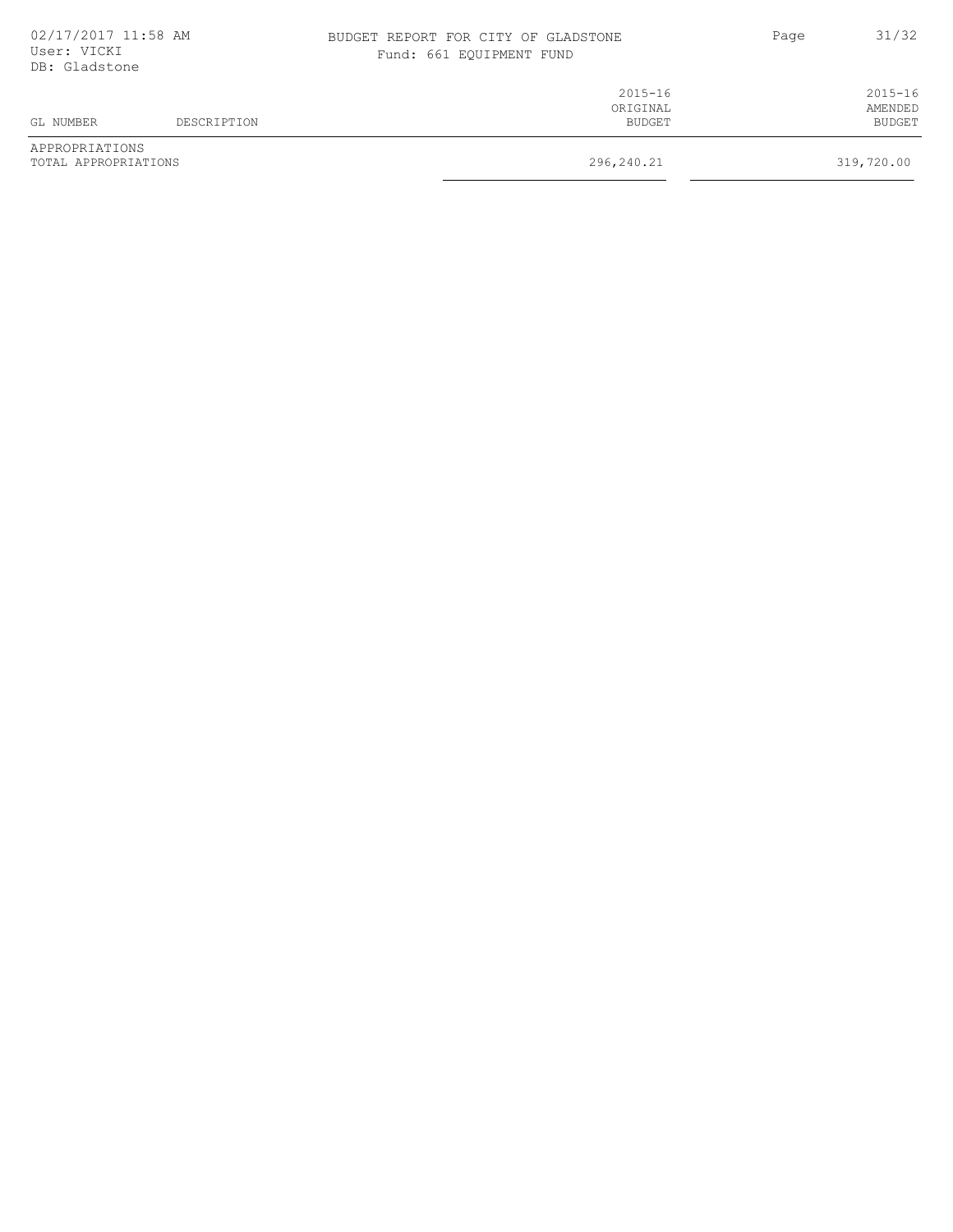| 02/17/2017 11:58 AM<br>User: VICKI<br>DB: Gladstone |             | BUDGET REPORT FOR CITY OF GLADSTONE<br>Fund: 661 EQUIPMENT FUND | Page | 31/32                  |
|-----------------------------------------------------|-------------|-----------------------------------------------------------------|------|------------------------|
|                                                     |             | $2015 - 16$<br>ORIGINAL                                         |      | $2015 - 16$<br>AMENDED |
| GL NUMBER                                           | DESCRIPTION | BUDGET                                                          |      | <b>BUDGET</b>          |
| APPROPRIATIONS<br>TOTAL APPROPRIATIONS              |             | 296,240.21                                                      |      | 319,720.00             |